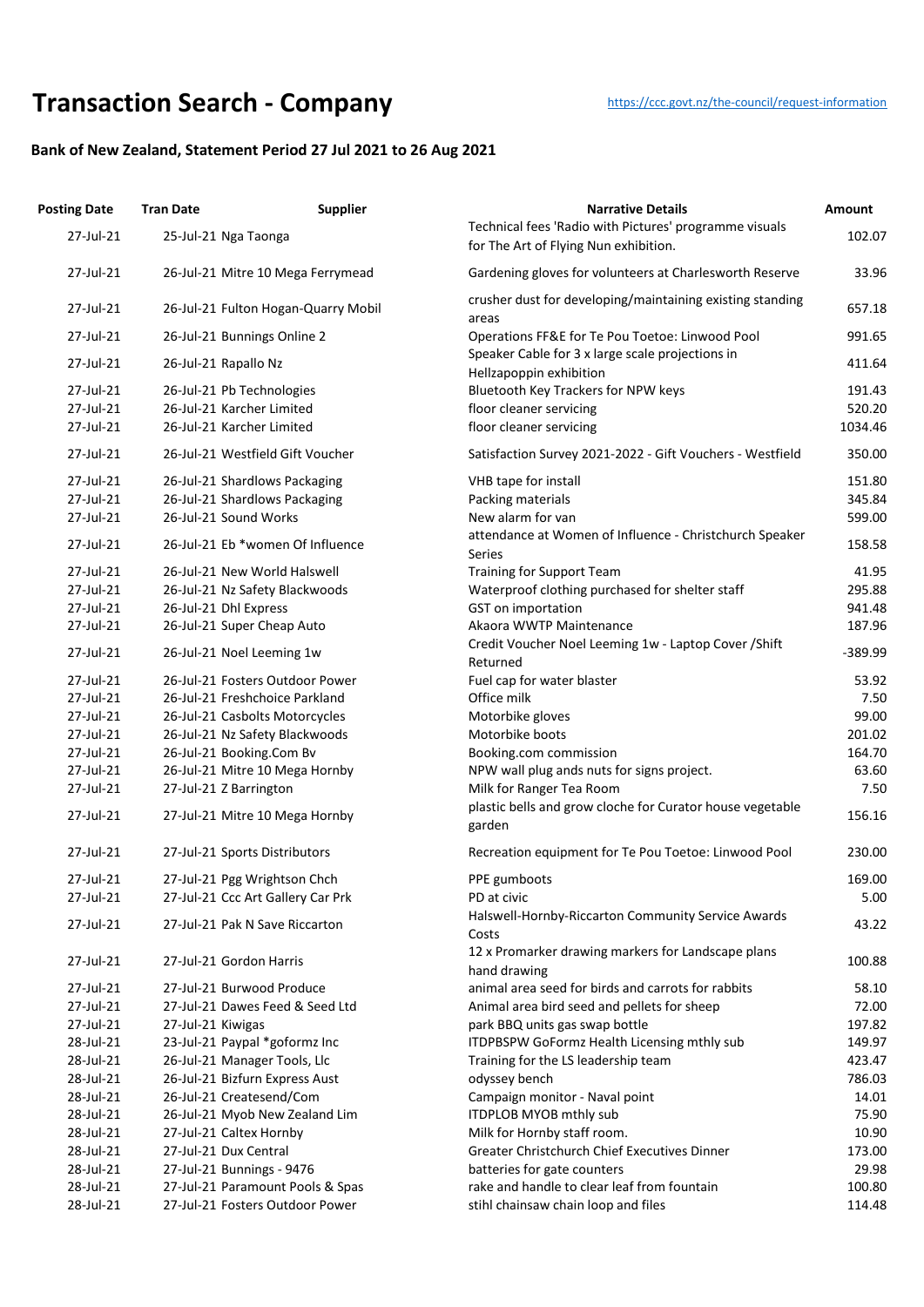## **Transaction Searc[h](https://ccc.govt.nz/the-council/request-information) - Company** https://ccc.govt.nz/the-council/request-information

## **Bank of New Zealand, Statement Period 27 Jul 2021 to 26 Aug 2021**

| <b>Posting Date</b> | <b>Tran Date</b>        | <b>Supplier</b>                     | <b>Narrative Details</b>                                                                        | Amount    |
|---------------------|-------------------------|-------------------------------------|-------------------------------------------------------------------------------------------------|-----------|
| 27-Jul-21           | 25-Jul-21 Nga Taonga    |                                     | Technical fees 'Radio with Pictures' programme visuals<br>for The Art of Flying Nun exhibition. | 102.07    |
| 27-Jul-21           |                         | 26-Jul-21 Mitre 10 Mega Ferrymead   | Gardening gloves for volunteers at Charlesworth Reserve                                         | 33.96     |
| 27-Jul-21           |                         | 26-Jul-21 Fulton Hogan-Quarry Mobil | crusher dust for developing/maintaining existing standing<br>areas                              | 657.18    |
| 27-Jul-21           |                         | 26-Jul-21 Bunnings Online 2         | Operations FF&E for Te Pou Toetoe: Linwood Pool                                                 | 991.65    |
| 27-Jul-21           | 26-Jul-21 Rapallo Nz    |                                     | Speaker Cable for 3 x large scale projections in<br>Hellzapoppin exhibition                     | 411.64    |
| 27-Jul-21           |                         | 26-Jul-21 Pb Technologies           | Bluetooth Key Trackers for NPW keys                                                             | 191.43    |
| 27-Jul-21           |                         | 26-Jul-21 Karcher Limited           | floor cleaner servicing                                                                         | 520.20    |
| 27-Jul-21           |                         | 26-Jul-21 Karcher Limited           | floor cleaner servicing                                                                         | 1034.46   |
| 27-Jul-21           |                         | 26-Jul-21 Westfield Gift Voucher    | Satisfaction Survey 2021-2022 - Gift Vouchers - Westfield                                       | 350.00    |
| 27-Jul-21           |                         | 26-Jul-21 Shardlows Packaging       | VHB tape for install                                                                            | 151.80    |
| 27-Jul-21           |                         | 26-Jul-21 Shardlows Packaging       | Packing materials                                                                               | 345.84    |
| 27-Jul-21           | 26-Jul-21 Sound Works   |                                     | New alarm for van                                                                               | 599.00    |
| 27-Jul-21           |                         | 26-Jul-21 Eb *women Of Influence    | attendance at Women of Influence - Christchurch Speaker<br>Series                               | 158.58    |
| 27-Jul-21           |                         | 26-Jul-21 New World Halswell        | <b>Training for Support Team</b>                                                                | 41.95     |
| 27-Jul-21           |                         | 26-Jul-21 Nz Safety Blackwoods      | Waterproof clothing purchased for shelter staff                                                 | 295.88    |
| 27-Jul-21           | 26-Jul-21 Dhl Express   |                                     | <b>GST</b> on importation                                                                       | 941.48    |
| 27-Jul-21           |                         | 26-Jul-21 Super Cheap Auto          | Akaora WWTP Maintenance                                                                         | 187.96    |
| 27-Jul-21           |                         | 26-Jul-21 Noel Leeming 1w           | Credit Voucher Noel Leeming 1w - Laptop Cover / Shift<br>Returned                               | $-389.99$ |
| 27-Jul-21           |                         | 26-Jul-21 Fosters Outdoor Power     | Fuel cap for water blaster                                                                      | 53.92     |
| 27-Jul-21           |                         | 26-Jul-21 Freshchoice Parkland      | Office milk                                                                                     | 7.50      |
| 27-Jul-21           |                         | 26-Jul-21 Casbolts Motorcycles      | Motorbike gloves                                                                                | 99.00     |
| 27-Jul-21           |                         | 26-Jul-21 Nz Safety Blackwoods      | Motorbike boots                                                                                 | 201.02    |
| 27-Jul-21           |                         | 26-Jul-21 Booking.Com Bv            | Booking.com commission                                                                          | 164.70    |
| 27-Jul-21           |                         | 26-Jul-21 Mitre 10 Mega Hornby      | NPW wall plug ands nuts for signs project.                                                      | 63.60     |
| 27-Jul-21           | 27-Jul-21 Z Barrington  |                                     | Milk for Ranger Tea Room                                                                        | 7.50      |
| 27-Jul-21           |                         | 27-Jul-21 Mitre 10 Mega Hornby      | plastic bells and grow cloche for Curator house vegetable<br>garden                             | 156.16    |
| 27-Jul-21           |                         | 27-Jul-21 Sports Distributors       | Recreation equipment for Te Pou Toetoe: Linwood Pool                                            | 230.00    |
| 27-Jul-21           |                         | 27-Jul-21 Pgg Wrightson Chch        | PPE gumboots                                                                                    | 169.00    |
| 27-Jul-21           |                         | 27-Jul-21 Ccc Art Gallery Car Prk   | PD at civic                                                                                     | 5.00      |
| 27-Jul-21           |                         | 27-Jul-21 Pak N Save Riccarton      | Halswell-Hornby-Riccarton Community Service Awards<br>Costs                                     | 43.22     |
| 27-Jul-21           | 27-Jul-21 Gordon Harris |                                     | 12 x Promarker drawing markers for Landscape plans<br>hand drawing                              | 100.88    |
| 27-Jul-21           |                         | 27-Jul-21 Burwood Produce           | animal area seed for birds and carrots for rabbits                                              | 58.10     |
| 27-Jul-21           |                         | 27-Jul-21 Dawes Feed & Seed Ltd     | Animal area bird seed and pellets for sheep                                                     | 72.00     |
| 27-Jul-21           | 27-Jul-21 Kiwigas       |                                     | park BBQ units gas swap bottle                                                                  | 197.82    |
| 28-Jul-21           |                         | 23-Jul-21 Paypal *goformz Inc       | ITDPBSPW GoFormz Health Licensing mthly sub                                                     | 149.97    |
| 28-Jul-21           |                         | 26-Jul-21 Manager Tools, Llc        | Training for the LS leadership team                                                             | 423.47    |
| 28-Jul-21           |                         | 26-Jul-21 Bizfurn Express Aust      | odyssey bench                                                                                   | 786.03    |
| 28-Jul-21           |                         | 26-Jul-21 Createsend/Com            | Campaign monitor - Naval point                                                                  | 14.01     |
| 28-Jul-21           |                         | 26-Jul-21 Myob New Zealand Lim      | ITDPLOB MYOB mthly sub                                                                          | 75.90     |
| 28-Jul-21           | 27-Jul-21 Caltex Hornby |                                     | Milk for Hornby staff room.                                                                     | 10.90     |
| 28-Jul-21           | 27-Jul-21 Dux Central   |                                     | <b>Greater Christchurch Chief Executives Dinner</b>                                             | 173.00    |
| 28-Jul-21           |                         | 27-Jul-21 Bunnings - 9476           | batteries for gate counters                                                                     | 29.98     |
| 28-Jul-21           |                         | 27-Jul-21 Paramount Pools & Spas    | rake and handle to clear leaf from fountain                                                     | 100.80    |
| 28-Jul-21           |                         | 27-Jul-21 Fosters Outdoor Power     | stihl chainsaw chain loop and files                                                             | 114.48    |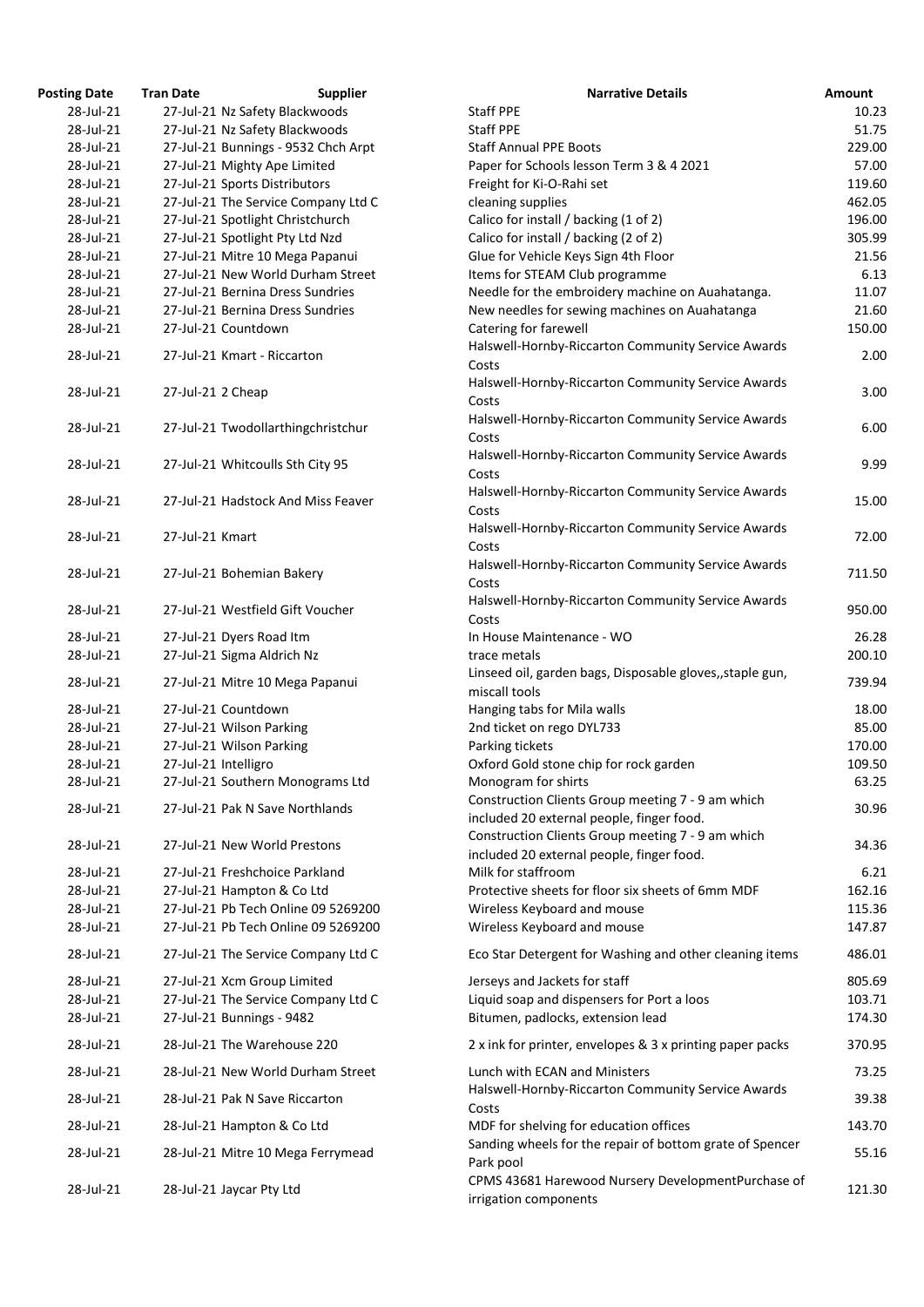| <b>Posting Date</b>    | <b>Tran Date</b>     | <b>Supplier</b>                     | <b>Narrative Details</b>                                                                       | Amount           |
|------------------------|----------------------|-------------------------------------|------------------------------------------------------------------------------------------------|------------------|
| 28-Jul-21              |                      | 27-Jul-21 Nz Safety Blackwoods      | <b>Staff PPE</b>                                                                               | 10.23            |
| 28-Jul-21              |                      | 27-Jul-21 Nz Safety Blackwoods      | <b>Staff PPE</b>                                                                               | 51.75            |
| 28-Jul-21              |                      | 27-Jul-21 Bunnings - 9532 Chch Arpt | <b>Staff Annual PPE Boots</b>                                                                  | 229.00           |
| 28-Jul-21              |                      | 27-Jul-21 Mighty Ape Limited        | Paper for Schools lesson Term 3 & 4 2021                                                       | 57.00            |
| 28-Jul-21              |                      | 27-Jul-21 Sports Distributors       | Freight for Ki-O-Rahi set                                                                      | 119.60           |
| 28-Jul-21              |                      | 27-Jul-21 The Service Company Ltd C | cleaning supplies                                                                              | 462.05           |
|                        |                      |                                     |                                                                                                |                  |
| 28-Jul-21              |                      | 27-Jul-21 Spotlight Christchurch    | Calico for install / backing (1 of 2)                                                          | 196.00           |
| 28-Jul-21              |                      | 27-Jul-21 Spotlight Pty Ltd Nzd     | Calico for install / backing (2 of 2)                                                          | 305.99           |
| 28-Jul-21              |                      | 27-Jul-21 Mitre 10 Mega Papanui     | Glue for Vehicle Keys Sign 4th Floor                                                           | 21.56            |
| 28-Jul-21              |                      | 27-Jul-21 New World Durham Street   | Items for STEAM Club programme                                                                 | 6.13             |
| 28-Jul-21              |                      | 27-Jul-21 Bernina Dress Sundries    | Needle for the embroidery machine on Auahatanga.                                               | 11.07            |
| 28-Jul-21              |                      | 27-Jul-21 Bernina Dress Sundries    | New needles for sewing machines on Auahatanga                                                  | 21.60            |
| 28-Jul-21              |                      | 27-Jul-21 Countdown                 | Catering for farewell                                                                          | 150.00           |
| 28-Jul-21              |                      | 27-Jul-21 Kmart - Riccarton         | Halswell-Hornby-Riccarton Community Service Awards<br>Costs                                    | 2.00             |
| 28-Jul-21              | 27-Jul-21 2 Cheap    |                                     | Halswell-Hornby-Riccarton Community Service Awards<br>Costs                                    | 3.00             |
| 28-Jul-21              |                      | 27-Jul-21 Twodollarthingchristchur  | Halswell-Hornby-Riccarton Community Service Awards<br>Costs                                    | 6.00             |
| 28-Jul-21              |                      | 27-Jul-21 Whitcoulls Sth City 95    | Halswell-Hornby-Riccarton Community Service Awards<br>Costs                                    | 9.99             |
| 28-Jul-21              |                      | 27-Jul-21 Hadstock And Miss Feaver  | Halswell-Hornby-Riccarton Community Service Awards<br>Costs                                    | 15.00            |
| 28-Jul-21              | 27-Jul-21 Kmart      |                                     | Halswell-Hornby-Riccarton Community Service Awards<br>Costs                                    | 72.00            |
| 28-Jul-21              |                      | 27-Jul-21 Bohemian Bakery           | Halswell-Hornby-Riccarton Community Service Awards<br>Costs                                    | 711.50           |
| 28-Jul-21              |                      | 27-Jul-21 Westfield Gift Voucher    | Halswell-Hornby-Riccarton Community Service Awards<br>Costs                                    | 950.00           |
| 28-Jul-21              |                      | 27-Jul-21 Dyers Road Itm            | In House Maintenance - WO                                                                      | 26.28            |
| 28-Jul-21              |                      | 27-Jul-21 Sigma Aldrich Nz          | trace metals                                                                                   | 200.10           |
| 28-Jul-21              |                      | 27-Jul-21 Mitre 10 Mega Papanui     | Linseed oil, garden bags, Disposable gloves,, staple gun,<br>miscall tools                     | 739.94           |
| 28-Jul-21              |                      | 27-Jul-21 Countdown                 | Hanging tabs for Mila walls                                                                    | 18.00            |
| 28-Jul-21              |                      | 27-Jul-21 Wilson Parking            | 2nd ticket on rego DYL733                                                                      | 85.00            |
| 28-Jul-21              |                      | 27-Jul-21 Wilson Parking            | Parking tickets                                                                                | 170.00           |
| 28-Jul-21              | 27-Jul-21 Intelligro |                                     | Oxford Gold stone chip for rock garden                                                         | 109.50           |
| 28-Jul-21              |                      | 27-Jul-21 Southern Monograms Ltd    | Monogram for shirts                                                                            | 63.25            |
| 28-Jul-21              |                      | 27-Jul-21 Pak N Save Northlands     | Construction Clients Group meeting 7 - 9 am which<br>included 20 external people, finger food. | 30.96            |
| 28-Jul-21              |                      | 27-Jul-21 New World Prestons        | Construction Clients Group meeting 7 - 9 am which                                              | 34.36            |
| 28-Jul-21              |                      | 27-Jul-21 Freshchoice Parkland      | included 20 external people, finger food.<br>Milk for staffroom                                | 6.21             |
| 28-Jul-21              |                      | 27-Jul-21 Hampton & Co Ltd          | Protective sheets for floor six sheets of 6mm MDF                                              | 162.16           |
| 28-Jul-21              |                      | 27-Jul-21 Pb Tech Online 09 5269200 |                                                                                                | 115.36           |
|                        |                      |                                     | Wireless Keyboard and mouse                                                                    |                  |
| 28-Jul-21              |                      | 27-Jul-21 Pb Tech Online 09 5269200 | Wireless Keyboard and mouse                                                                    | 147.87           |
| 28-Jul-21<br>28-Jul-21 |                      | 27-Jul-21 The Service Company Ltd C | Eco Star Detergent for Washing and other cleaning items                                        | 486.01<br>805.69 |
|                        |                      | 27-Jul-21 Xcm Group Limited         | Jerseys and Jackets for staff                                                                  |                  |
| 28-Jul-21              |                      | 27-Jul-21 The Service Company Ltd C | Liquid soap and dispensers for Port a loos                                                     | 103.71           |
| 28-Jul-21              |                      | 27-Jul-21 Bunnings - 9482           | Bitumen, padlocks, extension lead                                                              | 174.30           |
| 28-Jul-21              |                      | 28-Jul-21 The Warehouse 220         | 2 x ink for printer, envelopes & 3 x printing paper packs                                      | 370.95           |
| 28-Jul-21              |                      | 28-Jul-21 New World Durham Street   | Lunch with ECAN and Ministers                                                                  | 73.25            |
| 28-Jul-21              |                      | 28-Jul-21 Pak N Save Riccarton      | Halswell-Hornby-Riccarton Community Service Awards<br>Costs                                    | 39.38            |
| 28-Jul-21              |                      | 28-Jul-21 Hampton & Co Ltd          | MDF for shelving for education offices                                                         | 143.70           |
| 28-Jul-21              |                      | 28-Jul-21 Mitre 10 Mega Ferrymead   | Sanding wheels for the repair of bottom grate of Spencer<br>Park pool                          | 55.16            |
| 28-Jul-21              |                      | 28-Jul-21 Jaycar Pty Ltd            | CPMS 43681 Harewood Nursery DevelopmentPurchase of<br>irrigation components                    | 121.30           |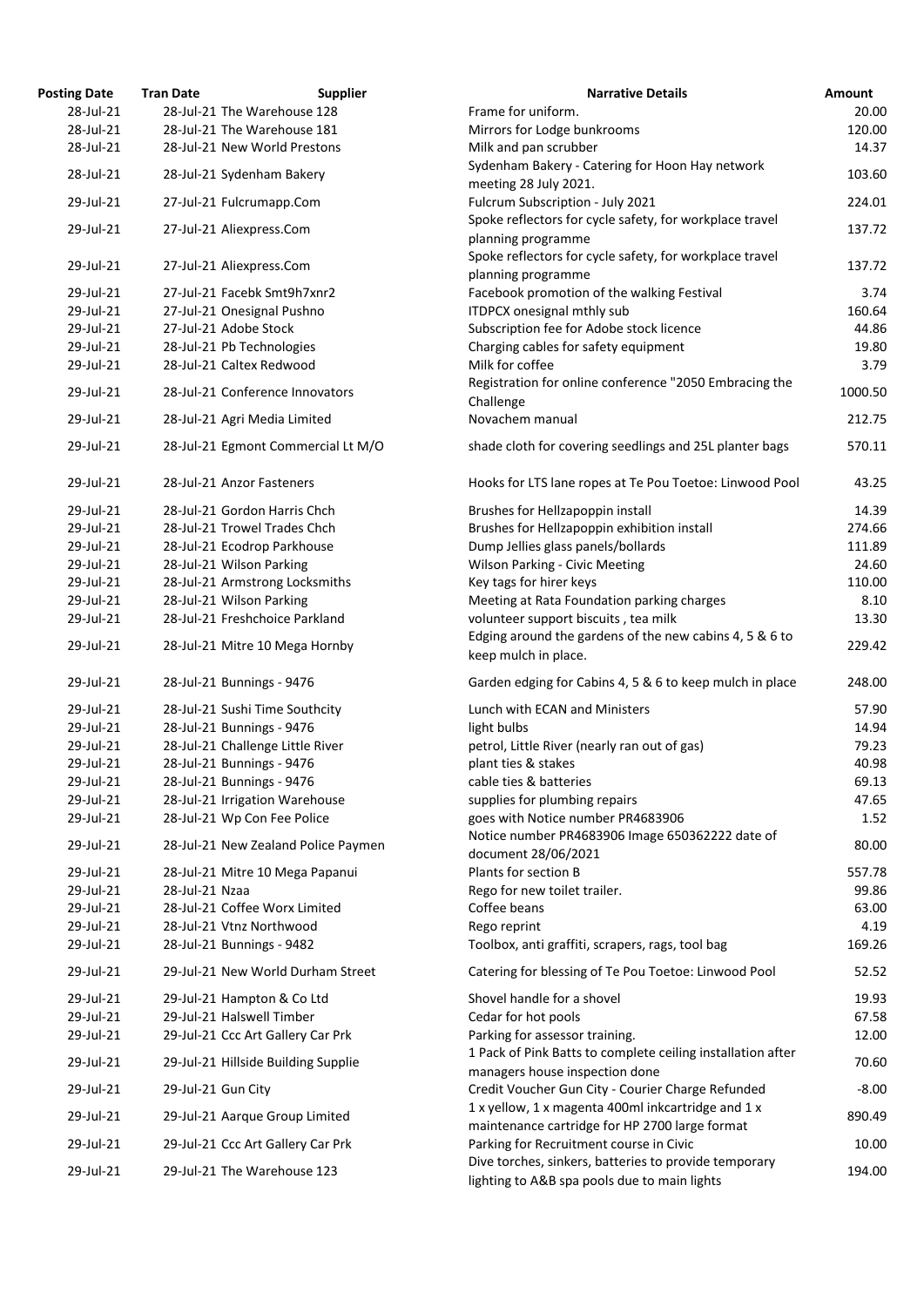| osting Date | <b>Tran Date</b>                  | <b>Supplier</b>                     | <b>Narrative Details</b>                                                                              |
|-------------|-----------------------------------|-------------------------------------|-------------------------------------------------------------------------------------------------------|
| 28-Jul-21   | 28-Jul-21 The Warehouse 128       |                                     | Frame for uniform.                                                                                    |
| 28-Jul-21   | 28-Jul-21 The Warehouse 181       |                                     | Mirrors for Lodge bunkrooms                                                                           |
| 28-Jul-21   | 28-Jul-21 New World Prestons      |                                     | Milk and pan scrubber                                                                                 |
| 28-Jul-21   | 28-Jul-21 Sydenham Bakery         |                                     | Sydenham Bakery - Catering for Hoon Hay network<br>meeting 28 July 2021.                              |
| 29-Jul-21   | 27-Jul-21 Fulcrumapp.Com          |                                     | Fulcrum Subscription - July 2021                                                                      |
| 29-Jul-21   | 27-Jul-21 Aliexpress.Com          |                                     | Spoke reflectors for cycle safety, for workplace travel<br>planning programme                         |
| 29-Jul-21   | 27-Jul-21 Aliexpress.Com          |                                     | Spoke reflectors for cycle safety, for workplace travel<br>planning programme                         |
| 29-Jul-21   | 27-Jul-21 Facebk Smt9h7xnr2       |                                     | Facebook promotion of the walking Festival                                                            |
| 29-Jul-21   | 27-Jul-21 Onesignal Pushno        |                                     | <b>ITDPCX onesignal mthly sub</b>                                                                     |
| 29-Jul-21   | 27-Jul-21 Adobe Stock             |                                     | Subscription fee for Adobe stock licence                                                              |
| 29-Jul-21   | 28-Jul-21 Pb Technologies         |                                     | Charging cables for safety equipment                                                                  |
| 29-Jul-21   | 28-Jul-21 Caltex Redwood          |                                     | Milk for coffee                                                                                       |
| 29-Jul-21   | 28-Jul-21 Conference Innovators   |                                     | Registration for online conference "2050 Embracing tl<br>Challenge                                    |
| 29-Jul-21   | 28-Jul-21 Agri Media Limited      |                                     | Novachem manual                                                                                       |
| 29-Jul-21   |                                   | 28-Jul-21 Egmont Commercial Lt M/O  | shade cloth for covering seedlings and 25L planter bag                                                |
| 29-Jul-21   | 28-Jul-21 Anzor Fasteners         |                                     | Hooks for LTS lane ropes at Te Pou Toetoe: Linwood P                                                  |
| 29-Jul-21   | 28-Jul-21 Gordon Harris Chch      |                                     | Brushes for Hellzapoppin install                                                                      |
| 29-Jul-21   | 28-Jul-21 Trowel Trades Chch      |                                     | Brushes for Hellzapoppin exhibition install                                                           |
| 29-Jul-21   | 28-Jul-21 Ecodrop Parkhouse       |                                     | Dump Jellies glass panels/bollards                                                                    |
| 29-Jul-21   | 28-Jul-21 Wilson Parking          |                                     | <b>Wilson Parking - Civic Meeting</b>                                                                 |
| 29-Jul-21   | 28-Jul-21 Armstrong Locksmiths    |                                     | Key tags for hirer keys                                                                               |
| 29-Jul-21   | 28-Jul-21 Wilson Parking          |                                     | Meeting at Rata Foundation parking charges                                                            |
| 29-Iul-21   | 28-Jul-21 Freshchoice Parkland    |                                     | volunteer support biscuits, tea milk                                                                  |
| 29-Jul-21   | 28-Jul-21 Mitre 10 Mega Hornby    |                                     | Edging around the gardens of the new cabins 4, 5 & 6<br>keep mulch in place.                          |
| 29-Jul-21   | 28-Jul-21 Bunnings - 9476         |                                     | Garden edging for Cabins 4, 5 & 6 to keep mulch in pla                                                |
| 29-Jul-21   | 28-Jul-21 Sushi Time Southcity    |                                     | Lunch with ECAN and Ministers                                                                         |
| 29-Jul-21   | 28-Jul-21 Bunnings - 9476         |                                     | light bulbs                                                                                           |
| 29-Jul-21   | 28-Jul-21 Challenge Little River  |                                     | petrol, Little River (nearly ran out of gas)                                                          |
| 29-Jul-21   | 28-Jul-21 Bunnings - 9476         |                                     | plant ties & stakes                                                                                   |
| 29-Jul-21   | 28-Jul-21 Bunnings - 9476         |                                     | cable ties & batteries                                                                                |
| 29-Jul-21   | 28-Jul-21 Irrigation Warehouse    |                                     | supplies for plumbing repairs                                                                         |
| 29-Jul-21   | 28-Jul-21 Wp Con Fee Police       |                                     | goes with Notice number PR4683906                                                                     |
| 29-Jul-21   |                                   | 28-Jul-21 New Zealand Police Paymen | Notice number PR4683906 Image 650362222 date of                                                       |
|             |                                   |                                     | document 28/06/2021                                                                                   |
| 29-Jul-21   |                                   | 28-Jul-21 Mitre 10 Mega Papanui     | Plants for section B                                                                                  |
| 29-Jul-21   | 28-Jul-21 Nzaa                    |                                     | Rego for new toilet trailer.                                                                          |
| 29-Jul-21   | 28-Jul-21 Coffee Worx Limited     |                                     | Coffee beans                                                                                          |
| 29-Jul-21   | 28-Jul-21 Vtnz Northwood          |                                     | Rego reprint                                                                                          |
| 29-Jul-21   | 28-Jul-21 Bunnings - 9482         |                                     | Toolbox, anti graffiti, scrapers, rags, tool bag                                                      |
| 29-Jul-21   |                                   | 29-Jul-21 New World Durham Street   | Catering for blessing of Te Pou Toetoe: Linwood Pool                                                  |
| 29-Jul-21   | 29-Jul-21 Hampton & Co Ltd        |                                     | Shovel handle for a shovel                                                                            |
| 29-Jul-21   | 29-Jul-21 Halswell Timber         |                                     | Cedar for hot pools                                                                                   |
| 29-Jul-21   | 29-Jul-21 Ccc Art Gallery Car Prk |                                     | Parking for assessor training.                                                                        |
| 29-Jul-21   |                                   | 29-Jul-21 Hillside Building Supplie | 1 Pack of Pink Batts to complete ceiling installation af<br>managers house inspection done            |
| 29-Jul-21   | 29-Jul-21 Gun City                |                                     | Credit Voucher Gun City - Courier Charge Refunded                                                     |
| 29-Jul-21   | 29-Jul-21 Aarque Group Limited    |                                     | 1 x yellow, 1 x magenta 400ml inkcartridge and 1 x<br>maintenance cartridge for HP 2700 large format  |
| 29-Jul-21   | 29-Jul-21 Ccc Art Gallery Car Prk |                                     | Parking for Recruitment course in Civic                                                               |
| 29-Jul-21   | 29-Jul-21 The Warehouse 123       |                                     | Dive torches, sinkers, batteries to provide temporary<br>lighting to ARR can pools due to main lights |
|             |                                   |                                     |                                                                                                       |

| <b>Posting Date</b>    | <b>Tran Date</b>   | <b>Supplier</b>                                       | <b>Narrative Details</b>                                                                              | <b>Amount</b>  |
|------------------------|--------------------|-------------------------------------------------------|-------------------------------------------------------------------------------------------------------|----------------|
| 28-Jul-21              |                    | 28-Jul-21 The Warehouse 128                           | Frame for uniform.                                                                                    | 20.00          |
| 28-Jul-21              |                    | 28-Jul-21 The Warehouse 181                           | Mirrors for Lodge bunkrooms                                                                           | 120.00         |
| 28-Jul-21              |                    | 28-Jul-21 New World Prestons                          | Milk and pan scrubber                                                                                 | 14.37          |
| 28-Jul-21              |                    | 28-Jul-21 Sydenham Bakery                             | Sydenham Bakery - Catering for Hoon Hay network<br>meeting 28 July 2021.                              | 103.60         |
| 29-Jul-21              |                    | 27-Jul-21 Fulcrumapp.Com                              | Fulcrum Subscription - July 2021                                                                      | 224.01         |
| 29-Jul-21              |                    | 27-Jul-21 Aliexpress.Com                              | Spoke reflectors for cycle safety, for workplace travel<br>planning programme                         | 137.72         |
| 29-Jul-21              |                    | 27-Jul-21 Aliexpress.Com                              | Spoke reflectors for cycle safety, for workplace travel<br>planning programme                         | 137.72         |
| 29-Jul-21              |                    | 27-Jul-21 Facebk Smt9h7xnr2                           | Facebook promotion of the walking Festival                                                            | 3.74           |
| 29-Jul-21              |                    | 27-Jul-21 Onesignal Pushno                            | ITDPCX onesignal mthly sub                                                                            | 160.64         |
| 29-Jul-21              |                    | 27-Jul-21 Adobe Stock                                 | Subscription fee for Adobe stock licence                                                              | 44.86          |
| 29-Jul-21              |                    | 28-Jul-21 Pb Technologies                             | Charging cables for safety equipment                                                                  | 19.80          |
| 29-Jul-21              |                    | 28-Jul-21 Caltex Redwood                              | Milk for coffee                                                                                       | 3.79           |
| 29-Jul-21              |                    | 28-Jul-21 Conference Innovators                       | Registration for online conference "2050 Embracing the<br>Challenge                                   | 1000.50        |
| 29-Jul-21              |                    | 28-Jul-21 Agri Media Limited                          | Novachem manual                                                                                       | 212.75         |
| 29-Jul-21              |                    | 28-Jul-21 Egmont Commercial Lt M/O                    | shade cloth for covering seedlings and 25L planter bags                                               | 570.11         |
|                        |                    |                                                       |                                                                                                       |                |
| 29-Jul-21              |                    | 28-Jul-21 Anzor Fasteners                             | Hooks for LTS lane ropes at Te Pou Toetoe: Linwood Pool                                               | 43.25          |
| 29-Jul-21              |                    | 28-Jul-21 Gordon Harris Chch                          | Brushes for Hellzapoppin install                                                                      | 14.39          |
| 29-Jul-21              |                    | 28-Jul-21 Trowel Trades Chch                          | Brushes for Hellzapoppin exhibition install                                                           | 274.66         |
| 29-Jul-21              |                    | 28-Jul-21 Ecodrop Parkhouse                           | Dump Jellies glass panels/bollards                                                                    | 111.89         |
| 29-Jul-21              |                    | 28-Jul-21 Wilson Parking                              | <b>Wilson Parking - Civic Meeting</b>                                                                 | 24.60          |
| 29-Jul-21              |                    | 28-Jul-21 Armstrong Locksmiths                        | Key tags for hirer keys                                                                               | 110.00         |
| 29-Jul-21              |                    | 28-Jul-21 Wilson Parking                              | Meeting at Rata Foundation parking charges                                                            | 8.10           |
| 29-Jul-21              |                    | 28-Jul-21 Freshchoice Parkland                        | volunteer support biscuits, tea milk                                                                  | 13.30          |
| 29-Jul-21              |                    | 28-Jul-21 Mitre 10 Mega Hornby                        | Edging around the gardens of the new cabins 4, 5 & 6 to<br>keep mulch in place.                       | 229.42         |
| 29-Jul-21              |                    | 28-Jul-21 Bunnings - 9476                             | Garden edging for Cabins 4, 5 & 6 to keep mulch in place                                              | 248.00         |
| 29-Jul-21              |                    | 28-Jul-21 Sushi Time Southcity                        | Lunch with ECAN and Ministers                                                                         | 57.90          |
| 29-Jul-21              |                    | 28-Jul-21 Bunnings - 9476                             | light bulbs                                                                                           | 14.94          |
| 29-Jul-21              |                    | 28-Jul-21 Challenge Little River                      | petrol, Little River (nearly ran out of gas)                                                          | 79.23          |
| 29-Jul-21              |                    | 28-Jul-21 Bunnings - 9476                             | plant ties & stakes                                                                                   | 40.98          |
| 29-Jul-21              |                    | 28-Jul-21 Bunnings - 9476                             | cable ties & batteries                                                                                | 69.13          |
| 29-Jul-21              |                    | 28-Jul-21 Irrigation Warehouse                        | supplies for plumbing repairs                                                                         | 47.65          |
| 29-Jul-21              |                    | 28-Jul-21 Wp Con Fee Police                           | goes with Notice number PR4683906                                                                     | 1.52           |
| 29-Jul-21              |                    | 28-Jul-21 New Zealand Police Paymen                   | Notice number PR4683906 Image 650362222 date of<br>document 28/06/2021                                | 80.00          |
| 29-Jul-21              |                    | 28-Jul-21 Mitre 10 Mega Papanui                       | Plants for section B                                                                                  | 557.78         |
| 29-Jul-21              | 28-Jul-21 Nzaa     |                                                       | Rego for new toilet trailer.                                                                          | 99.86          |
| 29-Jul-21              |                    | 28-Jul-21 Coffee Worx Limited                         | Coffee beans                                                                                          | 63.00          |
|                        |                    |                                                       |                                                                                                       |                |
| 29-Jul-21<br>29-Jul-21 |                    | 28-Jul-21 Vtnz Northwood<br>28-Jul-21 Bunnings - 9482 | Rego reprint<br>Toolbox, anti graffiti, scrapers, rags, tool bag                                      | 4.19<br>169.26 |
| 29-Jul-21              |                    | 29-Jul-21 New World Durham Street                     | Catering for blessing of Te Pou Toetoe: Linwood Pool                                                  | 52.52          |
| 29-Jul-21              |                    | 29-Jul-21 Hampton & Co Ltd                            | Shovel handle for a shovel                                                                            | 19.93          |
| 29-Jul-21              |                    | 29-Jul-21 Halswell Timber                             | Cedar for hot pools                                                                                   | 67.58          |
| 29-Jul-21              |                    | 29-Jul-21 Ccc Art Gallery Car Prk                     | Parking for assessor training.                                                                        | 12.00          |
| 29-Jul-21              |                    | 29-Jul-21 Hillside Building Supplie                   | 1 Pack of Pink Batts to complete ceiling installation after                                           | 70.60          |
| 29-Jul-21              | 29-Jul-21 Gun City |                                                       | managers house inspection done<br>Credit Voucher Gun City - Courier Charge Refunded                   | $-8.00$        |
| 29-Jul-21              |                    | 29-Jul-21 Aarque Group Limited                        | 1 x yellow, 1 x magenta 400ml inkcartridge and 1 x<br>maintenance cartridge for HP 2700 large format  | 890.49         |
| 29-Jul-21              |                    | 29-Jul-21 Ccc Art Gallery Car Prk                     | Parking for Recruitment course in Civic                                                               | 10.00          |
| 29-Jul-21              |                    | 29-Jul-21 The Warehouse 123                           | Dive torches, sinkers, batteries to provide temporary<br>lighting to A&B spa pools due to main lights | 194.00         |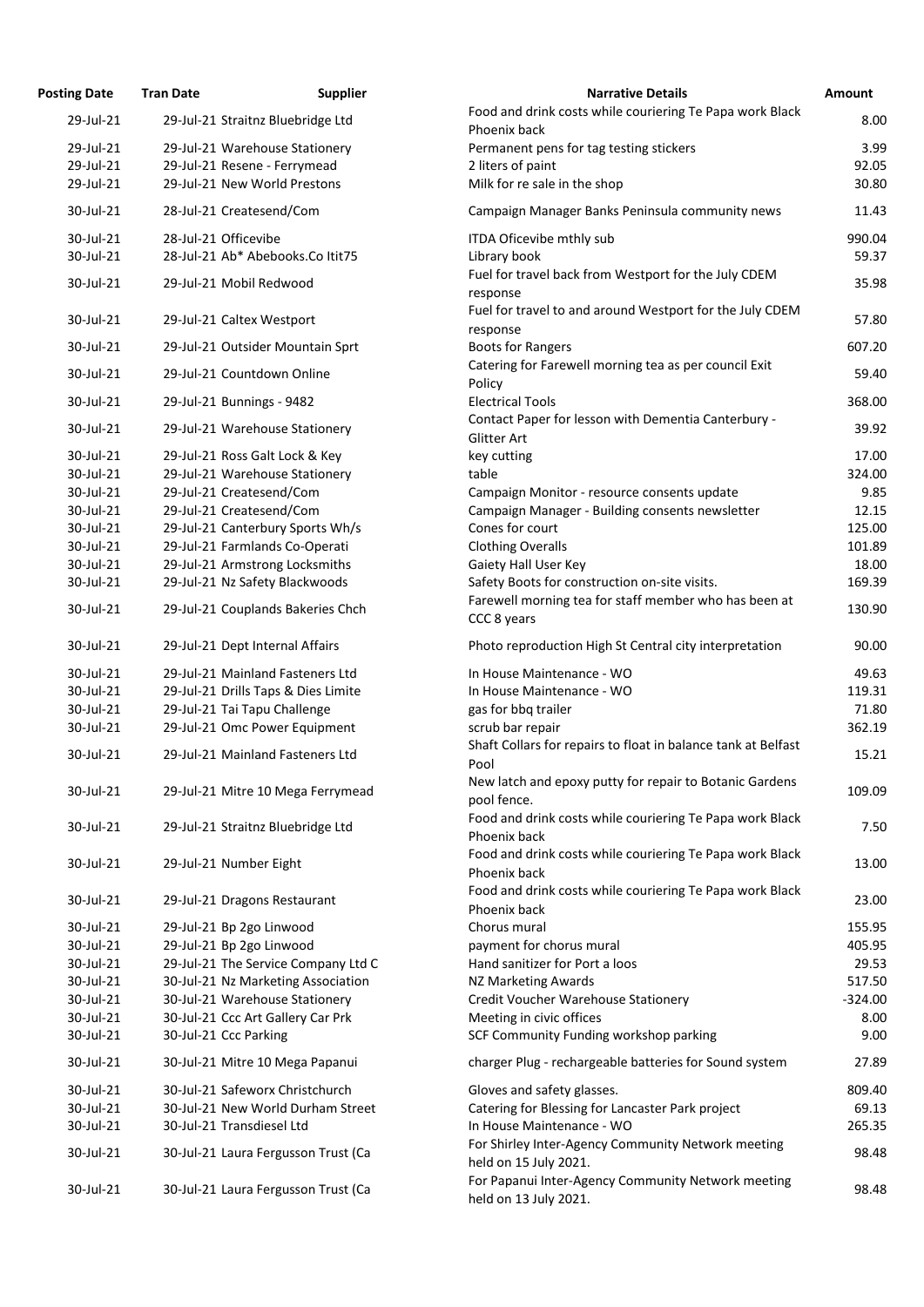| <b>Posting Date</b> | <b>Tran Date</b>                | <b>Supplier</b>                     | <b>Narrative Details</b>                                                    | Amount    |
|---------------------|---------------------------------|-------------------------------------|-----------------------------------------------------------------------------|-----------|
| 29-Jul-21           |                                 | 29-Jul-21 Straitnz Bluebridge Ltd   | Food and drink costs while couriering Te Papa work Black<br>Phoenix back    | 8.00      |
| 29-Jul-21           |                                 | 29-Jul-21 Warehouse Stationery      | Permanent pens for tag testing stickers                                     | 3.99      |
| 29-Jul-21           | 29-Jul-21 Resene - Ferrymead    |                                     | 2 liters of paint                                                           | 92.05     |
| 29-Jul-21           | 29-Jul-21 New World Prestons    |                                     | Milk for re sale in the shop                                                | 30.80     |
| 30-Jul-21           | 28-Jul-21 Createsend/Com        |                                     | Campaign Manager Banks Peninsula community news                             | 11.43     |
| 30-Jul-21           | 28-Jul-21 Officevibe            |                                     | ITDA Oficevibe mthly sub                                                    | 990.04    |
| 30-Jul-21           |                                 | 28-Jul-21 Ab* Abebooks.Co Itit75    | Library book                                                                | 59.37     |
| 30-Jul-21           | 29-Jul-21 Mobil Redwood         |                                     | Fuel for travel back from Westport for the July CDEM<br>response            | 35.98     |
| 30-Jul-21           | 29-Jul-21 Caltex Westport       |                                     | Fuel for travel to and around Westport for the July CDEM<br>response        | 57.80     |
| 30-Jul-21           |                                 | 29-Jul-21 Outsider Mountain Sprt    | <b>Boots for Rangers</b>                                                    | 607.20    |
| 30-Jul-21           | 29-Jul-21 Countdown Online      |                                     | Catering for Farewell morning tea as per council Exit<br>Policy             | 59.40     |
| 30-Jul-21           | 29-Jul-21 Bunnings - 9482       |                                     | <b>Electrical Tools</b>                                                     | 368.00    |
| 30-Jul-21           | 29-Jul-21 Warehouse Stationery  |                                     | Contact Paper for lesson with Dementia Canterbury -<br>Glitter Art          | 39.92     |
| 30-Jul-21           | 29-Jul-21 Ross Galt Lock & Key  |                                     | key cutting                                                                 | 17.00     |
| 30-Jul-21           | 29-Jul-21 Warehouse Stationery  |                                     | table                                                                       | 324.00    |
| 30-Jul-21           | 29-Jul-21 Createsend/Com        |                                     | Campaign Monitor - resource consents update                                 | 9.85      |
| 30-Jul-21           | 29-Jul-21 Createsend/Com        |                                     | Campaign Manager - Building consents newsletter                             | 12.15     |
| 30-Jul-21           |                                 | 29-Jul-21 Canterbury Sports Wh/s    | Cones for court                                                             | 125.00    |
| 30-Jul-21           | 29-Jul-21 Farmlands Co-Operati  |                                     | <b>Clothing Overalls</b>                                                    | 101.89    |
| 30-Jul-21           | 29-Jul-21 Armstrong Locksmiths  |                                     | Gaiety Hall User Key                                                        | 18.00     |
| 30-Jul-21           | 29-Jul-21 Nz Safety Blackwoods  |                                     | Safety Boots for construction on-site visits.                               | 169.39    |
| 30-Jul-21           |                                 | 29-Jul-21 Couplands Bakeries Chch   | Farewell morning tea for staff member who has been at<br>CCC 8 years        | 130.90    |
| 30-Jul-21           | 29-Jul-21 Dept Internal Affairs |                                     | Photo reproduction High St Central city interpretation                      | 90.00     |
| 30-Jul-21           |                                 | 29-Jul-21 Mainland Fasteners Ltd    | In House Maintenance - WO                                                   | 49.63     |
| 30-Jul-21           |                                 | 29-Jul-21 Drills Taps & Dies Limite | In House Maintenance - WO                                                   | 119.31    |
| 30-Jul-21           | 29-Jul-21 Tai Tapu Challenge    |                                     | gas for bbq trailer                                                         | 71.80     |
| 30-Jul-21           |                                 | 29-Jul-21 Omc Power Equipment       | scrub bar repair                                                            | 362.19    |
|                     |                                 |                                     | Shaft Collars for repairs to float in balance tank at Belfast               |           |
| 30-Jul-21           |                                 | 29-Jul-21 Mainland Fasteners Ltd    | Pool                                                                        | 15.21     |
| 30-Jul-21           |                                 | 29-Jul-21 Mitre 10 Mega Ferrymead   | New latch and epoxy putty for repair to Botanic Gardens<br>pool fence.      | 109.09    |
| 30-Jul-21           |                                 | 29-Jul-21 Straitnz Bluebridge Ltd   | Food and drink costs while couriering Te Papa work Black<br>Phoenix back    | 7.50      |
| 30-Jul-21           | 29-Jul-21 Number Eight          |                                     | Food and drink costs while couriering Te Papa work Black<br>Phoenix back    | 13.00     |
| 30-Jul-21           | 29-Jul-21 Dragons Restaurant    |                                     | Food and drink costs while couriering Te Papa work Black<br>Phoenix back    | 23.00     |
| 30-Jul-21           | 29-Jul-21 Bp 2go Linwood        |                                     | Chorus mural                                                                | 155.95    |
| 30-Jul-21           | 29-Jul-21 Bp 2go Linwood        |                                     | payment for chorus mural                                                    | 405.95    |
| 30-Jul-21           |                                 | 29-Jul-21 The Service Company Ltd C | Hand sanitizer for Port a loos                                              | 29.53     |
| 30-Jul-21           |                                 | 30-Jul-21 Nz Marketing Association  | NZ Marketing Awards                                                         | 517.50    |
| 30-Jul-21           |                                 | 30-Jul-21 Warehouse Stationery      | Credit Voucher Warehouse Stationery                                         | $-324.00$ |
| 30-Jul-21           |                                 | 30-Jul-21 Ccc Art Gallery Car Prk   | Meeting in civic offices                                                    | 8.00      |
| 30-Jul-21           | 30-Jul-21 Ccc Parking           |                                     | SCF Community Funding workshop parking                                      | 9.00      |
| 30-Jul-21           |                                 | 30-Jul-21 Mitre 10 Mega Papanui     | charger Plug - rechargeable batteries for Sound system                      | 27.89     |
| 30-Jul-21           |                                 | 30-Jul-21 Safeworx Christchurch     | Gloves and safety glasses.                                                  | 809.40    |
| 30-Jul-21           |                                 | 30-Jul-21 New World Durham Street   | Catering for Blessing for Lancaster Park project                            | 69.13     |
| 30-Jul-21           | 30-Jul-21 Transdiesel Ltd       |                                     | In House Maintenance - WO                                                   | 265.35    |
| 30-Jul-21           |                                 | 30-Jul-21 Laura Fergusson Trust (Ca | For Shirley Inter-Agency Community Network meeting<br>held on 15 July 2021. | 98.48     |
| 30-Jul-21           |                                 | 30-Jul-21 Laura Fergusson Trust (Ca | For Papanui Inter-Agency Community Network meeting<br>held on 13 July 2021. | 98.48     |

35.98

57.80

130.90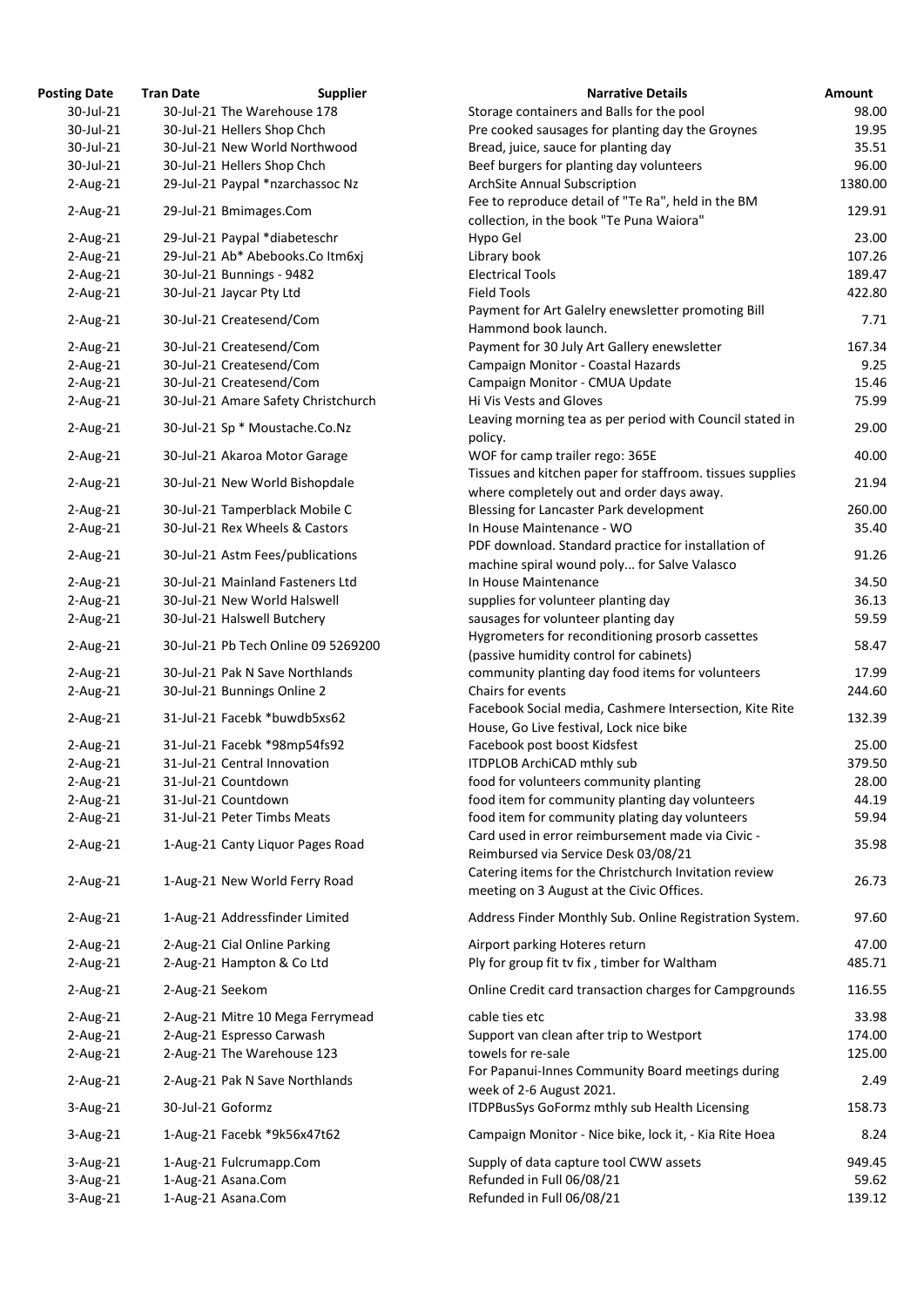| 'osting Date | <b>Tran Date</b>  | <b>Supplier</b>                     | <b>Narrative Details</b>                                                                           |
|--------------|-------------------|-------------------------------------|----------------------------------------------------------------------------------------------------|
| 30-Jul-21    |                   | 30-Jul-21 The Warehouse 178         | Storage containers and Balls for the pool                                                          |
| 30-Jul-21    |                   | 30-Jul-21 Hellers Shop Chch         | Pre cooked sausages for planting day the Groynes                                                   |
| 30-Jul-21    |                   | 30-Jul-21 New World Northwood       | Bread, juice, sauce for planting day                                                               |
| 30-Jul-21    |                   | 30-Jul-21 Hellers Shop Chch         | Beef burgers for planting day volunteers                                                           |
| $2$ -Aug-21  |                   | 29-Jul-21 Paypal *nzarchassoc Nz    | <b>ArchSite Annual Subscription</b>                                                                |
| $2$ -Aug-21  |                   | 29-Jul-21 Bmimages.Com              | Fee to reproduce detail of "Te Ra", held in the BM<br>collection, in the book "Te Puna Waiora"     |
| $2$ -Aug-21  |                   | 29-Jul-21 Paypal *diabeteschr       | Hypo Gel                                                                                           |
| $2$ -Aug-21  |                   | 29-Jul-21 Ab* Abebooks.Co Itm6xj    | Library book                                                                                       |
| $2$ -Aug-21  |                   | 30-Jul-21 Bunnings - 9482           | <b>Electrical Tools</b>                                                                            |
| $2$ -Aug-21  |                   | 30-Jul-21 Jaycar Pty Ltd            | <b>Field Tools</b>                                                                                 |
| $2$ -Aug-21  |                   | 30-Jul-21 Createsend/Com            | Payment for Art Galelry enewsletter promoting Bill<br>Hammond book launch.                         |
| $2$ -Aug-21  |                   | 30-Jul-21 Createsend/Com            | Payment for 30 July Art Gallery enewsletter                                                        |
| $2$ -Aug-21  |                   | 30-Jul-21 Createsend/Com            | Campaign Monitor - Coastal Hazards                                                                 |
| $2$ -Aug-21  |                   | 30-Jul-21 Createsend/Com            | Campaign Monitor - CMUA Update                                                                     |
| $2$ -Aug-21  |                   | 30-Jul-21 Amare Safety Christchurch | Hi Vis Vests and Gloves                                                                            |
| $2$ -Aug-21  |                   | 30-Jul-21 Sp * Moustache.Co.Nz      | Leaving morning tea as per period with Council stated in                                           |
|              |                   |                                     | policy.                                                                                            |
| $2$ -Aug-21  |                   | 30-Jul-21 Akaroa Motor Garage       | WOF for camp trailer rego: 365E<br>Tissues and kitchen paper for staffroom. tissues supplies       |
| $2$ -Aug-21  |                   | 30-Jul-21 New World Bishopdale      | where completely out and order days away.                                                          |
| $2$ -Aug-21  |                   | 30-Jul-21 Tamperblack Mobile C      | Blessing for Lancaster Park development                                                            |
| $2$ -Aug-21  |                   | 30-Jul-21 Rex Wheels & Castors      | In House Maintenance - WO                                                                          |
| $2$ -Aug-21  |                   | 30-Jul-21 Astm Fees/publications    | PDF download. Standard practice for installation of                                                |
|              |                   |                                     | machine spiral wound poly for Salve Valasco                                                        |
| $2$ -Aug-21  |                   | 30-Jul-21 Mainland Fasteners Ltd    | In House Maintenance                                                                               |
| $2$ -Aug-21  |                   | 30-Jul-21 New World Halswell        | supplies for volunteer planting day                                                                |
| $2-Aug-21$   |                   | 30-Jul-21 Halswell Butchery         | sausages for volunteer planting day                                                                |
| $2$ -Aug-21  |                   | 30-Jul-21 Pb Tech Online 09 5269200 | Hygrometers for reconditioning prosorb cassettes<br>(passive humidity control for cabinets)        |
| $2$ -Aug-21  |                   | 30-Jul-21 Pak N Save Northlands     | community planting day food items for volunteers                                                   |
| $2$ -Aug-21  |                   | 30-Jul-21 Bunnings Online 2         | Chairs for events                                                                                  |
|              |                   |                                     | Facebook Social media, Cashmere Intersection, Kite Rite                                            |
| $2$ -Aug-21  |                   | 31-Jul-21 Facebk *buwdb5xs62        | House, Go Live festival, Lock nice bike                                                            |
| $2$ -Aug-21  |                   | 31-Jul-21 Facebk *98mp54fs92        | Facebook post boost Kidsfest                                                                       |
| $2$ -Aug-21  |                   | 31-Jul-21 Central Innovation        | ITDPLOB ArchiCAD mthly sub                                                                         |
| $2-Aug-21$   |                   | 31-Jul-21 Countdown                 | food for volunteers community planting                                                             |
| $2$ -Aug-21  |                   | 31-Jul-21 Countdown                 | food item for community planting day volunteers                                                    |
| $2$ -Aug-21  |                   | 31-Jul-21 Peter Timbs Meats         | food item for community plating day volunteers                                                     |
| $2$ -Aug-21  |                   | 1-Aug-21 Canty Liquor Pages Road    | Card used in error reimbursement made via Civic -<br>Reimbursed via Service Desk 03/08/21          |
| $2$ -Aug-21  |                   | 1-Aug-21 New World Ferry Road       | Catering items for the Christchurch Invitation review<br>meeting on 3 August at the Civic Offices. |
| $2$ -Aug-21  |                   | 1-Aug-21 Addressfinder Limited      | Address Finder Monthly Sub. Online Registration System.                                            |
| $2$ -Aug-21  |                   | 2-Aug-21 Cial Online Parking        | Airport parking Hoteres return                                                                     |
| $2$ -Aug-21  |                   | 2-Aug-21 Hampton & Co Ltd           | Ply for group fit tv fix, timber for Waltham                                                       |
| $2$ -Aug-21  | 2-Aug-21 Seekom   |                                     | Online Credit card transaction charges for Campgrounds                                             |
| $2$ -Aug-21  |                   | 2-Aug-21 Mitre 10 Mega Ferrymead    | cable ties etc                                                                                     |
| $2$ -Aug-21  |                   | 2-Aug-21 Espresso Carwash           | Support van clean after trip to Westport                                                           |
| $2$ -Aug-21  |                   | 2-Aug-21 The Warehouse 123          | towels for re-sale                                                                                 |
| $2$ -Aug-21  |                   | 2-Aug-21 Pak N Save Northlands      | For Papanui-Innes Community Board meetings during<br>week of 2-6 August 2021.                      |
| 3-Aug-21     | 30-Jul-21 Goformz |                                     | ITDPBusSys GoFormz mthly sub Health Licensing                                                      |
| 3-Aug-21     |                   | 1-Aug-21 Facebk *9k56x47t62         | Campaign Monitor - Nice bike, lock it, - Kia Rite Hoea                                             |
| 3-Aug-21     |                   | 1-Aug-21 Fulcrumapp.Com             | Supply of data capture tool CWW assets                                                             |
| 3-Aug-21     |                   | 1-Aug-21 Asana.Com                  | Refunded in Full 06/08/21                                                                          |
| 3-Aug-21     |                   | 1-Aug-21 Asana.Com                  | Refunded in Full 06/08/21                                                                          |

| <b>Posting Date</b> | <b>Tran Date</b>  | <b>Supplier</b>                     | <b>Narrative Details</b>                                  | <b>Amount</b> |
|---------------------|-------------------|-------------------------------------|-----------------------------------------------------------|---------------|
| 30-Jul-21           |                   | 30-Jul-21 The Warehouse 178         | Storage containers and Balls for the pool                 | 98.00         |
| 30-Jul-21           |                   | 30-Jul-21 Hellers Shop Chch         | Pre cooked sausages for planting day the Groynes          | 19.95         |
| 30-Jul-21           |                   | 30-Jul-21 New World Northwood       | Bread, juice, sauce for planting day                      | 35.51         |
| 30-Jul-21           |                   | 30-Jul-21 Hellers Shop Chch         | Beef burgers for planting day volunteers                  | 96.00         |
| $2$ -Aug-21         |                   | 29-Jul-21 Paypal *nzarchassoc Nz    | ArchSite Annual Subscription                              | 1380.00       |
|                     |                   |                                     | Fee to reproduce detail of "Te Ra", held in the BM        |               |
| $2$ -Aug-21         |                   | 29-Jul-21 Bmimages.Com              | collection, in the book "Te Puna Waiora"                  | 129.91        |
| $2$ -Aug-21         |                   | 29-Jul-21 Paypal *diabeteschr       | Hypo Gel                                                  | 23.00         |
| $2$ -Aug-21         |                   | 29-Jul-21 Ab* Abebooks.Co Itm6xj    | Library book                                              | 107.26        |
| $2$ -Aug-21         |                   | 30-Jul-21 Bunnings - 9482           | <b>Electrical Tools</b>                                   | 189.47        |
| $2$ -Aug-21         |                   | 30-Jul-21 Jaycar Pty Ltd            | <b>Field Tools</b>                                        | 422.80        |
|                     |                   |                                     | Payment for Art Galelry enewsletter promoting Bill        |               |
| $2$ -Aug-21         |                   | 30-Jul-21 Createsend/Com            | Hammond book launch.                                      | 7.71          |
| $2$ -Aug-21         |                   | 30-Jul-21 Createsend/Com            | Payment for 30 July Art Gallery enewsletter               | 167.34        |
|                     |                   | 30-Jul-21 Createsend/Com            | Campaign Monitor - Coastal Hazards                        | 9.25          |
| $2$ -Aug-21         |                   | 30-Jul-21 Createsend/Com            |                                                           |               |
| $2-Aug-21$          |                   |                                     | Campaign Monitor - CMUA Update                            | 15.46         |
| $2$ -Aug-21         |                   | 30-Jul-21 Amare Safety Christchurch | Hi Vis Vests and Gloves                                   | 75.99         |
| $2$ -Aug-21         |                   | 30-Jul-21 Sp * Moustache.Co.Nz      | Leaving morning tea as per period with Council stated in  | 29.00         |
|                     |                   |                                     | policy.                                                   |               |
| $2$ -Aug-21         |                   | 30-Jul-21 Akaroa Motor Garage       | WOF for camp trailer rego: 365E                           | 40.00         |
| $2$ -Aug-21         |                   | 30-Jul-21 New World Bishopdale      | Tissues and kitchen paper for staffroom. tissues supplies | 21.94         |
|                     |                   |                                     | where completely out and order days away.                 |               |
| $2$ -Aug-21         |                   | 30-Jul-21 Tamperblack Mobile C      | Blessing for Lancaster Park development                   | 260.00        |
| $2$ -Aug-21         |                   | 30-Jul-21 Rex Wheels & Castors      | In House Maintenance - WO                                 | 35.40         |
| $2$ -Aug-21         |                   | 30-Jul-21 Astm Fees/publications    | PDF download. Standard practice for installation of       | 91.26         |
|                     |                   |                                     | machine spiral wound poly for Salve Valasco               |               |
| $2$ -Aug-21         |                   | 30-Jul-21 Mainland Fasteners Ltd    | In House Maintenance                                      | 34.50         |
| $2-Aug-21$          |                   | 30-Jul-21 New World Halswell        | supplies for volunteer planting day                       | 36.13         |
| $2$ -Aug-21         |                   | 30-Jul-21 Halswell Butchery         | sausages for volunteer planting day                       | 59.59         |
|                     |                   | 30-Jul-21 Pb Tech Online 09 5269200 | Hygrometers for reconditioning prosorb cassettes          | 58.47         |
| $2$ -Aug-21         |                   |                                     | (passive humidity control for cabinets)                   |               |
| $2$ -Aug-21         |                   | 30-Jul-21 Pak N Save Northlands     | community planting day food items for volunteers          | 17.99         |
| $2$ -Aug-21         |                   | 30-Jul-21 Bunnings Online 2         | Chairs for events                                         | 244.60        |
|                     |                   |                                     | Facebook Social media, Cashmere Intersection, Kite Rite   |               |
| $2$ -Aug-21         |                   | 31-Jul-21 Facebk *buwdb5xs62        | House, Go Live festival, Lock nice bike                   | 132.39        |
| $2$ -Aug-21         |                   | 31-Jul-21 Facebk *98mp54fs92        | Facebook post boost Kidsfest                              | 25.00         |
| $2$ -Aug-21         |                   | 31-Jul-21 Central Innovation        | ITDPLOB ArchiCAD mthly sub                                | 379.50        |
| $2$ -Aug-21         |                   | 31-Jul-21 Countdown                 | food for volunteers community planting                    | 28.00         |
| $2$ -Aug-21         |                   | 31-Jul-21 Countdown                 | food item for community planting day volunteers           | 44.19         |
| $2$ -Aug-21         |                   | 31-Jul-21 Peter Timbs Meats         | food item for community plating day volunteers            | 59.94         |
|                     |                   |                                     | Card used in error reimbursement made via Civic -         |               |
| $2$ -Aug-21         |                   | 1-Aug-21 Canty Liquor Pages Road    | Reimbursed via Service Desk 03/08/21                      | 35.98         |
|                     |                   |                                     | Catering items for the Christchurch Invitation review     |               |
| $2$ -Aug-21         |                   | 1-Aug-21 New World Ferry Road       | meeting on 3 August at the Civic Offices.                 | 26.73         |
|                     |                   |                                     |                                                           |               |
| $2$ -Aug-21         |                   | 1-Aug-21 Addressfinder Limited      | Address Finder Monthly Sub. Online Registration System.   | 97.60         |
| $2$ -Aug-21         |                   | 2-Aug-21 Cial Online Parking        | Airport parking Hoteres return                            | 47.00         |
|                     |                   |                                     |                                                           |               |
| $2$ -Aug-21         |                   | 2-Aug-21 Hampton & Co Ltd           | Ply for group fit tv fix, timber for Waltham              | 485.71        |
| $2$ -Aug-21         | 2-Aug-21 Seekom   |                                     | Online Credit card transaction charges for Campgrounds    | 116.55        |
|                     |                   |                                     |                                                           |               |
| $2$ -Aug-21         |                   | 2-Aug-21 Mitre 10 Mega Ferrymead    | cable ties etc                                            | 33.98         |
| $2$ -Aug-21         |                   | 2-Aug-21 Espresso Carwash           | Support van clean after trip to Westport                  | 174.00        |
| $2$ -Aug-21         |                   | 2-Aug-21 The Warehouse 123          | towels for re-sale                                        | 125.00        |
| $2$ -Aug-21         |                   | 2-Aug-21 Pak N Save Northlands      | For Papanui-Innes Community Board meetings during         | 2.49          |
|                     |                   |                                     | week of 2-6 August 2021.                                  |               |
| 3-Aug-21            | 30-Jul-21 Goformz |                                     | ITDPBusSys GoFormz mthly sub Health Licensing             | 158.73        |
| $3$ -Aug-21         |                   | 1-Aug-21 Facebk *9k56x47t62         | Campaign Monitor - Nice bike, lock it, - Kia Rite Hoea    | 8.24          |
|                     |                   |                                     |                                                           |               |
| 3-Aug-21            |                   | 1-Aug-21 Fulcrumapp.Com             | Supply of data capture tool CWW assets                    | 949.45        |
| $3$ -Aug-21         |                   | 1-Aug-21 Asana.Com                  | Refunded in Full 06/08/21                                 | 59.62         |
| 3-Aug-21            |                   | 1-Aug-21 Asana.Com                  | Refunded in Full 06/08/21                                 | 139.12        |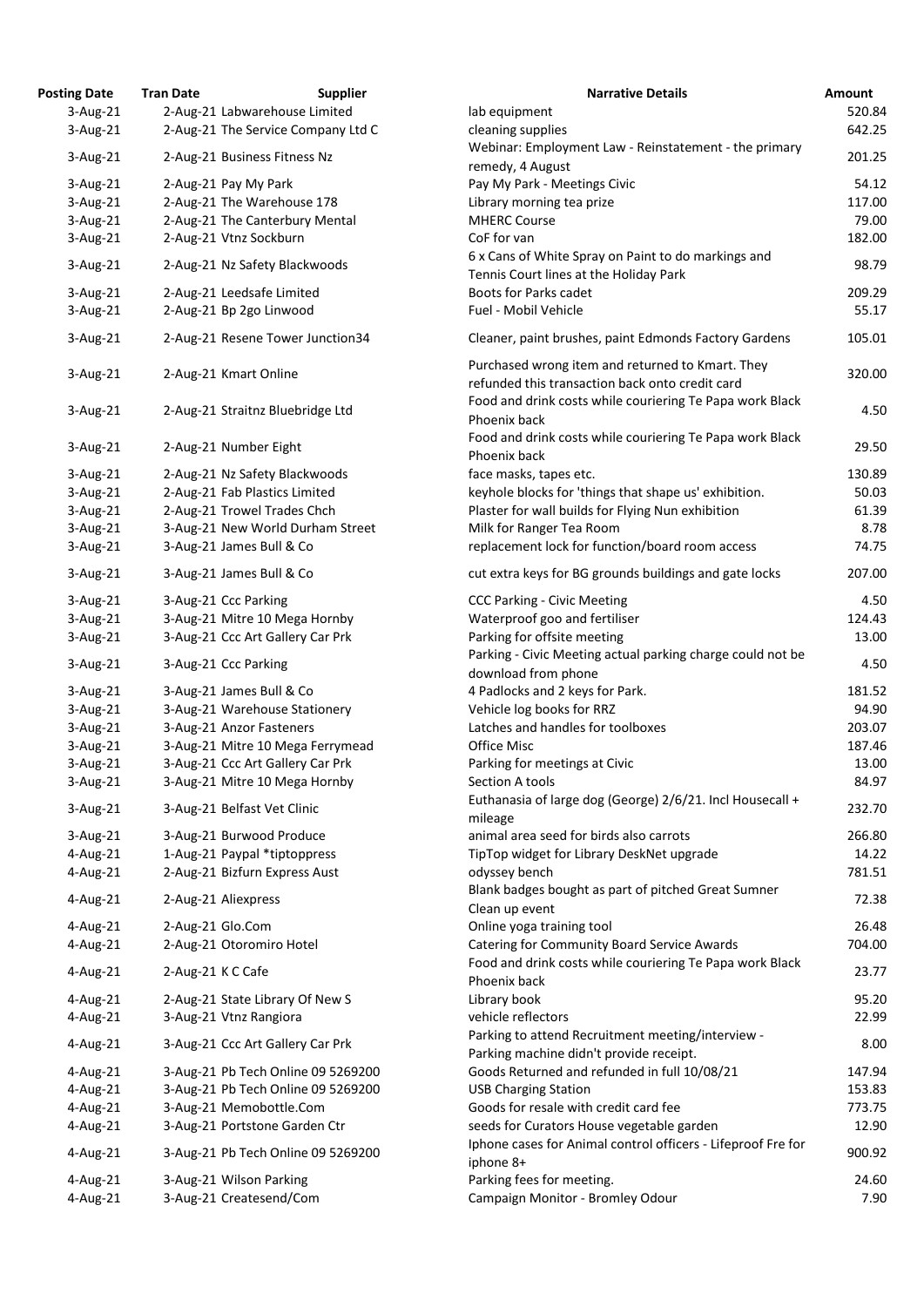| <b>Posting Date</b> | <b>Tran Date</b>  | <b>Supplier</b>                    | <b>Narrative Details</b>                                                                                       | Amount |
|---------------------|-------------------|------------------------------------|----------------------------------------------------------------------------------------------------------------|--------|
| $3-Aug-21$          |                   | 2-Aug-21 Labwarehouse Limited      | lab equipment                                                                                                  | 520.84 |
| $3-Aug-21$          |                   | 2-Aug-21 The Service Company Ltd C | cleaning supplies                                                                                              | 642.25 |
| $3$ -Aug-21         |                   | 2-Aug-21 Business Fitness Nz       | Webinar: Employment Law - Reinstatement - the primary<br>remedy, 4 August                                      | 201.25 |
| $3$ -Aug-21         |                   | 2-Aug-21 Pay My Park               | Pay My Park - Meetings Civic                                                                                   | 54.12  |
| $3$ -Aug-21         |                   | 2-Aug-21 The Warehouse 178         | Library morning tea prize                                                                                      | 117.00 |
| $3-Aug-21$          |                   | 2-Aug-21 The Canterbury Mental     | <b>MHERC Course</b>                                                                                            | 79.00  |
| 3-Aug-21            |                   | 2-Aug-21 Vtnz Sockburn             | CoF for van                                                                                                    | 182.00 |
|                     |                   |                                    | 6 x Cans of White Spray on Paint to do markings and                                                            |        |
| $3$ -Aug-21         |                   | 2-Aug-21 Nz Safety Blackwoods      | Tennis Court lines at the Holiday Park                                                                         | 98.79  |
| $3$ -Aug-21         |                   | 2-Aug-21 Leedsafe Limited          | Boots for Parks cadet                                                                                          | 209.29 |
| 3-Aug-21            |                   | 2-Aug-21 Bp 2go Linwood            | Fuel - Mobil Vehicle                                                                                           | 55.17  |
| $3$ -Aug-21         |                   | 2-Aug-21 Resene Tower Junction34   | Cleaner, paint brushes, paint Edmonds Factory Gardens                                                          | 105.01 |
| $3$ -Aug-21         |                   | 2-Aug-21 Kmart Online              | Purchased wrong item and returned to Kmart. They                                                               | 320.00 |
|                     |                   |                                    | refunded this transaction back onto credit card                                                                |        |
| $3$ -Aug-21         |                   | 2-Aug-21 Straitnz Bluebridge Ltd   | Food and drink costs while couriering Te Papa work Black<br>Phoenix back                                       | 4.50   |
|                     |                   |                                    | Food and drink costs while couriering Te Papa work Black                                                       |        |
| $3$ -Aug-21         |                   | 2-Aug-21 Number Eight              | Phoenix back                                                                                                   | 29.50  |
| $3$ -Aug-21         |                   | 2-Aug-21 Nz Safety Blackwoods      | face masks, tapes etc.                                                                                         | 130.89 |
| $3-Aug-21$          |                   | 2-Aug-21 Fab Plastics Limited      | keyhole blocks for 'things that shape us' exhibition.                                                          | 50.03  |
| $3$ -Aug-21         |                   | 2-Aug-21 Trowel Trades Chch        | Plaster for wall builds for Flying Nun exhibition                                                              | 61.39  |
| 3-Aug-21            |                   | 3-Aug-21 New World Durham Street   | Milk for Ranger Tea Room                                                                                       | 8.78   |
| 3-Aug-21            |                   | 3-Aug-21 James Bull & Co           | replacement lock for function/board room access                                                                | 74.75  |
| $3$ -Aug-21         |                   | 3-Aug-21 James Bull & Co           | cut extra keys for BG grounds buildings and gate locks                                                         | 207.00 |
| $3$ -Aug-21         |                   | 3-Aug-21 Ccc Parking               | <b>CCC Parking - Civic Meeting</b>                                                                             | 4.50   |
| $3$ -Aug-21         |                   | 3-Aug-21 Mitre 10 Mega Hornby      | Waterproof goo and fertiliser                                                                                  | 124.43 |
| $3$ -Aug-21         |                   | 3-Aug-21 Ccc Art Gallery Car Prk   | Parking for offsite meeting                                                                                    | 13.00  |
| $3$ -Aug-21         |                   | 3-Aug-21 Ccc Parking               | Parking - Civic Meeting actual parking charge could not be<br>download from phone                              | 4.50   |
| $3$ -Aug-21         |                   | 3-Aug-21 James Bull & Co           | 4 Padlocks and 2 keys for Park.                                                                                | 181.52 |
| $3$ -Aug-21         |                   | 3-Aug-21 Warehouse Stationery      | Vehicle log books for RRZ                                                                                      | 94.90  |
| $3-Aug-21$          |                   | 3-Aug-21 Anzor Fasteners           | Latches and handles for toolboxes                                                                              | 203.07 |
| 3-Aug-21            |                   | 3-Aug-21 Mitre 10 Mega Ferrymead   | <b>Office Misc</b>                                                                                             | 187.46 |
| $3$ -Aug-21         |                   | 3-Aug-21 Ccc Art Gallery Car Prk   | Parking for meetings at Civic                                                                                  | 13.00  |
|                     |                   |                                    | Section A tools                                                                                                | 84.97  |
| 3-Aug-21            |                   | 3-Aug-21 Mitre 10 Mega Hornby      |                                                                                                                |        |
| $3$ -Aug-21         |                   | 3-Aug-21 Belfast Vet Clinic        | Euthanasia of large dog (George) 2/6/21. Incl Housecall +<br>mileage                                           | 232.70 |
| $3$ -Aug-21         |                   | 3-Aug-21 Burwood Produce           | animal area seed for birds also carrots                                                                        | 266.80 |
| 4-Aug-21            |                   | 1-Aug-21 Paypal *tiptoppress       | TipTop widget for Library DeskNet upgrade                                                                      | 14.22  |
| 4-Aug-21            |                   | 2-Aug-21 Bizfurn Express Aust      | odyssey bench                                                                                                  | 781.51 |
| 4-Aug-21            |                   | 2-Aug-21 Aliexpress                | Blank badges bought as part of pitched Great Sumner<br>Clean up event                                          | 72.38  |
| 4-Aug-21            | 2-Aug-21 Glo.Com  |                                    | Online yoga training tool                                                                                      | 26.48  |
| 4-Aug-21            |                   | 2-Aug-21 Otoromiro Hotel           | <b>Catering for Community Board Service Awards</b><br>Food and drink costs while couriering Te Papa work Black | 704.00 |
| 4-Aug-21            | 2-Aug-21 K C Cafe |                                    | Phoenix back                                                                                                   | 23.77  |
| 4-Aug-21            |                   | 2-Aug-21 State Library Of New S    | Library book                                                                                                   | 95.20  |
| 4-Aug-21            |                   | 3-Aug-21 Vtnz Rangiora             | vehicle reflectors                                                                                             | 22.99  |
| 4-Aug-21            |                   | 3-Aug-21 Ccc Art Gallery Car Prk   | Parking to attend Recruitment meeting/interview -<br>Parking machine didn't provide receipt.                   | 8.00   |
| 4-Aug-21            |                   | 3-Aug-21 Pb Tech Online 09 5269200 | Goods Returned and refunded in full 10/08/21                                                                   | 147.94 |
| 4-Aug-21            |                   | 3-Aug-21 Pb Tech Online 09 5269200 | <b>USB Charging Station</b>                                                                                    | 153.83 |
| 4-Aug-21            |                   | 3-Aug-21 Memobottle.Com            | Goods for resale with credit card fee                                                                          | 773.75 |
| 4-Aug-21            |                   | 3-Aug-21 Portstone Garden Ctr      | seeds for Curators House vegetable garden                                                                      | 12.90  |
| 4-Aug-21            |                   | 3-Aug-21 Pb Tech Online 09 5269200 | Iphone cases for Animal control officers - Lifeproof Fre for<br>iphone 8+                                      | 900.92 |
| 4-Aug-21            |                   | 3-Aug-21 Wilson Parking            | Parking fees for meeting.                                                                                      | 24.60  |
| 4-Aug-21            |                   | 3-Aug-21 Createsend/Com            | Campaign Monitor - Bromley Odour                                                                               | 7.90   |
|                     |                   |                                    |                                                                                                                |        |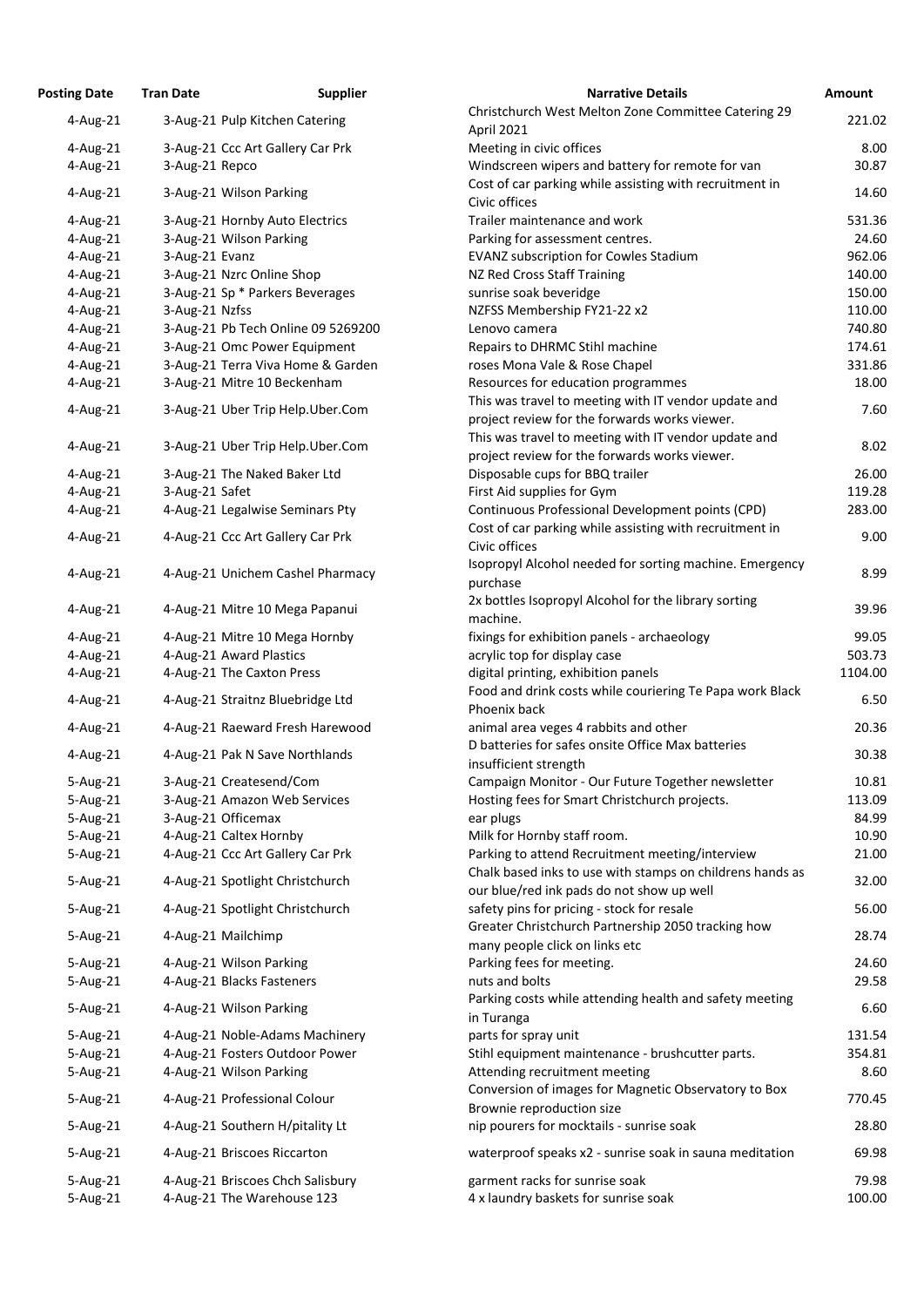| <b>Posting Date</b> | <b>Tran Date</b> | <b>Supplier</b>                    | <b>Narrative Details</b>                                  | Amount  |
|---------------------|------------------|------------------------------------|-----------------------------------------------------------|---------|
| 4-Aug-21            |                  | 3-Aug-21 Pulp Kitchen Catering     | Christchurch West Melton Zone Committee Catering 29       | 221.02  |
|                     |                  |                                    | April 2021                                                |         |
| 4-Aug-21            |                  | 3-Aug-21 Ccc Art Gallery Car Prk   | Meeting in civic offices                                  | 8.00    |
| 4-Aug-21            | 3-Aug-21 Repco   |                                    | Windscreen wipers and battery for remote for van          | 30.87   |
| 4-Aug-21            |                  | 3-Aug-21 Wilson Parking            | Cost of car parking while assisting with recruitment in   | 14.60   |
|                     |                  |                                    | Civic offices                                             |         |
| 4-Aug-21            |                  | 3-Aug-21 Hornby Auto Electrics     | Trailer maintenance and work                              | 531.36  |
| 4-Aug-21            |                  | 3-Aug-21 Wilson Parking            | Parking for assessment centres.                           | 24.60   |
| 4-Aug-21            | 3-Aug-21 Evanz   |                                    | <b>EVANZ subscription for Cowles Stadium</b>              | 962.06  |
| 4-Aug-21            |                  | 3-Aug-21 Nzrc Online Shop          | NZ Red Cross Staff Training                               | 140.00  |
| 4-Aug-21            |                  | 3-Aug-21 Sp * Parkers Beverages    | sunrise soak beveridge                                    | 150.00  |
| 4-Aug-21            | 3-Aug-21 Nzfss   |                                    | NZFSS Membership FY21-22 x2                               | 110.00  |
| 4-Aug-21            |                  | 3-Aug-21 Pb Tech Online 09 5269200 | Lenovo camera                                             | 740.80  |
| 4-Aug-21            |                  | 3-Aug-21 Omc Power Equipment       | Repairs to DHRMC Stihl machine                            | 174.61  |
| 4-Aug-21            |                  | 3-Aug-21 Terra Viva Home & Garden  | roses Mona Vale & Rose Chapel                             | 331.86  |
| 4-Aug-21            |                  | 3-Aug-21 Mitre 10 Beckenham        | Resources for education programmes                        | 18.00   |
| 4-Aug-21            |                  | 3-Aug-21 Uber Trip Help.Uber.Com   | This was travel to meeting with IT vendor update and      | 7.60    |
|                     |                  |                                    | project review for the forwards works viewer.             |         |
| 4-Aug-21            |                  | 3-Aug-21 Uber Trip Help.Uber.Com   | This was travel to meeting with IT vendor update and      | 8.02    |
|                     |                  |                                    | project review for the forwards works viewer.             |         |
| 4-Aug-21            |                  | 3-Aug-21 The Naked Baker Ltd       | Disposable cups for BBQ trailer                           | 26.00   |
| 4-Aug-21            | 3-Aug-21 Safet   |                                    | First Aid supplies for Gym                                | 119.28  |
| 4-Aug-21            |                  | 4-Aug-21 Legalwise Seminars Pty    | Continuous Professional Development points (CPD)          | 283.00  |
| 4-Aug-21            |                  | 4-Aug-21 Ccc Art Gallery Car Prk   | Cost of car parking while assisting with recruitment in   | 9.00    |
|                     |                  |                                    | Civic offices                                             |         |
| 4-Aug-21            |                  | 4-Aug-21 Unichem Cashel Pharmacy   | Isopropyl Alcohol needed for sorting machine. Emergency   | 8.99    |
|                     |                  |                                    | purchase                                                  |         |
| 4-Aug-21            |                  | 4-Aug-21 Mitre 10 Mega Papanui     | 2x bottles Isopropyl Alcohol for the library sorting      | 39.96   |
|                     |                  |                                    | machine.                                                  |         |
| $4$ -Aug-21         |                  | 4-Aug-21 Mitre 10 Mega Hornby      | fixings for exhibition panels - archaeology               | 99.05   |
| 4-Aug-21            |                  | 4-Aug-21 Award Plastics            | acrylic top for display case                              | 503.73  |
| 4-Aug-21            |                  | 4-Aug-21 The Caxton Press          | digital printing, exhibition panels                       | 1104.00 |
| 4-Aug-21            |                  | 4-Aug-21 Straitnz Bluebridge Ltd   | Food and drink costs while couriering Te Papa work Black  | 6.50    |
|                     |                  |                                    | Phoenix back                                              |         |
| 4-Aug-21            |                  | 4-Aug-21 Raeward Fresh Harewood    | animal area veges 4 rabbits and other                     | 20.36   |
| 4-Aug-21            |                  | 4-Aug-21 Pak N Save Northlands     | D batteries for safes onsite Office Max batteries         | 30.38   |
|                     |                  |                                    | insufficient strength                                     |         |
| $5 - Aug-21$        |                  | 3-Aug-21 Createsend/Com            | Campaign Monitor - Our Future Together newsletter         | 10.81   |
| 5-Aug-21            |                  | 3-Aug-21 Amazon Web Services       | Hosting fees for Smart Christchurch projects.             | 113.09  |
| 5-Aug-21            |                  | 3-Aug-21 Officemax                 | ear plugs                                                 | 84.99   |
| 5-Aug-21            |                  | 4-Aug-21 Caltex Hornby             | Milk for Hornby staff room.                               | 10.90   |
| 5-Aug-21            |                  | 4-Aug-21 Ccc Art Gallery Car Prk   | Parking to attend Recruitment meeting/interview           | 21.00   |
| 5-Aug-21            |                  | 4-Aug-21 Spotlight Christchurch    | Chalk based inks to use with stamps on childrens hands as | 32.00   |
|                     |                  |                                    | our blue/red ink pads do not show up well                 |         |
| 5-Aug-21            |                  | 4-Aug-21 Spotlight Christchurch    | safety pins for pricing - stock for resale                | 56.00   |
| 5-Aug-21            |                  | 4-Aug-21 Mailchimp                 | Greater Christchurch Partnership 2050 tracking how        | 28.74   |
|                     |                  |                                    | many people click on links etc                            |         |
| 5-Aug-21            |                  | 4-Aug-21 Wilson Parking            | Parking fees for meeting.                                 | 24.60   |
| 5-Aug-21            |                  | 4-Aug-21 Blacks Fasteners          | nuts and bolts                                            | 29.58   |
| 5-Aug-21            |                  | 4-Aug-21 Wilson Parking            | Parking costs while attending health and safety meeting   | 6.60    |
|                     |                  |                                    | in Turanga                                                |         |
| 5-Aug-21            |                  | 4-Aug-21 Noble-Adams Machinery     | parts for spray unit                                      | 131.54  |
| 5-Aug-21            |                  | 4-Aug-21 Fosters Outdoor Power     | Stihl equipment maintenance - brushcutter parts.          | 354.81  |
| 5-Aug-21            |                  | 4-Aug-21 Wilson Parking            | Attending recruitment meeting                             | 8.60    |
| 5-Aug-21            |                  | 4-Aug-21 Professional Colour       | Conversion of images for Magnetic Observatory to Box      | 770.45  |
|                     |                  |                                    | Brownie reproduction size                                 |         |
| 5-Aug-21            |                  | 4-Aug-21 Southern H/pitality Lt    | nip pourers for mocktails - sunrise soak                  | 28.80   |
| 5-Aug-21            |                  | 4-Aug-21 Briscoes Riccarton        | waterproof speaks x2 - sunrise soak in sauna meditation   | 69.98   |
|                     |                  |                                    |                                                           |         |
| $5 - Aug-21$        |                  | 4-Aug-21 Briscoes Chch Salisbury   | garment racks for sunrise soak                            | 79.98   |
| 5-Aug-21            |                  | 4-Aug-21 The Warehouse 123         | 4 x laundry baskets for sunrise soak                      | 100.00  |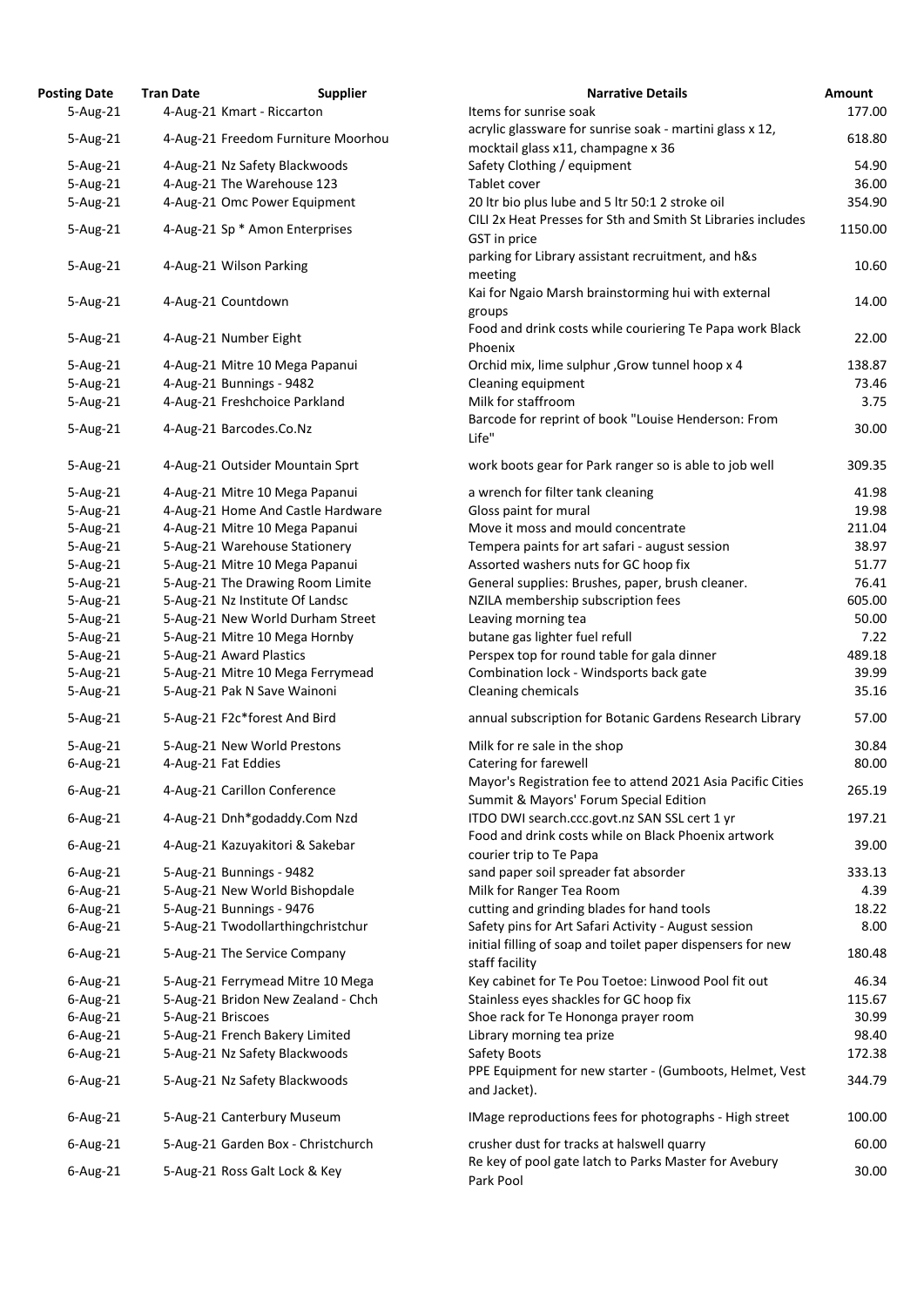| <b>Posting Date</b> | <b>Tran Date</b>                | <b>Supplier</b>                    | <b>Narrative Details</b>                                                                            |
|---------------------|---------------------------------|------------------------------------|-----------------------------------------------------------------------------------------------------|
| 5-Aug-21            | 4-Aug-21 Kmart - Riccarton      |                                    | Items for sunrise soak                                                                              |
| 5-Aug-21            |                                 | 4-Aug-21 Freedom Furniture Moorhou | acrylic glassware for sunrise soak - martini glass x 12,                                            |
|                     |                                 |                                    | mocktail glass x11, champagne x 36                                                                  |
| 5-Aug-21            | 4-Aug-21 Nz Safety Blackwoods   |                                    | Safety Clothing / equipment                                                                         |
| 5-Aug-21            | 4-Aug-21 The Warehouse 123      |                                    | Tablet cover                                                                                        |
| 5-Aug-21            |                                 | 4-Aug-21 Omc Power Equipment       | 20 Itr bio plus lube and 5 Itr 50:1 2 stroke oil                                                    |
|                     |                                 |                                    | CILI 2x Heat Presses for Sth and Smith St Libraries inclu                                           |
| 5-Aug-21            | 4-Aug-21 Sp * Amon Enterprises  |                                    | GST in price                                                                                        |
|                     |                                 |                                    | parking for Library assistant recruitment, and h&s                                                  |
| 5-Aug-21            | 4-Aug-21 Wilson Parking         |                                    | meeting                                                                                             |
|                     |                                 |                                    | Kai for Ngaio Marsh brainstorming hui with external                                                 |
| 5-Aug-21            | 4-Aug-21 Countdown              |                                    | groups                                                                                              |
|                     |                                 |                                    | Food and drink costs while couriering Te Papa work Bl                                               |
| 5-Aug-21            | 4-Aug-21 Number Eight           |                                    | Phoenix                                                                                             |
| 5-Aug-21            |                                 | 4-Aug-21 Mitre 10 Mega Papanui     | Orchid mix, lime sulphur, Grow tunnel hoop x 4                                                      |
| 5-Aug-21            | 4-Aug-21 Bunnings - 9482        |                                    | Cleaning equipment                                                                                  |
| 5-Aug-21            | 4-Aug-21 Freshchoice Parkland   |                                    | Milk for staffroom                                                                                  |
|                     |                                 |                                    | Barcode for reprint of book "Louise Henderson: From                                                 |
| 5-Aug-21            | 4-Aug-21 Barcodes.Co.Nz         |                                    | Life"                                                                                               |
|                     |                                 |                                    |                                                                                                     |
| 5-Aug-21            |                                 | 4-Aug-21 Outsider Mountain Sprt    | work boots gear for Park ranger so is able to job well                                              |
| 5-Aug-21            |                                 | 4-Aug-21 Mitre 10 Mega Papanui     | a wrench for filter tank cleaning                                                                   |
| 5-Aug-21            |                                 | 4-Aug-21 Home And Castle Hardware  | Gloss paint for mural                                                                               |
| 5-Aug-21            |                                 | 4-Aug-21 Mitre 10 Mega Papanui     | Move it moss and mould concentrate                                                                  |
| 5-Aug-21            | 5-Aug-21 Warehouse Stationery   |                                    | Tempera paints for art safari - august session                                                      |
| 5-Aug-21            |                                 | 5-Aug-21 Mitre 10 Mega Papanui     | Assorted washers nuts for GC hoop fix                                                               |
| $5-Aug-21$          |                                 | 5-Aug-21 The Drawing Room Limite   | General supplies: Brushes, paper, brush cleaner.                                                    |
| 5-Aug-21            | 5-Aug-21 Nz Institute Of Landsc |                                    | NZILA membership subscription fees                                                                  |
| 5-Aug-21            |                                 | 5-Aug-21 New World Durham Street   | Leaving morning tea                                                                                 |
| 5-Aug-21            |                                 | 5-Aug-21 Mitre 10 Mega Hornby      | butane gas lighter fuel refull                                                                      |
| 5-Aug-21            | 5-Aug-21 Award Plastics         |                                    | Perspex top for round table for gala dinner                                                         |
| 5-Aug-21            |                                 | 5-Aug-21 Mitre 10 Mega Ferrymead   | Combination lock - Windsports back gate                                                             |
| $5 - Aug-21$        | 5-Aug-21 Pak N Save Wainoni     |                                    | Cleaning chemicals                                                                                  |
| 5-Aug-21            | 5-Aug-21 F2c*forest And Bird    |                                    | annual subscription for Botanic Gardens Research Libr                                               |
| 5-Aug-21            | 5-Aug-21 New World Prestons     |                                    | Milk for re sale in the shop                                                                        |
| $6$ -Aug-21         | 4-Aug-21 Fat Eddies             |                                    | Catering for farewell                                                                               |
|                     |                                 |                                    | Mayor's Registration fee to attend 2021 Asia Pacific C                                              |
| $6$ -Aug-21         | 4-Aug-21 Carillon Conference    |                                    | Summit & Mayors' Forum Special Edition                                                              |
| $6$ -Aug-21         |                                 | 4-Aug-21 Dnh*godaddy.Com Nzd       | ITDO DWI search.ccc.govt.nz SAN SSL cert 1 yr                                                       |
|                     |                                 |                                    | Food and drink costs while on Black Phoenix artwork                                                 |
| $6$ -Aug-21         |                                 | 4-Aug-21 Kazuyakitori & Sakebar    | courier trip to Te Papa                                                                             |
| $6$ -Aug-21         | 5-Aug-21 Bunnings - 9482        |                                    | sand paper soil spreader fat absorder                                                               |
| $6$ -Aug-21         |                                 | 5-Aug-21 New World Bishopdale      | Milk for Ranger Tea Room                                                                            |
| $6$ -Aug-21         | 5-Aug-21 Bunnings - 9476        |                                    | cutting and grinding blades for hand tools                                                          |
| $6$ -Aug-21         |                                 | 5-Aug-21 Twodollarthingchristchur  | Safety pins for Art Safari Activity - August session                                                |
|                     |                                 |                                    | initial filling of soap and toilet paper dispensers for ne                                          |
| $6$ -Aug-21         | 5-Aug-21 The Service Company    |                                    | staff facility                                                                                      |
| $6$ -Aug-21         |                                 | 5-Aug-21 Ferrymead Mitre 10 Mega   | Key cabinet for Te Pou Toetoe: Linwood Pool fit out                                                 |
| $6$ -Aug-21         |                                 | 5-Aug-21 Bridon New Zealand - Chch | Stainless eyes shackles for GC hoop fix                                                             |
| $6$ -Aug-21         | 5-Aug-21 Briscoes               |                                    | Shoe rack for Te Hononga prayer room                                                                |
| $6$ -Aug-21         | 5-Aug-21 French Bakery Limited  |                                    | Library morning tea prize                                                                           |
| $6$ -Aug-21         | 5-Aug-21 Nz Safety Blackwoods   |                                    | Safety Boots                                                                                        |
|                     |                                 |                                    | PPE Equipment for new starter - (Gumboots, Helmet,                                                  |
| $6$ -Aug-21         | 5-Aug-21 Nz Safety Blackwoods   |                                    | and Jacket).                                                                                        |
| $6$ -Aug-21         | 5-Aug-21 Canterbury Museum      |                                    | IMage reproductions fees for photographs - High stree                                               |
|                     |                                 |                                    |                                                                                                     |
| $6$ -Aug-21         |                                 | 5-Aug-21 Garden Box - Christchurch | crusher dust for tracks at halswell quarry<br>Re key of pool gate latch to Parks Master for Avebury |
| $6$ -Aug-21         | 5-Aug-21 Ross Galt Lock & Key   |                                    | Dork Dool                                                                                           |

| ng Date      | <b>Tran Date</b>      | <b>Supplier</b>                    | <b>Narrative Details</b>                                     | Amount  |
|--------------|-----------------------|------------------------------------|--------------------------------------------------------------|---------|
| 5-Aug-21     |                       | 4-Aug-21 Kmart - Riccarton         | Items for sunrise soak                                       | 177.00  |
| 5-Aug-21     |                       | 4-Aug-21 Freedom Furniture Moorhou | acrylic glassware for sunrise soak - martini glass x 12,     | 618.80  |
|              |                       |                                    | mocktail glass x11, champagne x 36                           |         |
| 5-Aug-21     |                       | 4-Aug-21 Nz Safety Blackwoods      | Safety Clothing / equipment                                  | 54.90   |
| 5-Aug-21     |                       | 4-Aug-21 The Warehouse 123         | Tablet cover                                                 | 36.00   |
| 5-Aug-21     |                       | 4-Aug-21 Omc Power Equipment       | 20 Itr bio plus lube and 5 Itr 50:1 2 stroke oil             | 354.90  |
|              |                       |                                    | CILI 2x Heat Presses for Sth and Smith St Libraries includes |         |
| 5-Aug-21     |                       | 4-Aug-21 Sp * Amon Enterprises     | GST in price                                                 | 1150.00 |
|              |                       |                                    | parking for Library assistant recruitment, and h&s           |         |
| 5-Aug-21     |                       | 4-Aug-21 Wilson Parking            | meeting                                                      | 10.60   |
|              |                       |                                    | Kai for Ngaio Marsh brainstorming hui with external          |         |
| 5-Aug-21     | 4-Aug-21 Countdown    |                                    | groups                                                       | 14.00   |
|              |                       |                                    | Food and drink costs while couriering Te Papa work Black     |         |
| 5-Aug-21     | 4-Aug-21 Number Eight |                                    | Phoenix                                                      | 22.00   |
| 5-Aug-21     |                       | 4-Aug-21 Mitre 10 Mega Papanui     | Orchid mix, lime sulphur , Grow tunnel hoop x 4              | 138.87  |
| 5-Aug-21     |                       | 4-Aug-21 Bunnings - 9482           | Cleaning equipment                                           | 73.46   |
| 5-Aug-21     |                       | 4-Aug-21 Freshchoice Parkland      | Milk for staffroom                                           | 3.75    |
|              |                       |                                    | Barcode for reprint of book "Louise Henderson: From          |         |
| 5-Aug-21     |                       | 4-Aug-21 Barcodes.Co.Nz            |                                                              | 30.00   |
|              |                       |                                    | Life"                                                        |         |
| 5-Aug-21     |                       | 4-Aug-21 Outsider Mountain Sprt    | work boots gear for Park ranger so is able to job well       | 309.35  |
|              |                       |                                    |                                                              |         |
| 5-Aug-21     |                       | 4-Aug-21 Mitre 10 Mega Papanui     | a wrench for filter tank cleaning                            | 41.98   |
| 5-Aug-21     |                       | 4-Aug-21 Home And Castle Hardware  | Gloss paint for mural                                        | 19.98   |
| 5-Aug-21     |                       | 4-Aug-21 Mitre 10 Mega Papanui     | Move it moss and mould concentrate                           | 211.04  |
| 5-Aug-21     |                       | 5-Aug-21 Warehouse Stationery      | Tempera paints for art safari - august session               | 38.97   |
| 5-Aug-21     |                       | 5-Aug-21 Mitre 10 Mega Papanui     | Assorted washers nuts for GC hoop fix                        | 51.77   |
| 5-Aug-21     |                       | 5-Aug-21 The Drawing Room Limite   | General supplies: Brushes, paper, brush cleaner.             | 76.41   |
| 5-Aug-21     |                       | 5-Aug-21 Nz Institute Of Landsc    | NZILA membership subscription fees                           | 605.00  |
| 5-Aug-21     |                       | 5-Aug-21 New World Durham Street   | Leaving morning tea                                          | 50.00   |
| 5-Aug-21     |                       | 5-Aug-21 Mitre 10 Mega Hornby      | butane gas lighter fuel refull                               | 7.22    |
| 5-Aug-21     |                       | 5-Aug-21 Award Plastics            | Perspex top for round table for gala dinner                  | 489.18  |
| 5-Aug-21     |                       | 5-Aug-21 Mitre 10 Mega Ferrymead   | Combination lock - Windsports back gate                      | 39.99   |
| 5-Aug-21     |                       | 5-Aug-21 Pak N Save Wainoni        | Cleaning chemicals                                           | 35.16   |
|              |                       |                                    |                                                              |         |
| 5-Aug-21     |                       | 5-Aug-21 F2c*forest And Bird       | annual subscription for Botanic Gardens Research Library     | 57.00   |
| $5 - Aug-21$ |                       | 5-Aug-21 New World Prestons        | Milk for re sale in the shop                                 | 30.84   |
| 6-Aug-21     | 4-Aug-21 Fat Eddies   |                                    | Catering for farewell                                        | 80.00   |
|              |                       |                                    | Mayor's Registration fee to attend 2021 Asia Pacific Cities  |         |
| 6-Aug-21     |                       | 4-Aug-21 Carillon Conference       | Summit & Mayors' Forum Special Edition                       | 265.19  |
| 6-Aug-21     |                       | 4-Aug-21 Dnh*godaddy.Com Nzd       | ITDO DWI search.ccc.govt.nz SAN SSL cert 1 yr                | 197.21  |
|              |                       |                                    | Food and drink costs while on Black Phoenix artwork          |         |
| 6-Aug-21     |                       | 4-Aug-21 Kazuyakitori & Sakebar    |                                                              | 39.00   |
|              |                       |                                    | courier trip to Te Papa                                      |         |
| 6-Aug-21     |                       | 5-Aug-21 Bunnings - 9482           | sand paper soil spreader fat absorder                        | 333.13  |
| 6-Aug-21     |                       | 5-Aug-21 New World Bishopdale      | Milk for Ranger Tea Room                                     | 4.39    |
| 6-Aug-21     |                       | 5-Aug-21 Bunnings - 9476           | cutting and grinding blades for hand tools                   | 18.22   |
| 6-Aug-21     |                       | 5-Aug-21 Twodollarthingchristchur  | Safety pins for Art Safari Activity - August session         | 8.00    |
| 6-Aug-21     |                       | 5-Aug-21 The Service Company       | initial filling of soap and toilet paper dispensers for new  | 180.48  |
|              |                       |                                    | staff facility                                               |         |
| 6-Aug-21     |                       | 5-Aug-21 Ferrymead Mitre 10 Mega   | Key cabinet for Te Pou Toetoe: Linwood Pool fit out          | 46.34   |
| 6-Aug-21     |                       | 5-Aug-21 Bridon New Zealand - Chch | Stainless eyes shackles for GC hoop fix                      | 115.67  |
| 6-Aug-21     | 5-Aug-21 Briscoes     |                                    | Shoe rack for Te Hononga prayer room                         | 30.99   |
| 6-Aug-21     |                       | 5-Aug-21 French Bakery Limited     | Library morning tea prize                                    | 98.40   |
| 6-Aug-21     |                       | 5-Aug-21 Nz Safety Blackwoods      | Safety Boots                                                 | 172.38  |
|              |                       |                                    | PPE Equipment for new starter - (Gumboots, Helmet, Vest      |         |
| 6-Aug-21     |                       | 5-Aug-21 Nz Safety Blackwoods      | and Jacket).                                                 | 344.79  |
|              |                       |                                    |                                                              |         |
| 6-Aug-21     |                       | 5-Aug-21 Canterbury Museum         | IMage reproductions fees for photographs - High street       | 100.00  |
| 6-Aug-21     |                       | 5-Aug-21 Garden Box - Christchurch | crusher dust for tracks at halswell quarry                   | 60.00   |
|              |                       |                                    | Re key of pool gate latch to Parks Master for Avebury        |         |
| 6-Aug-21     |                       | 5-Aug-21 Ross Galt Lock & Key      | Park Pool                                                    | 30.00   |
|              |                       |                                    |                                                              |         |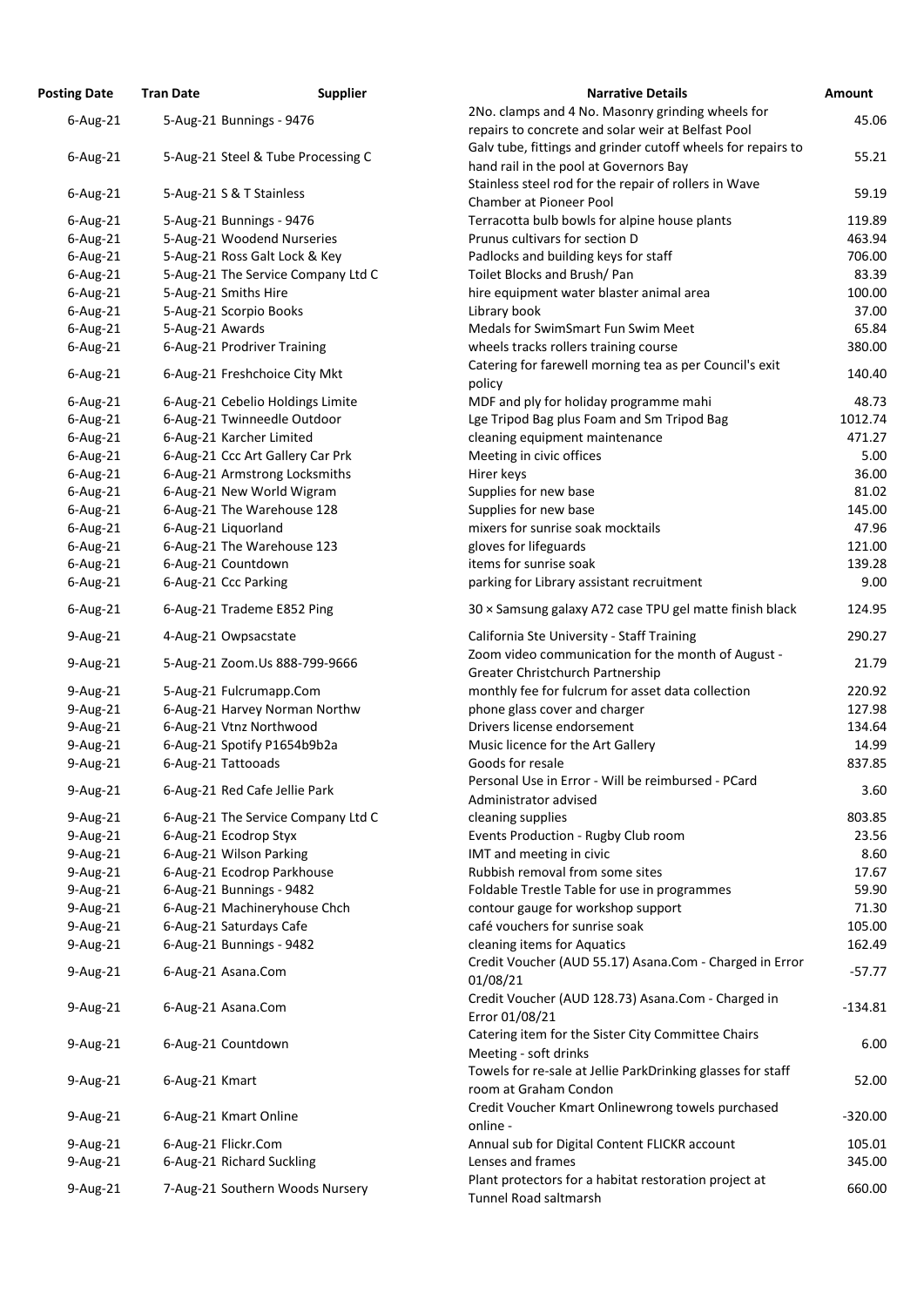| <b>Posting Date</b> | <b>Tran Date</b>                   | <b>Supplier</b> | <b>Narrative Details</b>                                     | Amount    |
|---------------------|------------------------------------|-----------------|--------------------------------------------------------------|-----------|
| $6$ -Aug-21         | 5-Aug-21 Bunnings - 9476           |                 | 2No. clamps and 4 No. Masonry grinding wheels for            | 45.06     |
|                     |                                    |                 | repairs to concrete and solar weir at Belfast Pool           |           |
| $6$ -Aug-21         | 5-Aug-21 Steel & Tube Processing C |                 | Galv tube, fittings and grinder cutoff wheels for repairs to | 55.21     |
|                     |                                    |                 | hand rail in the pool at Governors Bay                       |           |
| $6$ -Aug-21         | 5-Aug-21 S & T Stainless           |                 | Stainless steel rod for the repair of rollers in Wave        | 59.19     |
|                     |                                    |                 | <b>Chamber at Pioneer Pool</b>                               |           |
| $6$ -Aug-21         | 5-Aug-21 Bunnings - 9476           |                 | Terracotta bulb bowls for alpine house plants                | 119.89    |
| $6$ -Aug-21         | 5-Aug-21 Woodend Nurseries         |                 | Prunus cultivars for section D                               | 463.94    |
| $6$ -Aug-21         | 5-Aug-21 Ross Galt Lock & Key      |                 | Padlocks and building keys for staff                         | 706.00    |
| $6$ -Aug-21         | 5-Aug-21 The Service Company Ltd C |                 | Toilet Blocks and Brush/ Pan                                 | 83.39     |
| $6$ -Aug-21         | 5-Aug-21 Smiths Hire               |                 | hire equipment water blaster animal area                     | 100.00    |
| $6$ -Aug-21         | 5-Aug-21 Scorpio Books             |                 | Library book                                                 | 37.00     |
| $6$ -Aug-21         | 5-Aug-21 Awards                    |                 | Medals for SwimSmart Fun Swim Meet                           | 65.84     |
| $6$ -Aug-21         | 6-Aug-21 Prodriver Training        |                 | wheels tracks rollers training course                        | 380.00    |
| $6$ -Aug-21         | 6-Aug-21 Freshchoice City Mkt      |                 | Catering for farewell morning tea as per Council's exit      | 140.40    |
|                     |                                    |                 | policy                                                       |           |
| $6$ -Aug-21         | 6-Aug-21 Cebelio Holdings Limite   |                 | MDF and ply for holiday programme mahi                       | 48.73     |
| $6$ -Aug-21         | 6-Aug-21 Twinneedle Outdoor        |                 | Lge Tripod Bag plus Foam and Sm Tripod Bag                   | 1012.74   |
| $6$ -Aug-21         | 6-Aug-21 Karcher Limited           |                 | cleaning equipment maintenance                               | 471.27    |
| $6$ -Aug-21         | 6-Aug-21 Ccc Art Gallery Car Prk   |                 | Meeting in civic offices                                     | 5.00      |
| $6$ -Aug-21         | 6-Aug-21 Armstrong Locksmiths      |                 | Hirer keys                                                   | 36.00     |
| $6$ -Aug-21         | 6-Aug-21 New World Wigram          |                 | Supplies for new base                                        | 81.02     |
| $6$ -Aug-21         | 6-Aug-21 The Warehouse 128         |                 | Supplies for new base                                        | 145.00    |
| $6$ -Aug-21         | 6-Aug-21 Liquorland                |                 | mixers for sunrise soak mocktails                            | 47.96     |
| $6$ -Aug-21         | 6-Aug-21 The Warehouse 123         |                 | gloves for lifeguards                                        | 121.00    |
| $6$ -Aug-21         | 6-Aug-21 Countdown                 |                 | items for sunrise soak                                       | 139.28    |
| $6$ -Aug-21         | 6-Aug-21 Ccc Parking               |                 | parking for Library assistant recruitment                    | 9.00      |
| $6$ -Aug-21         | 6-Aug-21 Trademe E852 Ping         |                 | 30 x Samsung galaxy A72 case TPU gel matte finish black      | 124.95    |
| 9-Aug-21            | 4-Aug-21 Owpsacstate               |                 | California Ste University - Staff Training                   | 290.27    |
|                     |                                    |                 | Zoom video communication for the month of August -           |           |
| 9-Aug-21            | 5-Aug-21 Zoom.Us 888-799-9666      |                 | Greater Christchurch Partnership                             | 21.79     |
| 9-Aug-21            | 5-Aug-21 Fulcrumapp.Com            |                 | monthly fee for fulcrum for asset data collection            | 220.92    |
| 9-Aug-21            | 6-Aug-21 Harvey Norman Northw      |                 | phone glass cover and charger                                | 127.98    |
| 9-Aug-21            | 6-Aug-21 Vtnz Northwood            |                 | Drivers license endorsement                                  | 134.64    |
| 9-Aug-21            | 6-Aug-21 Spotify P1654b9b2a        |                 | Music licence for the Art Gallery                            | 14.99     |
| 9-Aug-21            | 6-Aug-21 Tattooads                 |                 | Goods for resale                                             | 837.85    |
|                     |                                    |                 | Personal Use in Error - Will be reimbursed - PCard           |           |
| 9-Aug-21            | 6-Aug-21 Red Cafe Jellie Park      |                 | Administrator advised                                        | 3.60      |
| $9$ -Aug-21         | 6-Aug-21 The Service Company Ltd C |                 | cleaning supplies                                            | 803.85    |
| 9-Aug-21            | 6-Aug-21 Ecodrop Styx              |                 | Events Production - Rugby Club room                          | 23.56     |
| 9-Aug-21            | 6-Aug-21 Wilson Parking            |                 | IMT and meeting in civic                                     | 8.60      |
| 9-Aug-21            | 6-Aug-21 Ecodrop Parkhouse         |                 | Rubbish removal from some sites                              | 17.67     |
| 9-Aug-21            | 6-Aug-21 Bunnings - 9482           |                 | Foldable Trestle Table for use in programmes                 | 59.90     |
| 9-Aug-21            | 6-Aug-21 Machineryhouse Chch       |                 | contour gauge for workshop support                           | 71.30     |
| 9-Aug-21            | 6-Aug-21 Saturdays Cafe            |                 | café vouchers for sunrise soak                               | 105.00    |
| 9-Aug-21            | 6-Aug-21 Bunnings - 9482           |                 | cleaning items for Aquatics                                  | 162.49    |
|                     |                                    |                 | Credit Voucher (AUD 55.17) Asana.Com - Charged in Error      |           |
| 9-Aug-21            | 6-Aug-21 Asana.Com                 |                 | 01/08/21                                                     | $-57.77$  |
|                     |                                    |                 | Credit Voucher (AUD 128.73) Asana.Com - Charged in           |           |
| $9$ -Aug-21         | 6-Aug-21 Asana.Com                 |                 | Error 01/08/21                                               | $-134.81$ |
|                     |                                    |                 | Catering item for the Sister City Committee Chairs           |           |
| 9-Aug-21            | 6-Aug-21 Countdown                 |                 | Meeting - soft drinks                                        | 6.00      |
|                     |                                    |                 | Towels for re-sale at Jellie ParkDrinking glasses for staff  |           |
| 9-Aug-21            | 6-Aug-21 Kmart                     |                 | room at Graham Condon                                        | 52.00     |
|                     |                                    |                 | Credit Voucher Kmart Onlinewrong towels purchased            |           |
| 9-Aug-21            | 6-Aug-21 Kmart Online              |                 | online -                                                     | $-320.00$ |
| 9-Aug-21            | 6-Aug-21 Flickr.Com                |                 | Annual sub for Digital Content FLICKR account                | 105.01    |
| 9-Aug-21            | 6-Aug-21 Richard Suckling          |                 | Lenses and frames                                            | 345.00    |
|                     |                                    |                 | Plant protectors for a habitat restoration project at        |           |
| 9-Aug-21            | 7-Aug-21 Southern Woods Nursery    |                 | Tunnel Road saltmarsh                                        | 660.00    |

| <b>Narrative Details</b>                                                                | <b>Amount</b> |
|-----------------------------------------------------------------------------------------|---------------|
| 2No. clamps and 4 No. Masonry grinding wheels for                                       | 45.06         |
| repairs to concrete and solar weir at Belfast Pool                                      |               |
| Galv tube, fittings and grinder cutoff wheels for repairs to                            | 55.21         |
| hand rail in the pool at Governors Bay                                                  |               |
| Stainless steel rod for the repair of rollers in Wave<br><b>Chamber at Pioneer Pool</b> | 59.19         |
| Terracotta bulb bowls for alpine house plants                                           | 119.89        |
| Prunus cultivars for section D                                                          | 463.94        |
| Padlocks and building keys for staff                                                    | 706.00        |
| Toilet Blocks and Brush/ Pan                                                            | 83.39         |
| hire equipment water blaster animal area                                                | 100.00        |
| Library book                                                                            | 37.00         |
| <b>Medals for SwimSmart Fun Swim Meet</b>                                               | 65.84         |
| wheels tracks rollers training course                                                   | 380.00        |
| Catering for farewell morning tea as per Council's exit<br>policy                       | 140.40        |
| MDF and ply for holiday programme mahi                                                  | 48.73         |
| Lge Tripod Bag plus Foam and Sm Tripod Bag                                              | 1012.74       |
| cleaning equipment maintenance                                                          | 471.27        |
| Meeting in civic offices                                                                | 5.00          |
| Hirer keys                                                                              | 36.00         |
| Supplies for new base                                                                   | 81.02         |
| Supplies for new base                                                                   | 145.00        |
| mixers for sunrise soak mocktails                                                       | 47.96         |
| gloves for lifeguards                                                                   | 121.00        |
| items for sunrise soak                                                                  | 139.28        |
| parking for Library assistant recruitment                                               | 9.00          |
| 30 x Samsung galaxy A72 case TPU gel matte finish black                                 | 124.95        |
| California Ste University - Staff Training                                              | 290.27        |
| Zoom video communication for the month of August -<br>Greater Christchurch Partnership  | 21.79         |
| monthly fee for fulcrum for asset data collection                                       | 220.92        |
| phone glass cover and charger                                                           | 127.98        |
| Drivers license endorsement                                                             | 134.64        |
| Music licence for the Art Gallery                                                       | 14.99         |
| Goods for resale                                                                        | 837.85        |
| Personal Use in Error - Will be reimbursed - PCard                                      | 3.60          |
| Administrator advised                                                                   |               |
| cleaning supplies                                                                       | 803.85        |
| Events Production - Rugby Club room                                                     | 23.56         |
| IMT and meeting in civic<br>Rubbish removal from some sites                             | 8.60<br>17.67 |
| Foldable Trestle Table for use in programmes                                            | 59.90         |
| contour gauge for workshop support                                                      | 71.30         |
| café vouchers for sunrise soak                                                          | 105.00        |
| cleaning items for Aquatics                                                             | 162.49        |
| Credit Voucher (AUD 55.17) Asana.Com - Charged in Error<br>01/08/21                     | $-57.77$      |
| Credit Voucher (AUD 128.73) Asana.Com - Charged in                                      |               |
| Error 01/08/21                                                                          | $-134.81$     |
| Catering item for the Sister City Committee Chairs<br>Meeting - soft drinks             | 6.00          |
| Towels for re-sale at Jellie ParkDrinking glasses for staff                             |               |
| room at Graham Condon                                                                   | 52.00         |
| Credit Voucher Kmart Onlinewrong towels purchased                                       | $-320.00$     |
| online -                                                                                |               |
| Annual sub for Digital Content FLICKR account                                           | 105.01        |
| Lenses and frames<br>Plant protectors for a habitat restoration project at              | 345.00        |
| <b>Tunnel Road saltmarsh</b>                                                            | 660.00        |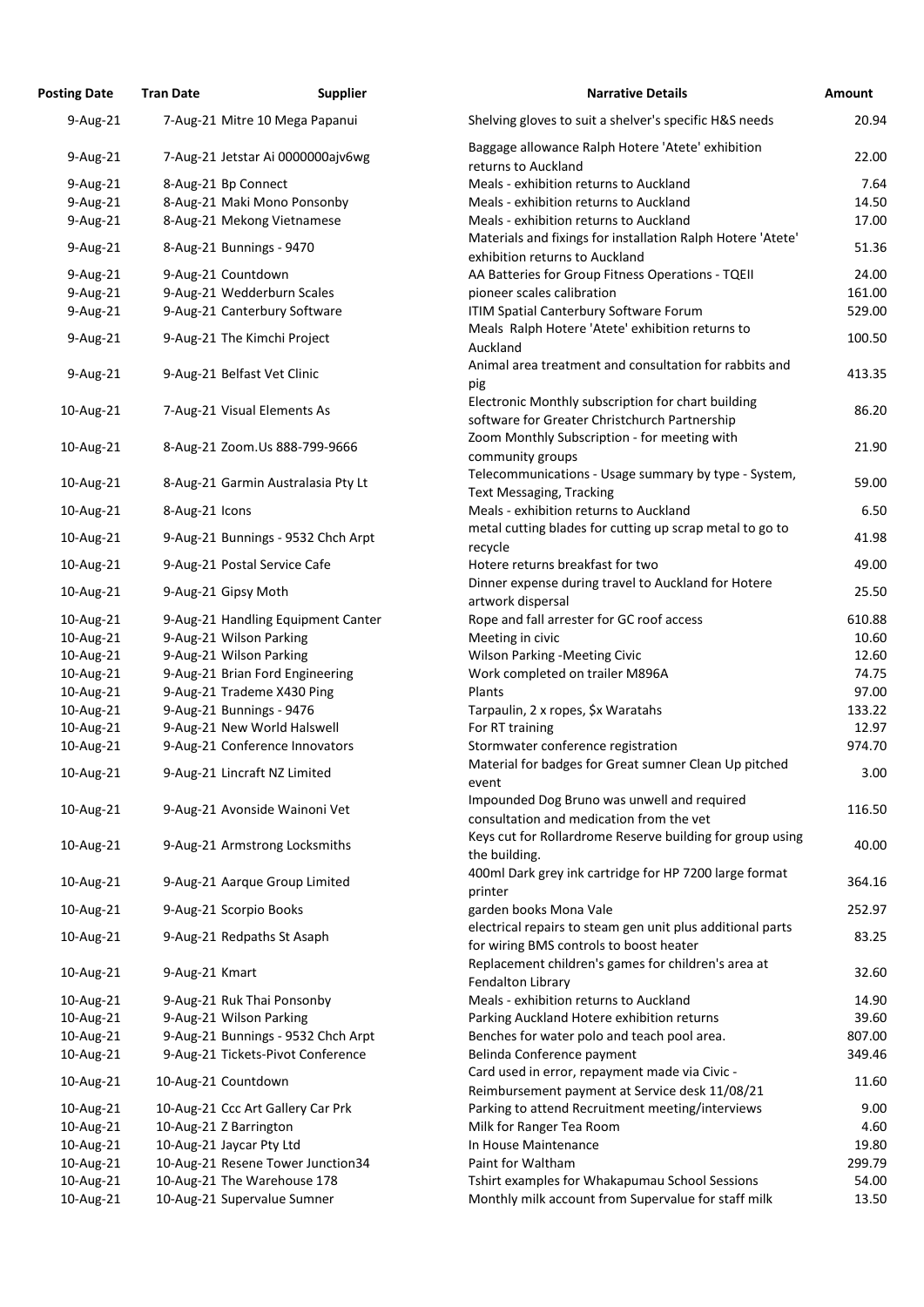| <b>Posting Date</b>    | <b>Tran Date</b>       | <b>Supplier</b>                                            | <b>Narrative Details</b>                                                                              | Amount         |
|------------------------|------------------------|------------------------------------------------------------|-------------------------------------------------------------------------------------------------------|----------------|
| 9-Aug-21               |                        | 7-Aug-21 Mitre 10 Mega Papanui                             | Shelving gloves to suit a shelver's specific H&S needs                                                | 20.94          |
| $9$ -Aug-21            |                        | 7-Aug-21 Jetstar Ai 0000000ajv6wg                          | Baggage allowance Ralph Hotere 'Atete' exhibition<br>returns to Auckland                              | 22.00          |
| 9-Aug-21               | 8-Aug-21 Bp Connect    |                                                            | Meals - exhibition returns to Auckland                                                                | 7.64           |
| 9-Aug-21               |                        | 8-Aug-21 Maki Mono Ponsonby                                | Meals - exhibition returns to Auckland                                                                | 14.50          |
| 9-Aug-21               |                        | 8-Aug-21 Mekong Vietnamese                                 | Meals - exhibition returns to Auckland                                                                | 17.00          |
| 9-Aug-21               |                        | 8-Aug-21 Bunnings - 9470                                   | Materials and fixings for installation Ralph Hotere 'Atete'<br>exhibition returns to Auckland         | 51.36          |
| 9-Aug-21               | 9-Aug-21 Countdown     |                                                            | AA Batteries for Group Fitness Operations - TQEII                                                     | 24.00          |
| 9-Aug-21               |                        | 9-Aug-21 Wedderburn Scales                                 | pioneer scales calibration                                                                            | 161.00         |
| 9-Aug-21               |                        | 9-Aug-21 Canterbury Software                               | ITIM Spatial Canterbury Software Forum                                                                | 529.00         |
| 9-Aug-21               |                        | 9-Aug-21 The Kimchi Project                                | Meals Ralph Hotere 'Atete' exhibition returns to<br>Auckland                                          | 100.50         |
| 9-Aug-21               |                        | 9-Aug-21 Belfast Vet Clinic                                | Animal area treatment and consultation for rabbits and<br>pig                                         | 413.35         |
| 10-Aug-21              |                        | 7-Aug-21 Visual Elements As                                | Electronic Monthly subscription for chart building<br>software for Greater Christchurch Partnership   | 86.20          |
| 10-Aug-21              |                        | 8-Aug-21 Zoom.Us 888-799-9666                              | Zoom Monthly Subscription - for meeting with<br>community groups                                      | 21.90          |
| 10-Aug-21              |                        | 8-Aug-21 Garmin Australasia Pty Lt                         | Telecommunications - Usage summary by type - System,<br><b>Text Messaging, Tracking</b>               | 59.00          |
| 10-Aug-21              | 8-Aug-21 Icons         |                                                            | Meals - exhibition returns to Auckland<br>metal cutting blades for cutting up scrap metal to go to    | 6.50           |
| 10-Aug-21              |                        | 9-Aug-21 Bunnings - 9532 Chch Arpt                         | recycle                                                                                               | 41.98          |
| 10-Aug-21              |                        | 9-Aug-21 Postal Service Cafe                               | Hotere returns breakfast for two<br>Dinner expense during travel to Auckland for Hotere               | 49.00          |
| 10-Aug-21              | 9-Aug-21 Gipsy Moth    |                                                            | artwork dispersal                                                                                     | 25.50          |
| 10-Aug-21              |                        | 9-Aug-21 Handling Equipment Canter                         | Rope and fall arrester for GC roof access                                                             | 610.88         |
| 10-Aug-21              |                        | 9-Aug-21 Wilson Parking                                    | Meeting in civic                                                                                      | 10.60          |
| 10-Aug-21              |                        | 9-Aug-21 Wilson Parking                                    | <b>Wilson Parking -Meeting Civic</b>                                                                  | 12.60          |
| 10-Aug-21              |                        | 9-Aug-21 Brian Ford Engineering                            | Work completed on trailer M896A                                                                       | 74.75          |
| 10-Aug-21              |                        | 9-Aug-21 Trademe X430 Ping                                 | Plants                                                                                                | 97.00          |
| 10-Aug-21              |                        | 9-Aug-21 Bunnings - 9476                                   | Tarpaulin, 2 x ropes, \$x Waratahs                                                                    | 133.22         |
| 10-Aug-21              |                        | 9-Aug-21 New World Halswell                                | For RT training                                                                                       | 12.97          |
| 10-Aug-21              |                        | 9-Aug-21 Conference Innovators                             | Stormwater conference registration                                                                    | 974.70         |
| 10-Aug-21              |                        | 9-Aug-21 Lincraft NZ Limited                               | Material for badges for Great sumner Clean Up pitched<br>event                                        | 3.00           |
| 10-Aug-21              |                        | 9-Aug-21 Avonside Wainoni Vet                              | Impounded Dog Bruno was unwell and required<br>consultation and medication from the vet               | 116.50         |
| 10-Aug-21              |                        | 9-Aug-21 Armstrong Locksmiths                              | Keys cut for Rollardrome Reserve building for group using<br>the building.                            | 40.00          |
| 10-Aug-21              |                        | 9-Aug-21 Aarque Group Limited                              | 400ml Dark grey ink cartridge for HP 7200 large format<br>printer                                     | 364.16         |
| 10-Aug-21              |                        | 9-Aug-21 Scorpio Books                                     | garden books Mona Vale<br>electrical repairs to steam gen unit plus additional parts                  | 252.97         |
| 10-Aug-21              |                        | 9-Aug-21 Redpaths St Asaph                                 | for wiring BMS controls to boost heater<br>Replacement children's games for children's area at        | 83.25          |
| 10-Aug-21              | 9-Aug-21 Kmart         |                                                            | Fendalton Library                                                                                     | 32.60          |
| 10-Aug-21              |                        | 9-Aug-21 Ruk Thai Ponsonby                                 | Meals - exhibition returns to Auckland                                                                | 14.90          |
| 10-Aug-21              |                        | 9-Aug-21 Wilson Parking                                    | Parking Auckland Hotere exhibition returns                                                            | 39.60          |
| 10-Aug-21              |                        | 9-Aug-21 Bunnings - 9532 Chch Arpt                         | Benches for water polo and teach pool area.                                                           | 807.00         |
| 10-Aug-21              |                        | 9-Aug-21 Tickets-Pivot Conference                          | Belinda Conference payment<br>Card used in error, repayment made via Civic -                          | 349.46         |
| 10-Aug-21              | 10-Aug-21 Countdown    |                                                            | Reimbursement payment at Service desk 11/08/21                                                        | 11.60          |
| 10-Aug-21              |                        | 10-Aug-21 Ccc Art Gallery Car Prk                          | Parking to attend Recruitment meeting/interviews                                                      | 9.00           |
| 10-Aug-21              | 10-Aug-21 Z Barrington |                                                            | Milk for Ranger Tea Room                                                                              | 4.60           |
| 10-Aug-21              |                        | 10-Aug-21 Jaycar Pty Ltd                                   | In House Maintenance                                                                                  | 19.80          |
| 10-Aug-21              |                        | 10-Aug-21 Resene Tower Junction34                          | Paint for Waltham                                                                                     | 299.79         |
| 10-Aug-21<br>10-Aug-21 |                        | 10-Aug-21 The Warehouse 178<br>10-Aug-21 Supervalue Sumner | Tshirt examples for Whakapumau School Sessions<br>Monthly milk account from Supervalue for staff milk | 54.00<br>13.50 |
|                        |                        |                                                            |                                                                                                       |                |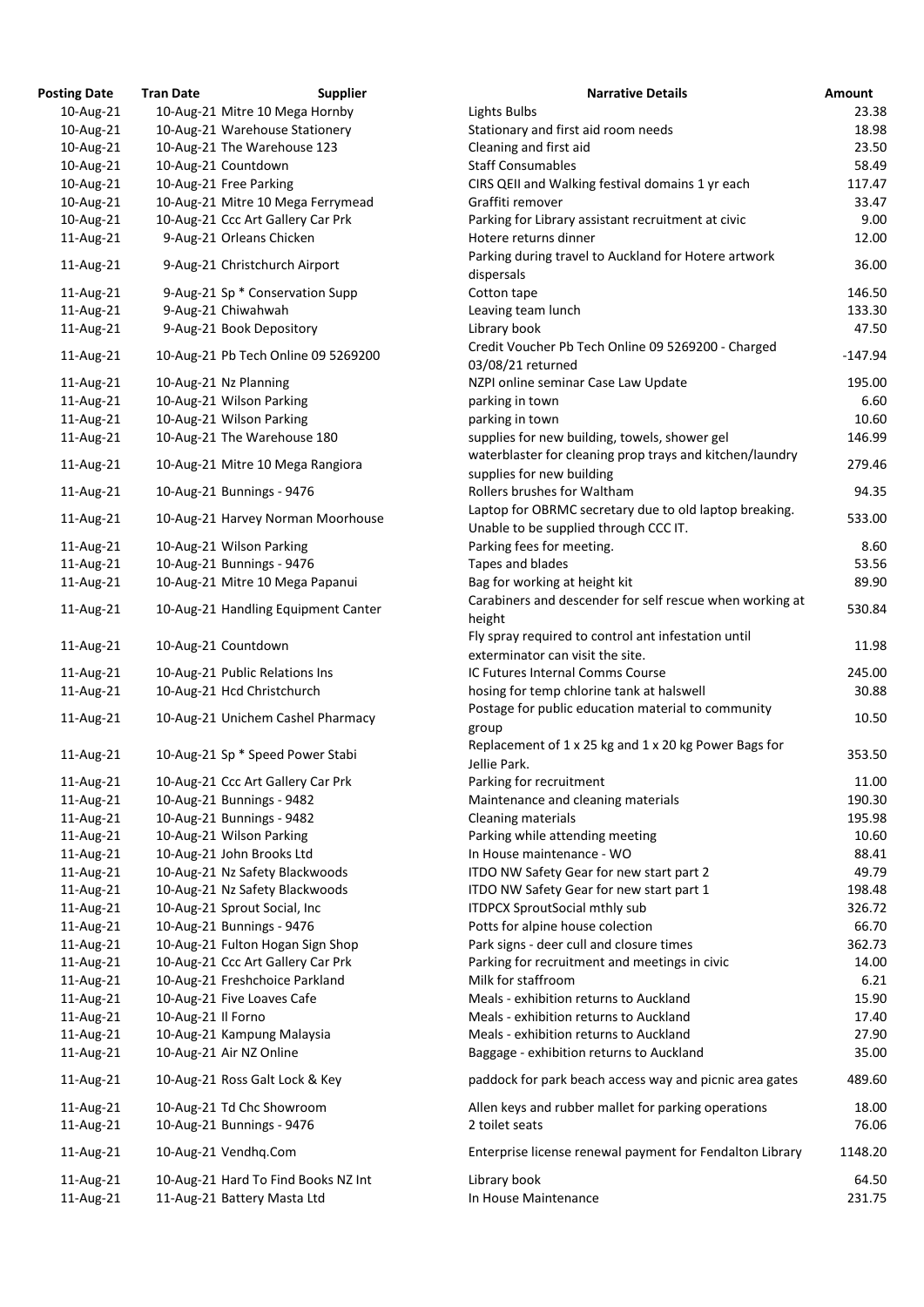| <b>Posting Date</b> | <b>Tran Date</b>   | <b>Supplier</b>                     | <b>Narrative Details</b>                                 | <b>Amount</b> |
|---------------------|--------------------|-------------------------------------|----------------------------------------------------------|---------------|
| 10-Aug-21           |                    | 10-Aug-21 Mitre 10 Mega Hornby      | Lights Bulbs                                             | 23.           |
| 10-Aug-21           |                    | 10-Aug-21 Warehouse Stationery      | Stationary and first aid room needs                      | 18.           |
| 10-Aug-21           |                    | 10-Aug-21 The Warehouse 123         | Cleaning and first aid                                   | 23.           |
| 10-Aug-21           |                    | 10-Aug-21 Countdown                 | <b>Staff Consumables</b>                                 | 58.           |
| 10-Aug-21           |                    | 10-Aug-21 Free Parking              | CIRS QEII and Walking festival domains 1 yr each         | 117.          |
| 10-Aug-21           |                    | 10-Aug-21 Mitre 10 Mega Ferrymead   | Graffiti remover                                         | 33.           |
| 10-Aug-21           |                    | 10-Aug-21 Ccc Art Gallery Car Prk   | Parking for Library assistant recruitment at civic       | 9.            |
| 11-Aug-21           |                    | 9-Aug-21 Orleans Chicken            | Hotere returns dinner                                    | 12.           |
|                     |                    |                                     | Parking during travel to Auckland for Hotere artwork     |               |
| 11-Aug-21           |                    | 9-Aug-21 Christchurch Airport       | dispersals                                               | 36.           |
| 11-Aug-21           |                    | 9-Aug-21 Sp * Conservation Supp     | Cotton tape                                              | 146.          |
| 11-Aug-21           |                    | 9-Aug-21 Chiwahwah                  | Leaving team lunch                                       | 133.          |
| 11-Aug-21           |                    | 9-Aug-21 Book Depository            | Library book                                             | 47.           |
|                     |                    |                                     | Credit Voucher Pb Tech Online 09 5269200 - Charged       |               |
| 11-Aug-21           |                    | 10-Aug-21 Pb Tech Online 09 5269200 | 03/08/21 returned                                        | $-147.$       |
| 11-Aug-21           |                    | 10-Aug-21 Nz Planning               | NZPI online seminar Case Law Update                      | 195.          |
| 11-Aug-21           |                    | 10-Aug-21 Wilson Parking            | parking in town                                          | 6.            |
| 11-Aug-21           |                    | 10-Aug-21 Wilson Parking            | parking in town                                          | 10.           |
| 11-Aug-21           |                    | 10-Aug-21 The Warehouse 180         | supplies for new building, towels, shower gel            | 146.          |
|                     |                    |                                     | waterblaster for cleaning prop trays and kitchen/laundry |               |
| 11-Aug-21           |                    | 10-Aug-21 Mitre 10 Mega Rangiora    | supplies for new building                                | 279.          |
| 11-Aug-21           |                    | 10-Aug-21 Bunnings - 9476           | Rollers brushes for Waltham                              | 94.           |
|                     |                    |                                     | Laptop for OBRMC secretary due to old laptop breaking.   |               |
| 11-Aug-21           |                    | 10-Aug-21 Harvey Norman Moorhouse   | Unable to be supplied through CCC IT.                    | 533.          |
| 11-Aug-21           |                    | 10-Aug-21 Wilson Parking            | Parking fees for meeting.                                | 8.            |
| 11-Aug-21           |                    | 10-Aug-21 Bunnings - 9476           | Tapes and blades                                         | 53.           |
|                     |                    | 10-Aug-21 Mitre 10 Mega Papanui     | Bag for working at height kit                            | 89.           |
| 11-Aug-21           |                    |                                     | Carabiners and descender for self rescue when working at |               |
| 11-Aug-21           |                    | 10-Aug-21 Handling Equipment Canter |                                                          | 530.          |
|                     |                    |                                     | height                                                   |               |
| 11-Aug-21           |                    | 10-Aug-21 Countdown                 | Fly spray required to control ant infestation until      | 11.           |
|                     |                    |                                     | exterminator can visit the site.                         |               |
| 11-Aug-21           |                    | 10-Aug-21 Public Relations Ins      | IC Futures Internal Comms Course                         | 245.          |
| 11-Aug-21           |                    | 10-Aug-21 Hcd Christchurch          | hosing for temp chlorine tank at halswell                | 30.           |
| 11-Aug-21           |                    | 10-Aug-21 Unichem Cashel Pharmacy   | Postage for public education material to community       | 10.           |
|                     |                    |                                     | group                                                    |               |
| 11-Aug-21           |                    | 10-Aug-21 Sp * Speed Power Stabi    | Replacement of 1 x 25 kg and 1 x 20 kg Power Bags for    | 353.          |
|                     |                    |                                     | Jellie Park.                                             |               |
| 11-Aug-21           |                    | 10-Aug-21 Ccc Art Gallery Car Prk   | Parking for recruitment                                  | 11.           |
| 11-Aug-21           |                    | 10-Aug-21 Bunnings - 9482           | Maintenance and cleaning materials                       | 190.          |
| 11-Aug-21           |                    | 10-Aug-21 Bunnings - 9482           | Cleaning materials                                       | 195.          |
| 11-Aug-21           |                    | 10-Aug-21 Wilson Parking            | Parking while attending meeting                          | 10.           |
| 11-Aug-21           |                    | 10-Aug-21 John Brooks Ltd           | In House maintenance - WO                                | 88.           |
| 11-Aug-21           |                    | 10-Aug-21 Nz Safety Blackwoods      | ITDO NW Safety Gear for new start part 2                 | 49.           |
| 11-Aug-21           |                    | 10-Aug-21 Nz Safety Blackwoods      | ITDO NW Safety Gear for new start part 1                 | 198.          |
| 11-Aug-21           |                    | 10-Aug-21 Sprout Social, Inc        | <b>ITDPCX SproutSocial mthly sub</b>                     | 326.          |
| 11-Aug-21           |                    | 10-Aug-21 Bunnings - 9476           | Potts for alpine house colection                         | 66.           |
| 11-Aug-21           |                    | 10-Aug-21 Fulton Hogan Sign Shop    | Park signs - deer cull and closure times                 | 362.          |
| 11-Aug-21           |                    | 10-Aug-21 Ccc Art Gallery Car Prk   | Parking for recruitment and meetings in civic            | 14.           |
| 11-Aug-21           |                    | 10-Aug-21 Freshchoice Parkland      | Milk for staffroom                                       | 6.            |
| 11-Aug-21           |                    | 10-Aug-21 Five Loaves Cafe          | Meals - exhibition returns to Auckland                   | 15.           |
| 11-Aug-21           | 10-Aug-21 Il Forno |                                     | Meals - exhibition returns to Auckland                   | 17.           |
| 11-Aug-21           |                    | 10-Aug-21 Kampung Malaysia          | Meals - exhibition returns to Auckland                   | 27.           |
| 11-Aug-21           |                    | 10-Aug-21 Air NZ Online             | Baggage - exhibition returns to Auckland                 | 35.           |
| 11-Aug-21           |                    | 10-Aug-21 Ross Galt Lock & Key      | paddock for park beach access way and picnic area gates  | 489.          |
| 11-Aug-21           |                    | 10-Aug-21 Td Chc Showroom           | Allen keys and rubber mallet for parking operations      | 18.           |
| 11-Aug-21           |                    | 10-Aug-21 Bunnings - 9476           | 2 toilet seats                                           | 76.           |
|                     |                    |                                     |                                                          |               |
| 11-Aug-21           |                    | 10-Aug-21 Vendhq.Com                | Enterprise license renewal payment for Fendalton Library | 1148.         |
| 11-Aug-21           |                    | 10-Aug-21 Hard To Find Books NZ Int | Library book                                             | 64.           |
| 11-Aug-21           |                    | 11-Aug-21 Battery Masta Ltd         | In House Maintenance                                     | 231.          |

| ting Date | <b>Tran Date</b>   | <b>Supplier</b>                                                    | <b>Narrative Details</b>                                 | <b>Amount</b>   |
|-----------|--------------------|--------------------------------------------------------------------|----------------------------------------------------------|-----------------|
| 10-Aug-21 |                    | 10-Aug-21 Mitre 10 Mega Hornby                                     | Lights Bulbs                                             | 23.38           |
| 10-Aug-21 |                    | 10-Aug-21 Warehouse Stationery                                     | Stationary and first aid room needs                      | 18.98           |
| 10-Aug-21 |                    | 10-Aug-21 The Warehouse 123                                        | Cleaning and first aid                                   | 23.50           |
| 10-Aug-21 |                    | 10-Aug-21 Countdown                                                | <b>Staff Consumables</b>                                 | 58.49           |
| 10-Aug-21 |                    | 10-Aug-21 Free Parking                                             | CIRS QEII and Walking festival domains 1 yr each         | 117.47          |
| 10-Aug-21 |                    | 10-Aug-21 Mitre 10 Mega Ferrymead                                  | Graffiti remover                                         | 33.47           |
| 10-Aug-21 |                    | 10-Aug-21 Ccc Art Gallery Car Prk                                  | Parking for Library assistant recruitment at civic       | 9.00            |
| 11-Aug-21 |                    | 9-Aug-21 Orleans Chicken                                           | Hotere returns dinner                                    | 12.00           |
|           |                    |                                                                    | Parking during travel to Auckland for Hotere artwork     |                 |
| 11-Aug-21 |                    | 9-Aug-21 Christchurch Airport                                      | dispersals                                               | 36.00           |
| 11-Aug-21 |                    | 9-Aug-21 Sp * Conservation Supp                                    | Cotton tape                                              | 146.50          |
| 11-Aug-21 |                    | 9-Aug-21 Chiwahwah                                                 | Leaving team lunch                                       | 133.30          |
| 11-Aug-21 |                    | 9-Aug-21 Book Depository                                           | Library book                                             | 47.50           |
|           |                    |                                                                    | Credit Voucher Pb Tech Online 09 5269200 - Charged       |                 |
| 11-Aug-21 |                    | 10-Aug-21 Pb Tech Online 09 5269200                                | 03/08/21 returned                                        | $-147.94$       |
| 11-Aug-21 |                    | 10-Aug-21 Nz Planning                                              | NZPI online seminar Case Law Update                      | 195.00          |
| 11-Aug-21 |                    | 10-Aug-21 Wilson Parking                                           | parking in town                                          | 6.60            |
| 11-Aug-21 |                    | 10-Aug-21 Wilson Parking                                           | parking in town                                          | 10.60           |
| 11-Aug-21 |                    | 10-Aug-21 The Warehouse 180                                        | supplies for new building, towels, shower gel            | 146.99          |
|           |                    |                                                                    | waterblaster for cleaning prop trays and kitchen/laundry |                 |
| 11-Aug-21 |                    | 10-Aug-21 Mitre 10 Mega Rangiora                                   | supplies for new building                                | 279.46          |
| 11-Aug-21 |                    | 10-Aug-21 Bunnings - 9476                                          | Rollers brushes for Waltham                              | 94.35           |
|           |                    |                                                                    | Laptop for OBRMC secretary due to old laptop breaking.   |                 |
| 11-Aug-21 |                    | 10-Aug-21 Harvey Norman Moorhouse                                  | Unable to be supplied through CCC IT.                    | 533.00          |
| 11-Aug-21 |                    | 10-Aug-21 Wilson Parking                                           | Parking fees for meeting.                                | 8.60            |
| 11-Aug-21 |                    | 10-Aug-21 Bunnings - 9476                                          | Tapes and blades                                         | 53.56           |
| 11-Aug-21 |                    | 10-Aug-21 Mitre 10 Mega Papanui                                    | Bag for working at height kit                            | 89.90           |
|           |                    |                                                                    | Carabiners and descender for self rescue when working at |                 |
| 11-Aug-21 |                    | 10-Aug-21 Handling Equipment Canter                                | height                                                   | 530.84          |
|           |                    |                                                                    | Fly spray required to control ant infestation until      |                 |
| 11-Aug-21 |                    | 10-Aug-21 Countdown                                                | exterminator can visit the site.                         | 11.98           |
| 11-Aug-21 |                    | 10-Aug-21 Public Relations Ins                                     | IC Futures Internal Comms Course                         | 245.00          |
| 11-Aug-21 |                    | 10-Aug-21 Hcd Christchurch                                         | hosing for temp chlorine tank at halswell                | 30.88           |
|           |                    |                                                                    | Postage for public education material to community       |                 |
| 11-Aug-21 |                    | 10-Aug-21 Unichem Cashel Pharmacy                                  | group                                                    | 10.50           |
|           |                    |                                                                    | Replacement of 1 x 25 kg and 1 x 20 kg Power Bags for    |                 |
| 11-Aug-21 |                    | 10-Aug-21 Sp * Speed Power Stabi                                   | Jellie Park.                                             | 353.50          |
| 11-Aug-21 |                    | 10-Aug-21 Ccc Art Gallery Car Prk                                  | Parking for recruitment                                  | 11.00           |
| 11-Aug-21 |                    | 10-Aug-21 Bunnings - 9482                                          | Maintenance and cleaning materials                       | 190.30          |
| 11-Aug-21 |                    | 10-Aug-21 Bunnings - 9482                                          | Cleaning materials                                       | 195.98          |
| 11-Aug-21 |                    | 10-Aug-21 Wilson Parking                                           | Parking while attending meeting                          | 10.60           |
|           |                    | 10-Aug-21 John Brooks Ltd                                          | In House maintenance - WO                                | 88.41           |
| 11-Aug-21 |                    |                                                                    |                                                          |                 |
| 11-Aug-21 |                    | 10-Aug-21 Nz Safety Blackwoods                                     | ITDO NW Safety Gear for new start part 2                 | 49.79           |
| 11-Aug-21 |                    | 10-Aug-21 Nz Safety Blackwoods                                     | ITDO NW Safety Gear for new start part 1                 | 198.48          |
| 11-Aug-21 |                    | 10-Aug-21 Sprout Social, Inc                                       | <b>ITDPCX SproutSocial mthly sub</b>                     | 326.72          |
| 11-Aug-21 |                    | 10-Aug-21 Bunnings - 9476                                          | Potts for alpine house colection                         | 66.70           |
| 11-Aug-21 |                    | 10-Aug-21 Fulton Hogan Sign Shop                                   | Park signs - deer cull and closure times                 | 362.73          |
| 11-Aug-21 |                    | 10-Aug-21 Ccc Art Gallery Car Prk                                  | Parking for recruitment and meetings in civic            | 14.00           |
| 11-Aug-21 |                    | 10-Aug-21 Freshchoice Parkland                                     | Milk for staffroom                                       | 6.21            |
| 11-Aug-21 |                    | 10-Aug-21 Five Loaves Cafe                                         | Meals - exhibition returns to Auckland                   | 15.90           |
| 11-Aug-21 | 10-Aug-21 Il Forno |                                                                    | Meals - exhibition returns to Auckland                   | 17.40           |
| 11-Aug-21 |                    | 10-Aug-21 Kampung Malaysia                                         | Meals - exhibition returns to Auckland                   | 27.90           |
| 11-Aug-21 |                    | 10-Aug-21 Air NZ Online                                            | Baggage - exhibition returns to Auckland                 | 35.00           |
| 11-Aug-21 |                    | 10-Aug-21 Ross Galt Lock & Key                                     | paddock for park beach access way and picnic area gates  | 489.60          |
| 11-Aug-21 |                    | 10-Aug-21 Td Chc Showroom                                          | Allen keys and rubber mallet for parking operations      | 18.00           |
| 11-Aug-21 |                    | 10-Aug-21 Bunnings - 9476                                          | 2 toilet seats                                           | 76.06           |
| 11-Aug-21 |                    | 10-Aug-21 Vendhq.Com                                               | Enterprise license renewal payment for Fendalton Library | 1148.20         |
|           |                    |                                                                    |                                                          |                 |
| 11-Aug-21 |                    | 10-Aug-21 Hard To Find Books NZ Int<br>11-Aug-21 Battery Masta Ltd | Library book<br>In House Maintenance                     | 64.50<br>231.75 |
| 11-Aug-21 |                    |                                                                    |                                                          |                 |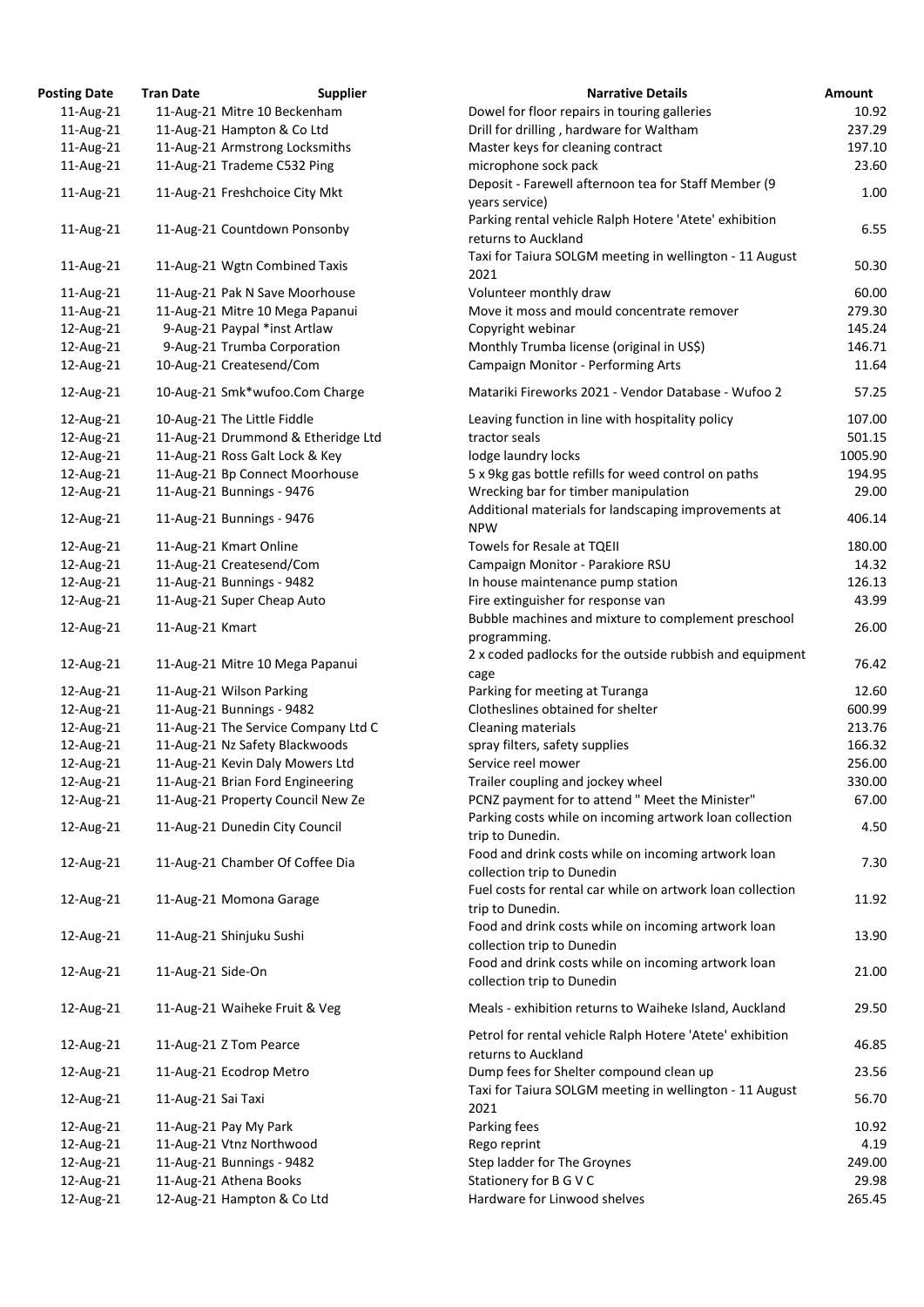| osting Date | <b>Tran Date</b>   | <b>Supplier</b>                     | <b>Narrative Details</b>                                                                        |
|-------------|--------------------|-------------------------------------|-------------------------------------------------------------------------------------------------|
| 11-Aug-21   |                    | 11-Aug-21 Mitre 10 Beckenham        | Dowel for floor repairs in touring galleries                                                    |
| 11-Aug-21   |                    | 11-Aug-21 Hampton & Co Ltd          | Drill for drilling, hardware for Waltham                                                        |
| 11-Aug-21   |                    | 11-Aug-21 Armstrong Locksmiths      | Master keys for cleaning contract                                                               |
| 11-Aug-21   |                    | 11-Aug-21 Trademe C532 Ping         | microphone sock pack                                                                            |
| 11-Aug-21   |                    | 11-Aug-21 Freshchoice City Mkt      | Deposit - Farewell afternoon tea for Staff Member (9<br>years service)                          |
| 11-Aug-21   |                    | 11-Aug-21 Countdown Ponsonby        | Parking rental vehicle Ralph Hotere 'Atete' exhibition<br>returns to Auckland                   |
| 11-Aug-21   |                    | 11-Aug-21 Wgtn Combined Taxis       | Taxi for Taiura SOLGM meeting in wellington - 11 Aug<br>2021                                    |
| 11-Aug-21   |                    | 11-Aug-21 Pak N Save Moorhouse      | Volunteer monthly draw                                                                          |
| 11-Aug-21   |                    | 11-Aug-21 Mitre 10 Mega Papanui     | Move it moss and mould concentrate remover                                                      |
| 12-Aug-21   |                    | 9-Aug-21 Paypal *inst Artlaw        | Copyright webinar                                                                               |
| 12-Aug-21   |                    | 9-Aug-21 Trumba Corporation         | Monthly Trumba license (original in US\$)                                                       |
| 12-Aug-21   |                    | 10-Aug-21 Createsend/Com            | Campaign Monitor - Performing Arts                                                              |
| 12-Aug-21   |                    | 10-Aug-21 Smk*wufoo.Com Charge      | Matariki Fireworks 2021 - Vendor Database - Wufoo 2                                             |
| 12-Aug-21   |                    | 10-Aug-21 The Little Fiddle         | Leaving function in line with hospitality policy                                                |
| 12-Aug-21   |                    | 11-Aug-21 Drummond & Etheridge Ltd  | tractor seals                                                                                   |
|             |                    |                                     |                                                                                                 |
| 12-Aug-21   |                    | 11-Aug-21 Ross Galt Lock & Key      | lodge laundry locks                                                                             |
| 12-Aug-21   |                    | 11-Aug-21 Bp Connect Moorhouse      | 5 x 9kg gas bottle refills for weed control on paths                                            |
| 12-Aug-21   |                    | 11-Aug-21 Bunnings - 9476           | Wrecking bar for timber manipulation                                                            |
| 12-Aug-21   |                    | 11-Aug-21 Bunnings - 9476           | Additional materials for landscaping improvements at                                            |
|             |                    |                                     | <b>NPW</b>                                                                                      |
| 12-Aug-21   |                    | 11-Aug-21 Kmart Online              | Towels for Resale at TQEII                                                                      |
| 12-Aug-21   |                    | 11-Aug-21 Createsend/Com            | Campaign Monitor - Parakiore RSU                                                                |
| 12-Aug-21   |                    | 11-Aug-21 Bunnings - 9482           | In house maintenance pump station                                                               |
| 12-Aug-21   |                    | 11-Aug-21 Super Cheap Auto          | Fire extinguisher for response van                                                              |
| 12-Aug-21   | 11-Aug-21 Kmart    |                                     | Bubble machines and mixture to complement presche<br>programming.                               |
| 12-Aug-21   |                    | 11-Aug-21 Mitre 10 Mega Papanui     | 2 x coded padlocks for the outside rubbish and equipr<br>cage                                   |
| 12-Aug-21   |                    | 11-Aug-21 Wilson Parking            | Parking for meeting at Turanga                                                                  |
| 12-Aug-21   |                    | 11-Aug-21 Bunnings - 9482           | Clotheslines obtained for shelter                                                               |
| 12-Aug-21   |                    | 11-Aug-21 The Service Company Ltd C | Cleaning materials                                                                              |
| 12-Aug-21   |                    | 11-Aug-21 Nz Safety Blackwoods      | spray filters, safety supplies                                                                  |
| 12-Aug-21   |                    | 11-Aug-21 Kevin Daly Mowers Ltd     | Service reel mower                                                                              |
| 12-Aug-21   |                    | 11-Aug-21 Brian Ford Engineering    | Trailer coupling and jockey wheel                                                               |
| 12-Aug-21   |                    | 11-Aug-21 Property Council New Ze   | PCNZ payment for to attend " Meet the Minister"                                                 |
| 12-Aug-21   |                    | 11-Aug-21 Dunedin City Council      | Parking costs while on incoming artwork loan collecti                                           |
|             |                    |                                     | trip to Dunedin.<br>Food and drink costs while on incoming artwork loan                         |
| 12-Aug-21   |                    | 11-Aug-21 Chamber Of Coffee Dia     | collection trip to Dunedin<br>Fuel costs for rental car while on artwork loan collect           |
| 12-Aug-21   |                    | 11-Aug-21 Momona Garage             | trip to Dunedin.                                                                                |
| 12-Aug-21   |                    | 11-Aug-21 Shinjuku Sushi            | Food and drink costs while on incoming artwork loan<br>collection trip to Dunedin               |
| 12-Aug-21   | 11-Aug-21 Side-On  |                                     | Food and drink costs while on incoming artwork loan<br>collection trip to Dunedin               |
| 12-Aug-21   |                    | 11-Aug-21 Waiheke Fruit & Veg       | Meals - exhibition returns to Waiheke Island, Aucklan                                           |
| 12-Aug-21   |                    | 11-Aug-21 Z Tom Pearce              | Petrol for rental vehicle Ralph Hotere 'Atete' exhibitio<br>returns to Auckland                 |
| 12-Aug-21   |                    | 11-Aug-21 Ecodrop Metro             | Dump fees for Shelter compound clean up<br>Taxi for Taiura SOLGM meeting in wellington - 11 Aug |
| 12-Aug-21   | 11-Aug-21 Sai Taxi |                                     | 2021                                                                                            |
| 12-Aug-21   |                    | 11-Aug-21 Pay My Park               | Parking fees                                                                                    |
| 12-Aug-21   |                    | 11-Aug-21 Vtnz Northwood            | Rego reprint                                                                                    |
| 12-Aug-21   |                    | 11-Aug-21 Bunnings - 9482           | Step ladder for The Groynes                                                                     |
| 12-Aug-21   |                    | 11-Aug-21 Athena Books              | Stationery for B G V C                                                                          |
| 12-Aug-21   |                    | 12-Aug-21 Hampton & Co Ltd          | Hardware for Linwood shelves                                                                    |
|             |                    |                                     |                                                                                                 |

| <b>Posting Date</b>    | <b>Tran Date</b>   | <b>Supplier</b>                                      | <b>Narrative Details</b>                                                                                        | Amount          |
|------------------------|--------------------|------------------------------------------------------|-----------------------------------------------------------------------------------------------------------------|-----------------|
| 11-Aug-21              |                    | 11-Aug-21 Mitre 10 Beckenham                         | Dowel for floor repairs in touring galleries                                                                    | 10.92           |
| 11-Aug-21              |                    | 11-Aug-21 Hampton & Co Ltd                           | Drill for drilling, hardware for Waltham                                                                        | 237.29          |
| 11-Aug-21              |                    | 11-Aug-21 Armstrong Locksmiths                       | Master keys for cleaning contract                                                                               | 197.10          |
| 11-Aug-21              |                    | 11-Aug-21 Trademe C532 Ping                          | microphone sock pack                                                                                            | 23.60           |
| 11-Aug-21              |                    | 11-Aug-21 Freshchoice City Mkt                       | Deposit - Farewell afternoon tea for Staff Member (9<br>years service)                                          | 1.00            |
| 11-Aug-21              |                    | 11-Aug-21 Countdown Ponsonby                         | Parking rental vehicle Ralph Hotere 'Atete' exhibition<br>returns to Auckland                                   | 6.55            |
| 11-Aug-21              |                    | 11-Aug-21 Wgtn Combined Taxis                        | Taxi for Taiura SOLGM meeting in wellington - 11 August<br>2021                                                 | 50.30           |
| 11-Aug-21              |                    | 11-Aug-21 Pak N Save Moorhouse                       | Volunteer monthly draw                                                                                          | 60.00           |
| 11-Aug-21              |                    | 11-Aug-21 Mitre 10 Mega Papanui                      | Move it moss and mould concentrate remover                                                                      | 279.30          |
| 12-Aug-21              |                    | 9-Aug-21 Paypal *inst Artlaw                         | Copyright webinar                                                                                               | 145.24          |
| 12-Aug-21              |                    | 9-Aug-21 Trumba Corporation                          | Monthly Trumba license (original in US\$)                                                                       | 146.71          |
| 12-Aug-21              |                    | 10-Aug-21 Createsend/Com                             | <b>Campaign Monitor - Performing Arts</b>                                                                       | 11.64           |
| 12-Aug-21              |                    | 10-Aug-21 Smk*wufoo.Com Charge                       | Matariki Fireworks 2021 - Vendor Database - Wufoo 2                                                             | 57.25           |
| 12-Aug-21              |                    | 10-Aug-21 The Little Fiddle                          | Leaving function in line with hospitality policy                                                                | 107.00          |
| 12-Aug-21              |                    | 11-Aug-21 Drummond & Etheridge Ltd                   | tractor seals                                                                                                   | 501.15          |
| 12-Aug-21              |                    | 11-Aug-21 Ross Galt Lock & Key                       | lodge laundry locks                                                                                             | 1005.90         |
| 12-Aug-21              |                    | 11-Aug-21 Bp Connect Moorhouse                       | 5 x 9kg gas bottle refills for weed control on paths                                                            | 194.95          |
| 12-Aug-21              |                    | 11-Aug-21 Bunnings - 9476                            | Wrecking bar for timber manipulation                                                                            | 29.00           |
|                        |                    |                                                      | Additional materials for landscaping improvements at                                                            |                 |
| 12-Aug-21              |                    | 11-Aug-21 Bunnings - 9476                            | <b>NPW</b>                                                                                                      | 406.14          |
| 12-Aug-21              |                    | 11-Aug-21 Kmart Online                               | Towels for Resale at TQEII                                                                                      | 180.00          |
| 12-Aug-21              |                    | 11-Aug-21 Createsend/Com                             | Campaign Monitor - Parakiore RSU                                                                                | 14.32           |
| 12-Aug-21              |                    | 11-Aug-21 Bunnings - 9482                            | In house maintenance pump station                                                                               | 126.13          |
| 12-Aug-21              |                    | 11-Aug-21 Super Cheap Auto                           | Fire extinguisher for response van                                                                              | 43.99           |
| 12-Aug-21              | 11-Aug-21 Kmart    |                                                      | Bubble machines and mixture to complement preschool<br>programming.                                             | 26.00           |
| 12-Aug-21              |                    | 11-Aug-21 Mitre 10 Mega Papanui                      | 2 x coded padlocks for the outside rubbish and equipment<br>cage                                                | 76.42           |
| 12-Aug-21              |                    | 11-Aug-21 Wilson Parking                             | Parking for meeting at Turanga                                                                                  | 12.60           |
| 12-Aug-21              |                    | 11-Aug-21 Bunnings - 9482                            | Clotheslines obtained for shelter                                                                               | 600.99          |
| 12-Aug-21              |                    | 11-Aug-21 The Service Company Ltd C                  | Cleaning materials                                                                                              | 213.76          |
| 12-Aug-21              |                    | 11-Aug-21 Nz Safety Blackwoods                       | spray filters, safety supplies                                                                                  | 166.32          |
| 12-Aug-21              |                    | 11-Aug-21 Kevin Daly Mowers Ltd                      | Service reel mower                                                                                              | 256.00          |
| 12-Aug-21              |                    | 11-Aug-21 Brian Ford Engineering                     | Trailer coupling and jockey wheel                                                                               | 330.00          |
| 12-Aug-21              |                    | 11-Aug-21 Property Council New Ze                    | PCNZ payment for to attend " Meet the Minister"                                                                 | 67.00           |
| 12-Aug-21              |                    | 11-Aug-21 Dunedin City Council                       | Parking costs while on incoming artwork loan collection<br>trip to Dunedin.                                     | 4.50            |
| 12-Aug-21              |                    | 11-Aug-21 Chamber Of Coffee Dia                      | Food and drink costs while on incoming artwork loan<br>collection trip to Dunedin                               | 7.30            |
| 12-Aug-21              |                    | 11-Aug-21 Momona Garage                              | Fuel costs for rental car while on artwork loan collection                                                      | 11.92           |
| 12-Aug-21              |                    | 11-Aug-21 Shinjuku Sushi                             | trip to Dunedin.<br>Food and drink costs while on incoming artwork loan                                         | 13.90           |
| 12-Aug-21              | 11-Aug-21 Side-On  |                                                      | collection trip to Dunedin<br>Food and drink costs while on incoming artwork loan<br>collection trip to Dunedin | 21.00           |
| 12-Aug-21              |                    | 11-Aug-21 Waiheke Fruit & Veg                        | Meals - exhibition returns to Waiheke Island, Auckland                                                          | 29.50           |
| 12-Aug-21              |                    | 11-Aug-21 Z Tom Pearce                               | Petrol for rental vehicle Ralph Hotere 'Atete' exhibition<br>returns to Auckland                                | 46.85           |
| 12-Aug-21              |                    | 11-Aug-21 Ecodrop Metro                              | Dump fees for Shelter compound clean up                                                                         | 23.56           |
| 12-Aug-21              | 11-Aug-21 Sai Taxi |                                                      | Taxi for Taiura SOLGM meeting in wellington - 11 August                                                         | 56.70           |
|                        |                    |                                                      | 2021                                                                                                            |                 |
| 12-Aug-21              |                    | 11-Aug-21 Pay My Park                                | Parking fees                                                                                                    | 10.92           |
| 12-Aug-21              |                    | 11-Aug-21 Vtnz Northwood                             | Rego reprint                                                                                                    | 4.19            |
| 12-Aug-21              |                    | 11-Aug-21 Bunnings - 9482                            | Step ladder for The Groynes                                                                                     | 249.00          |
| 12-Aug-21<br>12-Aug-21 |                    | 11-Aug-21 Athena Books<br>12-Aug-21 Hampton & Co Ltd | Stationery for B G V C<br>Hardware for Linwood shelves                                                          | 29.98<br>265.45 |
|                        |                    |                                                      |                                                                                                                 |                 |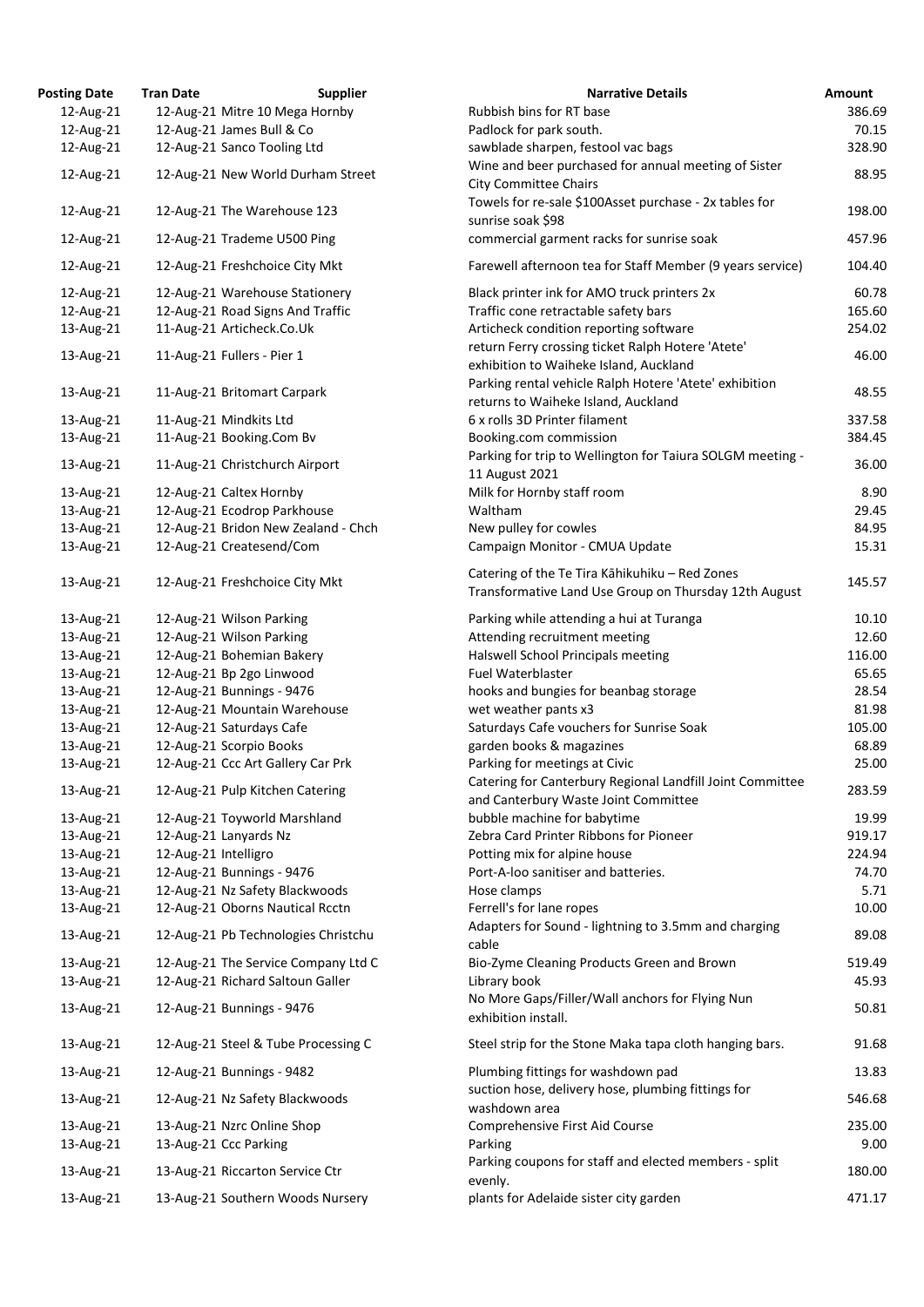| <b>osting Date</b> | <b>Tran Date</b>      | <b>Supplier</b>                     | <b>Narrative Details</b>                                                                             |
|--------------------|-----------------------|-------------------------------------|------------------------------------------------------------------------------------------------------|
| 12-Aug-21          |                       | 12-Aug-21 Mitre 10 Mega Hornby      | Rubbish bins for RT base                                                                             |
| 12-Aug-21          |                       | 12-Aug-21 James Bull & Co           | Padlock for park south.                                                                              |
| 12-Aug-21          |                       | 12-Aug-21 Sanco Tooling Ltd         | sawblade sharpen, festool vac bags                                                                   |
| 12-Aug-21          |                       | 12-Aug-21 New World Durham Street   | Wine and beer purchased for annual meeting of Sister<br><b>City Committee Chairs</b>                 |
| 12-Aug-21          |                       | 12-Aug-21 The Warehouse 123         | Towels for re-sale \$100Asset purchase - 2x tables for<br>sunrise soak \$98                          |
| 12-Aug-21          |                       | 12-Aug-21 Trademe U500 Ping         | commercial garment racks for sunrise soak                                                            |
| 12-Aug-21          |                       | 12-Aug-21 Freshchoice City Mkt      | Farewell afternoon tea for Staff Member (9 years servi                                               |
| 12-Aug-21          |                       | 12-Aug-21 Warehouse Stationery      | Black printer ink for AMO truck printers 2x                                                          |
| 12-Aug-21          |                       | 12-Aug-21 Road Signs And Traffic    | Traffic cone retractable safety bars                                                                 |
| 13-Aug-21          |                       | 11-Aug-21 Articheck.Co.Uk           | Articheck condition reporting software                                                               |
| 13-Aug-21          |                       | 11-Aug-21 Fullers - Pier 1          | return Ferry crossing ticket Ralph Hotere 'Atete'<br>exhibition to Waiheke Island, Auckland          |
| 13-Aug-21          |                       | 11-Aug-21 Britomart Carpark         | Parking rental vehicle Ralph Hotere 'Atete' exhibition<br>returns to Waiheke Island, Auckland        |
| 13-Aug-21          |                       | 11-Aug-21 Mindkits Ltd              | 6 x rolls 3D Printer filament                                                                        |
| 13-Aug-21          |                       | 11-Aug-21 Booking.Com Bv            | Booking.com commission                                                                               |
|                    |                       |                                     | Parking for trip to Wellington for Taiura SOLGM meetir                                               |
| 13-Aug-21          |                       | 11-Aug-21 Christchurch Airport      | 11 August 2021                                                                                       |
| 13-Aug-21          |                       | 12-Aug-21 Caltex Hornby             | Milk for Hornby staff room                                                                           |
| 13-Aug-21          |                       | 12-Aug-21 Ecodrop Parkhouse         | Waltham                                                                                              |
| 13-Aug-21          |                       | 12-Aug-21 Bridon New Zealand - Chch | New pulley for cowles                                                                                |
| 13-Aug-21          |                       | 12-Aug-21 Createsend/Com            | Campaign Monitor - CMUA Update                                                                       |
|                    |                       |                                     |                                                                                                      |
| 13-Aug-21          |                       | 12-Aug-21 Freshchoice City Mkt      | Catering of the Te Tira Kāhikuhiku - Red Zones<br>Transformative Land Use Group on Thursday 12th Aug |
| 13-Aug-21          |                       | 12-Aug-21 Wilson Parking            | Parking while attending a hui at Turanga                                                             |
| 13-Aug-21          |                       | 12-Aug-21 Wilson Parking            | Attending recruitment meeting                                                                        |
| 13-Aug-21          |                       | 12-Aug-21 Bohemian Bakery           | Halswell School Principals meeting                                                                   |
| 13-Aug-21          |                       | 12-Aug-21 Bp 2go Linwood            | Fuel Waterblaster                                                                                    |
| 13-Aug-21          |                       | 12-Aug-21 Bunnings - 9476           | hooks and bungies for beanbag storage                                                                |
| 13-Aug-21          |                       | 12-Aug-21 Mountain Warehouse        | wet weather pants x3                                                                                 |
| 13-Aug-21          |                       | 12-Aug-21 Saturdays Cafe            | Saturdays Cafe vouchers for Sunrise Soak                                                             |
| 13-Aug-21          |                       | 12-Aug-21 Scorpio Books             | garden books & magazines                                                                             |
| 13-Aug-21          |                       | 12-Aug-21 Ccc Art Gallery Car Prk   | Parking for meetings at Civic                                                                        |
| 13-Aug-21          |                       | 12-Aug-21 Pulp Kitchen Catering     | Catering for Canterbury Regional Landfill Joint Commit<br>and Canterbury Waste Joint Committee       |
| 13-Aug-21          |                       | 12-Aug-21 Toyworld Marshland        | bubble machine for babytime                                                                          |
| 13-Aug-21          |                       | 12-Aug-21 Lanyards Nz               | Zebra Card Printer Ribbons for Pioneer                                                               |
| 13-Aug-21          | 12-Aug-21 Intelligro  |                                     | Potting mix for alpine house                                                                         |
| 13-Aug-21          |                       | 12-Aug-21 Bunnings - 9476           | Port-A-loo sanitiser and batteries.                                                                  |
| 13-Aug-21          |                       | 12-Aug-21 Nz Safety Blackwoods      | Hose clamps                                                                                          |
| 13-Aug-21          |                       | 12-Aug-21 Oborns Nautical Rcctn     | Ferrell's for lane ropes                                                                             |
| 13-Aug-21          |                       | 12-Aug-21 Pb Technologies Christchu | Adapters for Sound - lightning to 3.5mm and charging<br>cable                                        |
| 13-Aug-21          |                       | 12-Aug-21 The Service Company Ltd C | Bio-Zyme Cleaning Products Green and Brown                                                           |
| 13-Aug-21          |                       | 12-Aug-21 Richard Saltoun Galler    | Library book                                                                                         |
| 13-Aug-21          |                       | 12-Aug-21 Bunnings - 9476           | No More Gaps/Filler/Wall anchors for Flying Nun<br>exhibition install.                               |
| 13-Aug-21          |                       | 12-Aug-21 Steel & Tube Processing C | Steel strip for the Stone Maka tapa cloth hanging bars.                                              |
| 13-Aug-21          |                       | 12-Aug-21 Bunnings - 9482           | Plumbing fittings for washdown pad<br>suction hose, delivery hose, plumbing fittings for             |
| 13-Aug-21          |                       | 12-Aug-21 Nz Safety Blackwoods      | washdown area                                                                                        |
| 13-Aug-21          |                       | 13-Aug-21 Nzrc Online Shop          | Comprehensive First Aid Course                                                                       |
| 13-Aug-21          | 13-Aug-21 Ccc Parking |                                     | Parking                                                                                              |
| 13-Aug-21          |                       | 13-Aug-21 Riccarton Service Ctr     | Parking coupons for staff and elected members - split<br>evenly.                                     |
| 13-Aug-21          |                       | 13-Aug-21 Southern Woods Nursery    | plants for Adelaide sister city garden                                                               |

| <b>Posting Date</b> | <b>Tran Date</b>     | <b>Supplier</b>                     | <b>Narrative Details</b>                                                                                | Amount |
|---------------------|----------------------|-------------------------------------|---------------------------------------------------------------------------------------------------------|--------|
| 12-Aug-21           |                      | 12-Aug-21 Mitre 10 Mega Hornby      | Rubbish bins for RT base                                                                                | 386.69 |
| 12-Aug-21           |                      | 12-Aug-21 James Bull & Co           | Padlock for park south.                                                                                 | 70.15  |
| 12-Aug-21           |                      | 12-Aug-21 Sanco Tooling Ltd         | sawblade sharpen, festool vac bags                                                                      | 328.90 |
| 12-Aug-21           |                      | 12-Aug-21 New World Durham Street   | Wine and beer purchased for annual meeting of Sister<br><b>City Committee Chairs</b>                    | 88.95  |
| 12-Aug-21           |                      | 12-Aug-21 The Warehouse 123         | Towels for re-sale \$100Asset purchase - 2x tables for<br>sunrise soak \$98                             | 198.00 |
| 12-Aug-21           |                      | 12-Aug-21 Trademe U500 Ping         | commercial garment racks for sunrise soak                                                               | 457.96 |
| 12-Aug-21           |                      | 12-Aug-21 Freshchoice City Mkt      | Farewell afternoon tea for Staff Member (9 years service)                                               | 104.40 |
| 12-Aug-21           |                      | 12-Aug-21 Warehouse Stationery      | Black printer ink for AMO truck printers 2x                                                             | 60.78  |
| 12-Aug-21           |                      | 12-Aug-21 Road Signs And Traffic    | Traffic cone retractable safety bars                                                                    | 165.60 |
| 13-Aug-21           |                      | 11-Aug-21 Articheck.Co.Uk           | Articheck condition reporting software                                                                  | 254.02 |
| 13-Aug-21           |                      | 11-Aug-21 Fullers - Pier 1          | return Ferry crossing ticket Ralph Hotere 'Atete'<br>exhibition to Waiheke Island, Auckland             | 46.00  |
| 13-Aug-21           |                      | 11-Aug-21 Britomart Carpark         | Parking rental vehicle Ralph Hotere 'Atete' exhibition<br>returns to Waiheke Island, Auckland           | 48.55  |
| 13-Aug-21           |                      | 11-Aug-21 Mindkits Ltd              | 6 x rolls 3D Printer filament                                                                           | 337.58 |
| 13-Aug-21           |                      | 11-Aug-21 Booking.Com Bv            | Booking.com commission                                                                                  | 384.45 |
| 13-Aug-21           |                      | 11-Aug-21 Christchurch Airport      | Parking for trip to Wellington for Taiura SOLGM meeting -<br>11 August 2021                             | 36.00  |
| 13-Aug-21           |                      | 12-Aug-21 Caltex Hornby             | Milk for Hornby staff room                                                                              | 8.90   |
| 13-Aug-21           |                      | 12-Aug-21 Ecodrop Parkhouse         | Waltham                                                                                                 | 29.45  |
| 13-Aug-21           |                      | 12-Aug-21 Bridon New Zealand - Chch | New pulley for cowles                                                                                   | 84.95  |
| 13-Aug-21           |                      | 12-Aug-21 Createsend/Com            | Campaign Monitor - CMUA Update                                                                          | 15.31  |
| 13-Aug-21           |                      | 12-Aug-21 Freshchoice City Mkt      | Catering of the Te Tira Kāhikuhiku - Red Zones<br>Transformative Land Use Group on Thursday 12th August | 145.57 |
|                     |                      |                                     |                                                                                                         |        |
| 13-Aug-21           |                      | 12-Aug-21 Wilson Parking            | Parking while attending a hui at Turanga                                                                | 10.10  |
| 13-Aug-21           |                      | 12-Aug-21 Wilson Parking            | Attending recruitment meeting                                                                           | 12.60  |
| 13-Aug-21           |                      | 12-Aug-21 Bohemian Bakery           | Halswell School Principals meeting                                                                      | 116.00 |
| 13-Aug-21           |                      | 12-Aug-21 Bp 2go Linwood            | Fuel Waterblaster                                                                                       | 65.65  |
| 13-Aug-21           |                      | 12-Aug-21 Bunnings - 9476           | hooks and bungies for beanbag storage                                                                   | 28.54  |
| 13-Aug-21           |                      | 12-Aug-21 Mountain Warehouse        | wet weather pants x3                                                                                    | 81.98  |
| 13-Aug-21           |                      | 12-Aug-21 Saturdays Cafe            | Saturdays Cafe vouchers for Sunrise Soak                                                                | 105.00 |
| 13-Aug-21           |                      | 12-Aug-21 Scorpio Books             | garden books & magazines                                                                                | 68.89  |
| 13-Aug-21           |                      | 12-Aug-21 Ccc Art Gallery Car Prk   | Parking for meetings at Civic                                                                           | 25.00  |
| 13-Aug-21           |                      | 12-Aug-21 Pulp Kitchen Catering     | Catering for Canterbury Regional Landfill Joint Committee<br>and Canterbury Waste Joint Committee       | 283.59 |
| 13-Aug-21           |                      | 12-Aug-21 Toyworld Marshland        | bubble machine for babytime                                                                             | 19.99  |
| 13-Aug-21           |                      | 12-Aug-21 Lanyards Nz               | Zebra Card Printer Ribbons for Pioneer                                                                  | 919.17 |
| 13-Aug-21           | 12-Aug-21 Intelligro |                                     | Potting mix for alpine house                                                                            | 224.94 |
| 13-Aug-21           |                      | 12-Aug-21 Bunnings - 9476           | Port-A-loo sanitiser and batteries.                                                                     | 74.70  |
| 13-Aug-21           |                      | 12-Aug-21 Nz Safety Blackwoods      | Hose clamps                                                                                             | 5.71   |
| 13-Aug-21           |                      | 12-Aug-21 Oborns Nautical Rcctn     | Ferrell's for lane ropes                                                                                | 10.00  |
| 13-Aug-21           |                      | 12-Aug-21 Pb Technologies Christchu | Adapters for Sound - lightning to 3.5mm and charging<br>cable                                           | 89.08  |
| 13-Aug-21           |                      | 12-Aug-21 The Service Company Ltd C | Bio-Zyme Cleaning Products Green and Brown                                                              | 519.49 |
| 13-Aug-21           |                      | 12-Aug-21 Richard Saltoun Galler    | Library book                                                                                            | 45.93  |
| 13-Aug-21           |                      | 12-Aug-21 Bunnings - 9476           | No More Gaps/Filler/Wall anchors for Flying Nun<br>exhibition install.                                  | 50.81  |
| 13-Aug-21           |                      | 12-Aug-21 Steel & Tube Processing C | Steel strip for the Stone Maka tapa cloth hanging bars.                                                 | 91.68  |
| 13-Aug-21           |                      | 12-Aug-21 Bunnings - 9482           | Plumbing fittings for washdown pad                                                                      | 13.83  |
| 13-Aug-21           |                      | 12-Aug-21 Nz Safety Blackwoods      | suction hose, delivery hose, plumbing fittings for<br>washdown area                                     | 546.68 |
| 13-Aug-21           |                      | 13-Aug-21 Nzrc Online Shop          | Comprehensive First Aid Course                                                                          | 235.00 |
| 13-Aug-21           |                      | 13-Aug-21 Ccc Parking               | Parking                                                                                                 | 9.00   |
| 13-Aug-21           |                      | 13-Aug-21 Riccarton Service Ctr     | Parking coupons for staff and elected members - split<br>evenly.                                        | 180.00 |
| 13-Aug-21           |                      | 13-Aug-21 Southern Woods Nursery    | plants for Adelaide sister city garden                                                                  | 471.17 |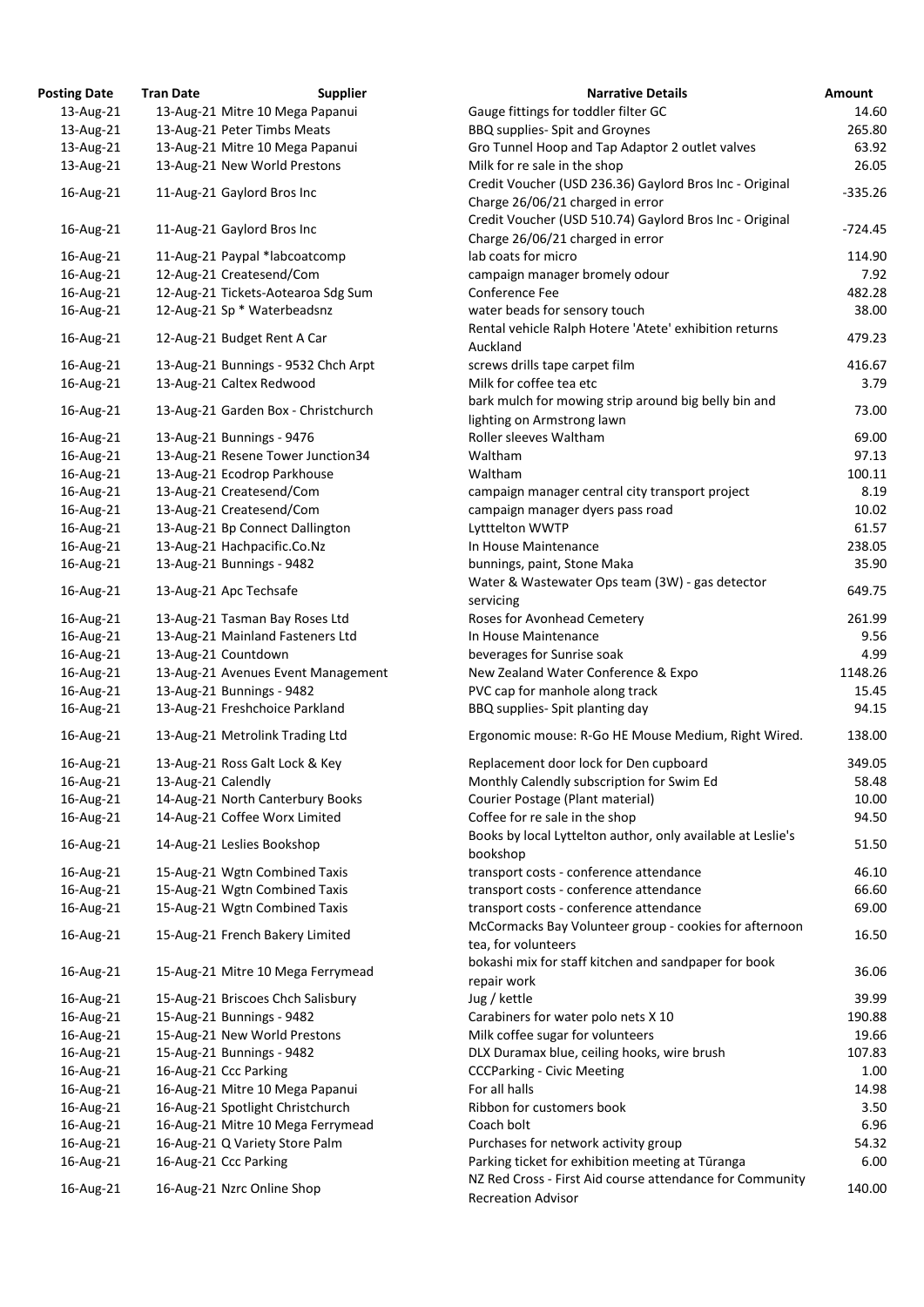| osting Date | <b>Tran Date</b>   | <b>Supplier</b>                     | <b>Narrative Details</b>                                                                  |
|-------------|--------------------|-------------------------------------|-------------------------------------------------------------------------------------------|
| 13-Aug-21   |                    | 13-Aug-21 Mitre 10 Mega Papanui     | Gauge fittings for toddler filter GC                                                      |
| 13-Aug-21   |                    | 13-Aug-21 Peter Timbs Meats         | <b>BBQ supplies- Spit and Groynes</b>                                                     |
| 13-Aug-21   |                    | 13-Aug-21 Mitre 10 Mega Papanui     | Gro Tunnel Hoop and Tap Adaptor 2 outlet valves                                           |
| 13-Aug-21   |                    | 13-Aug-21 New World Prestons        | Milk for re sale in the shop                                                              |
| 16-Aug-21   |                    | 11-Aug-21 Gaylord Bros Inc          | Credit Voucher (USD 236.36) Gaylord Bros Inc - Origin<br>Charge 26/06/21 charged in error |
| 16-Aug-21   |                    | 11-Aug-21 Gaylord Bros Inc          | Credit Voucher (USD 510.74) Gaylord Bros Inc - Origin<br>Charge 26/06/21 charged in error |
| 16-Aug-21   |                    | 11-Aug-21 Paypal *labcoatcomp       | lab coats for micro                                                                       |
| 16-Aug-21   |                    | 12-Aug-21 Createsend/Com            | campaign manager bromely odour                                                            |
| 16-Aug-21   |                    | 12-Aug-21 Tickets-Aotearoa Sdg Sum  | Conference Fee                                                                            |
| 16-Aug-21   |                    | 12-Aug-21 Sp * Waterbeadsnz         | water beads for sensory touch                                                             |
| 16-Aug-21   |                    | 12-Aug-21 Budget Rent A Car         | Rental vehicle Ralph Hotere 'Atete' exhibition returns<br>Auckland                        |
| 16-Aug-21   |                    | 13-Aug-21 Bunnings - 9532 Chch Arpt | screws drills tape carpet film                                                            |
| 16-Aug-21   |                    | 13-Aug-21 Caltex Redwood            | Milk for coffee tea etc                                                                   |
| 16-Aug-21   |                    | 13-Aug-21 Garden Box - Christchurch | bark mulch for mowing strip around big belly bin and<br>lighting on Armstrong lawn        |
| 16-Aug-21   |                    | 13-Aug-21 Bunnings - 9476           | Roller sleeves Waltham                                                                    |
| 16-Aug-21   |                    | 13-Aug-21 Resene Tower Junction34   | Waltham                                                                                   |
| 16-Aug-21   |                    | 13-Aug-21 Ecodrop Parkhouse         | Waltham                                                                                   |
| 16-Aug-21   |                    | 13-Aug-21 Createsend/Com            | campaign manager central city transport project                                           |
| 16-Aug-21   |                    | 13-Aug-21 Createsend/Com            | campaign manager dyers pass road                                                          |
| 16-Aug-21   |                    | 13-Aug-21 Bp Connect Dallington     | Lytttelton WWTP                                                                           |
| 16-Aug-21   |                    | 13-Aug-21 Hachpacific.Co.Nz         | In House Maintenance                                                                      |
| 16-Aug-21   |                    | 13-Aug-21 Bunnings - 9482           | bunnings, paint, Stone Maka                                                               |
| 16-Aug-21   |                    | 13-Aug-21 Apc Techsafe              | Water & Wastewater Ops team (3W) - gas detector<br>servicing                              |
| 16-Aug-21   |                    | 13-Aug-21 Tasman Bay Roses Ltd      | Roses for Avonhead Cemetery                                                               |
| 16-Aug-21   |                    | 13-Aug-21 Mainland Fasteners Ltd    | In House Maintenance                                                                      |
| 16-Aug-21   |                    | 13-Aug-21 Countdown                 | beverages for Sunrise soak                                                                |
| 16-Aug-21   |                    | 13-Aug-21 Avenues Event Management  | New Zealand Water Conference & Expo                                                       |
| 16-Aug-21   |                    | 13-Aug-21 Bunnings - 9482           | PVC cap for manhole along track                                                           |
| 16-Aug-21   |                    | 13-Aug-21 Freshchoice Parkland      | BBQ supplies- Spit planting day                                                           |
| 16-Aug-21   |                    | 13-Aug-21 Metrolink Trading Ltd     | Ergonomic mouse: R-Go HE Mouse Medium, Right Wi                                           |
| 16-Aug-21   |                    | 13-Aug-21 Ross Galt Lock & Key      | Replacement door lock for Den cupboard                                                    |
| 16-Aug-21   | 13-Aug-21 Calendly |                                     | Monthly Calendly subscription for Swim Ed                                                 |
| 16-Aug-21   |                    | 14-Aug-21 North Canterbury Books    | Courier Postage (Plant material)                                                          |
| 16-Aug-21   |                    | 14-Aug-21 Coffee Worx Limited       | Coffee for re sale in the shop                                                            |
| 16-Aug-21   |                    | 14-Aug-21 Leslies Bookshop          | Books by local Lyttelton author, only available at Lesli<br>bookshop                      |
| 16-Aug-21   |                    | 15-Aug-21 Wgtn Combined Taxis       | transport costs - conference attendance                                                   |
| 16-Aug-21   |                    | 15-Aug-21 Wgtn Combined Taxis       | transport costs - conference attendance                                                   |
| 16-Aug-21   |                    | 15-Aug-21 Wgtn Combined Taxis       | transport costs - conference attendance                                                   |
| 16-Aug-21   |                    | 15-Aug-21 French Bakery Limited     | McCormacks Bay Volunteer group - cookies for aftern<br>tea, for volunteers                |
| 16-Aug-21   |                    | 15-Aug-21 Mitre 10 Mega Ferrymead   | bokashi mix for staff kitchen and sandpaper for book<br>repair work                       |
| 16-Aug-21   |                    | 15-Aug-21 Briscoes Chch Salisbury   | Jug / kettle                                                                              |
| 16-Aug-21   |                    | 15-Aug-21 Bunnings - 9482           | Carabiners for water polo nets X 10                                                       |
| 16-Aug-21   |                    | 15-Aug-21 New World Prestons        | Milk coffee sugar for volunteers                                                          |
| 16-Aug-21   |                    | 15-Aug-21 Bunnings - 9482           | DLX Duramax blue, ceiling hooks, wire brush                                               |
| 16-Aug-21   |                    | 16-Aug-21 Ccc Parking               | <b>CCCParking - Civic Meeting</b>                                                         |
| 16-Aug-21   |                    | 16-Aug-21 Mitre 10 Mega Papanui     | For all halls                                                                             |
| 16-Aug-21   |                    | 16-Aug-21 Spotlight Christchurch    | Ribbon for customers book                                                                 |
| 16-Aug-21   |                    | 16-Aug-21 Mitre 10 Mega Ferrymead   | Coach bolt                                                                                |
| 16-Aug-21   |                    | 16-Aug-21 Q Variety Store Palm      | Purchases for network activity group                                                      |
| 16-Aug-21   |                    | 16-Aug-21 Ccc Parking               | Parking ticket for exhibition meeting at Tūranga                                          |
| 16-Aug-21   |                    | 16-Aug-21 Nzrc Online Shop          | NZ Red Cross - First Aid course attendance for Commu                                      |

| <b>Posting Date</b> | <b>Tran Date</b>   | <b>Supplier</b>                     | <b>Narrative Details</b>                                                              | <b>Amount</b> |
|---------------------|--------------------|-------------------------------------|---------------------------------------------------------------------------------------|---------------|
| 13-Aug-21           |                    | 13-Aug-21 Mitre 10 Mega Papanui     | Gauge fittings for toddler filter GC                                                  | 14.60         |
| 13-Aug-21           |                    | 13-Aug-21 Peter Timbs Meats         | BBQ supplies- Spit and Groynes                                                        | 265.80        |
| 13-Aug-21           |                    | 13-Aug-21 Mitre 10 Mega Papanui     | Gro Tunnel Hoop and Tap Adaptor 2 outlet valves                                       | 63.92         |
| 13-Aug-21           |                    | 13-Aug-21 New World Prestons        | Milk for re sale in the shop                                                          | 26.05         |
|                     |                    |                                     | Credit Voucher (USD 236.36) Gaylord Bros Inc - Original                               |               |
| 16-Aug-21           |                    | 11-Aug-21 Gaylord Bros Inc          | Charge 26/06/21 charged in error                                                      | $-335.26$     |
|                     |                    |                                     | Credit Voucher (USD 510.74) Gaylord Bros Inc - Original                               |               |
| 16-Aug-21           |                    | 11-Aug-21 Gaylord Bros Inc          | Charge 26/06/21 charged in error                                                      | $-724.45$     |
|                     |                    |                                     |                                                                                       |               |
| 16-Aug-21           |                    | 11-Aug-21 Paypal *labcoatcomp       | lab coats for micro                                                                   | 114.90        |
| 16-Aug-21           |                    | 12-Aug-21 Createsend/Com            | campaign manager bromely odour                                                        | 7.92          |
| 16-Aug-21           |                    | 12-Aug-21 Tickets-Aotearoa Sdg Sum  | Conference Fee                                                                        | 482.28        |
| 16-Aug-21           |                    | 12-Aug-21 Sp * Waterbeadsnz         | water beads for sensory touch                                                         | 38.00         |
| 16-Aug-21           |                    | 12-Aug-21 Budget Rent A Car         | Rental vehicle Ralph Hotere 'Atete' exhibition returns                                | 479.23        |
|                     |                    |                                     | Auckland                                                                              |               |
| 16-Aug-21           |                    | 13-Aug-21 Bunnings - 9532 Chch Arpt | screws drills tape carpet film                                                        | 416.67        |
| 16-Aug-21           |                    | 13-Aug-21 Caltex Redwood            | Milk for coffee tea etc                                                               | 3.79          |
|                     |                    |                                     | bark mulch for mowing strip around big belly bin and                                  |               |
| 16-Aug-21           |                    | 13-Aug-21 Garden Box - Christchurch | lighting on Armstrong lawn                                                            | 73.00         |
| 16-Aug-21           |                    | 13-Aug-21 Bunnings - 9476           | Roller sleeves Waltham                                                                | 69.00         |
| 16-Aug-21           |                    | 13-Aug-21 Resene Tower Junction34   | Waltham                                                                               | 97.13         |
| 16-Aug-21           |                    | 13-Aug-21 Ecodrop Parkhouse         | Waltham                                                                               | 100.11        |
| 16-Aug-21           |                    | 13-Aug-21 Createsend/Com            | campaign manager central city transport project                                       | 8.19          |
|                     |                    |                                     |                                                                                       |               |
| 16-Aug-21           |                    | 13-Aug-21 Createsend/Com            | campaign manager dyers pass road                                                      | 10.02         |
| 16-Aug-21           |                    | 13-Aug-21 Bp Connect Dallington     | Lytttelton WWTP                                                                       | 61.57         |
| 16-Aug-21           |                    | 13-Aug-21 Hachpacific.Co.Nz         | In House Maintenance                                                                  | 238.05        |
| 16-Aug-21           |                    | 13-Aug-21 Bunnings - 9482           | bunnings, paint, Stone Maka                                                           | 35.90         |
| 16-Aug-21           |                    | 13-Aug-21 Apc Techsafe              | Water & Wastewater Ops team (3W) - gas detector<br>servicing                          | 649.75        |
| 16-Aug-21           |                    | 13-Aug-21 Tasman Bay Roses Ltd      | Roses for Avonhead Cemetery                                                           | 261.99        |
| 16-Aug-21           |                    | 13-Aug-21 Mainland Fasteners Ltd    | In House Maintenance                                                                  | 9.56          |
| 16-Aug-21           |                    | 13-Aug-21 Countdown                 | beverages for Sunrise soak                                                            | 4.99          |
| 16-Aug-21           |                    | 13-Aug-21 Avenues Event Management  | New Zealand Water Conference & Expo                                                   | 1148.26       |
| 16-Aug-21           |                    | 13-Aug-21 Bunnings - 9482           | PVC cap for manhole along track                                                       | 15.45         |
| 16-Aug-21           |                    | 13-Aug-21 Freshchoice Parkland      | BBQ supplies- Spit planting day                                                       | 94.15         |
|                     |                    |                                     |                                                                                       |               |
| 16-Aug-21           |                    | 13-Aug-21 Metrolink Trading Ltd     | Ergonomic mouse: R-Go HE Mouse Medium, Right Wired.                                   | 138.00        |
| 16-Aug-21           |                    | 13-Aug-21 Ross Galt Lock & Key      | Replacement door lock for Den cupboard                                                | 349.05        |
| 16-Aug-21           | 13-Aug-21 Calendly |                                     | Monthly Calendly subscription for Swim Ed                                             | 58.48         |
| 16-Aug-21           |                    | 14-Aug-21 North Canterbury Books    | Courier Postage (Plant material)                                                      | 10.00         |
| 16-Aug-21           |                    | 14-Aug-21 Coffee Worx Limited       | Coffee for re sale in the shop                                                        | 94.50         |
|                     |                    |                                     | Books by local Lyttelton author, only available at Leslie's                           |               |
| 16-Aug-21           |                    | 14-Aug-21 Leslies Bookshop          | bookshop                                                                              | 51.50         |
| 16-Aug-21           |                    | 15-Aug-21 Wgtn Combined Taxis       | transport costs - conference attendance                                               | 46.10         |
| 16-Aug-21           |                    | 15-Aug-21 Wgtn Combined Taxis       | transport costs - conference attendance                                               | 66.60         |
| 16-Aug-21           |                    | 15-Aug-21 Wgtn Combined Taxis       | transport costs - conference attendance                                               | 69.00         |
|                     |                    |                                     |                                                                                       |               |
| 16-Aug-21           |                    | 15-Aug-21 French Bakery Limited     | McCormacks Bay Volunteer group - cookies for afternoon                                | 16.50         |
|                     |                    |                                     | tea, for volunteers                                                                   |               |
| 16-Aug-21           |                    | 15-Aug-21 Mitre 10 Mega Ferrymead   | bokashi mix for staff kitchen and sandpaper for book                                  | 36.06         |
|                     |                    |                                     | repair work                                                                           |               |
| 16-Aug-21           |                    | 15-Aug-21 Briscoes Chch Salisbury   | Jug / kettle                                                                          | 39.99         |
| 16-Aug-21           |                    | 15-Aug-21 Bunnings - 9482           | Carabiners for water polo nets X 10                                                   | 190.88        |
| 16-Aug-21           |                    | 15-Aug-21 New World Prestons        | Milk coffee sugar for volunteers                                                      | 19.66         |
| 16-Aug-21           |                    | 15-Aug-21 Bunnings - 9482           | DLX Duramax blue, ceiling hooks, wire brush                                           | 107.83        |
| 16-Aug-21           |                    | 16-Aug-21 Ccc Parking               | <b>CCCParking - Civic Meeting</b>                                                     | 1.00          |
| 16-Aug-21           |                    | 16-Aug-21 Mitre 10 Mega Papanui     | For all halls                                                                         | 14.98         |
| 16-Aug-21           |                    | 16-Aug-21 Spotlight Christchurch    | Ribbon for customers book                                                             | 3.50          |
| 16-Aug-21           |                    | 16-Aug-21 Mitre 10 Mega Ferrymead   | Coach bolt                                                                            | 6.96          |
| 16-Aug-21           |                    | 16-Aug-21 Q Variety Store Palm      | Purchases for network activity group                                                  | 54.32         |
|                     |                    |                                     |                                                                                       |               |
| 16-Aug-21           |                    | 16-Aug-21 Ccc Parking               | Parking ticket for exhibition meeting at Tūranga                                      | 6.00          |
| 16-Aug-21           |                    | 16-Aug-21 Nzrc Online Shop          | NZ Red Cross - First Aid course attendance for Community<br><b>Recreation Advisor</b> | 140.00        |
|                     |                    |                                     |                                                                                       |               |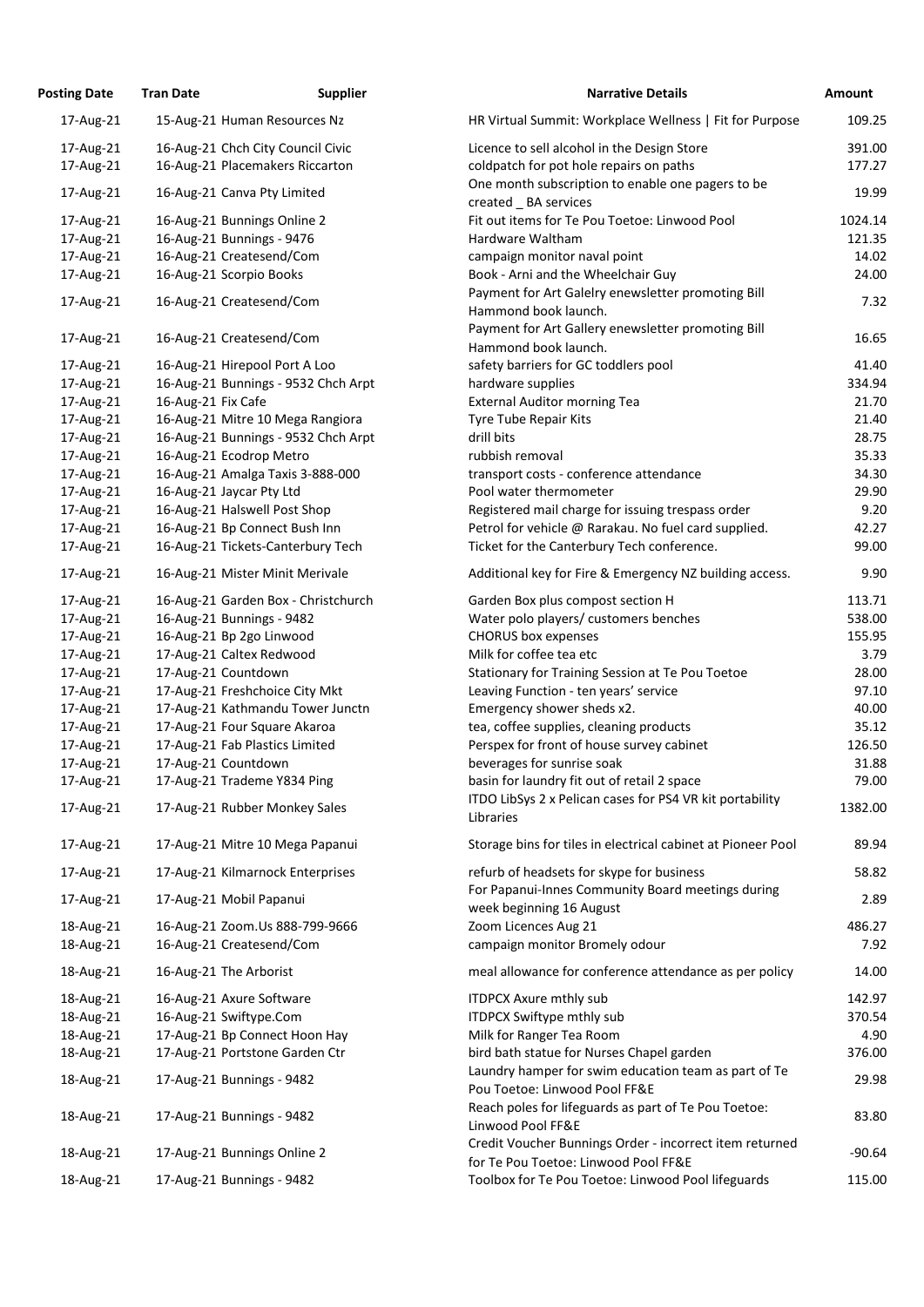| <b>Posting Date</b> | <b>Tran Date</b>    | <b>Supplier</b>                     | <b>Narrative Details</b>                                                                        | Amount   |
|---------------------|---------------------|-------------------------------------|-------------------------------------------------------------------------------------------------|----------|
| 17-Aug-21           |                     | 15-Aug-21 Human Resources Nz        | HR Virtual Summit: Workplace Wellness   Fit for Purpose                                         | 109.25   |
| 17-Aug-21           |                     | 16-Aug-21 Chch City Council Civic   | Licence to sell alcohol in the Design Store                                                     | 391.00   |
| 17-Aug-21           |                     | 16-Aug-21 Placemakers Riccarton     | coldpatch for pot hole repairs on paths                                                         | 177.27   |
| 17-Aug-21           |                     | 16-Aug-21 Canva Pty Limited         | One month subscription to enable one pagers to be<br>created BA services                        | 19.99    |
| 17-Aug-21           |                     | 16-Aug-21 Bunnings Online 2         | Fit out items for Te Pou Toetoe: Linwood Pool                                                   | 1024.14  |
| 17-Aug-21           |                     | 16-Aug-21 Bunnings - 9476           | Hardware Waltham                                                                                | 121.35   |
| 17-Aug-21           |                     | 16-Aug-21 Createsend/Com            | campaign monitor naval point                                                                    | 14.02    |
| 17-Aug-21           |                     | 16-Aug-21 Scorpio Books             | Book - Arni and the Wheelchair Guy                                                              | 24.00    |
|                     |                     |                                     | Payment for Art Galelry enewsletter promoting Bill                                              |          |
| 17-Aug-21           |                     | 16-Aug-21 Createsend/Com            | Hammond book launch.                                                                            | 7.32     |
| 17-Aug-21           |                     | 16-Aug-21 Createsend/Com            | Payment for Art Gallery enewsletter promoting Bill<br>Hammond book launch.                      | 16.65    |
| 17-Aug-21           |                     | 16-Aug-21 Hirepool Port A Loo       | safety barriers for GC toddlers pool                                                            | 41.40    |
| 17-Aug-21           |                     | 16-Aug-21 Bunnings - 9532 Chch Arpt | hardware supplies                                                                               | 334.94   |
| 17-Aug-21           | 16-Aug-21 Fix Cafe  |                                     | <b>External Auditor morning Tea</b>                                                             | 21.70    |
| 17-Aug-21           |                     | 16-Aug-21 Mitre 10 Mega Rangiora    | Tyre Tube Repair Kits                                                                           | 21.40    |
| 17-Aug-21           |                     | 16-Aug-21 Bunnings - 9532 Chch Arpt | drill bits                                                                                      | 28.75    |
| 17-Aug-21           |                     | 16-Aug-21 Ecodrop Metro             | rubbish removal                                                                                 | 35.33    |
| 17-Aug-21           |                     | 16-Aug-21 Amalga Taxis 3-888-000    | transport costs - conference attendance                                                         | 34.30    |
| 17-Aug-21           |                     | 16-Aug-21 Jaycar Pty Ltd            | Pool water thermometer                                                                          | 29.90    |
| 17-Aug-21           |                     | 16-Aug-21 Halswell Post Shop        | Registered mail charge for issuing trespass order                                               | 9.20     |
| 17-Aug-21           |                     | 16-Aug-21 Bp Connect Bush Inn       | Petrol for vehicle @ Rarakau. No fuel card supplied.                                            | 42.27    |
| 17-Aug-21           |                     | 16-Aug-21 Tickets-Canterbury Tech   | Ticket for the Canterbury Tech conference.                                                      | 99.00    |
| 17-Aug-21           |                     | 16-Aug-21 Mister Minit Merivale     | Additional key for Fire & Emergency NZ building access.                                         | 9.90     |
| 17-Aug-21           |                     | 16-Aug-21 Garden Box - Christchurch | Garden Box plus compost section H                                                               | 113.71   |
| 17-Aug-21           |                     | 16-Aug-21 Bunnings - 9482           | Water polo players/ customers benches                                                           | 538.00   |
| 17-Aug-21           |                     | 16-Aug-21 Bp 2go Linwood            | <b>CHORUS</b> box expenses                                                                      | 155.95   |
| 17-Aug-21           |                     | 17-Aug-21 Caltex Redwood            | Milk for coffee tea etc                                                                         | 3.79     |
| 17-Aug-21           | 17-Aug-21 Countdown |                                     | Stationary for Training Session at Te Pou Toetoe                                                | 28.00    |
| 17-Aug-21           |                     | 17-Aug-21 Freshchoice City Mkt      | Leaving Function - ten years' service                                                           | 97.10    |
| 17-Aug-21           |                     | 17-Aug-21 Kathmandu Tower Junctn    | Emergency shower sheds x2.                                                                      | 40.00    |
| 17-Aug-21           |                     | 17-Aug-21 Four Square Akaroa        | tea, coffee supplies, cleaning products                                                         | 35.12    |
| 17-Aug-21           |                     | 17-Aug-21 Fab Plastics Limited      | Perspex for front of house survey cabinet                                                       | 126.50   |
| 17-Aug-21           | 17-Aug-21 Countdown |                                     | beverages for sunrise soak                                                                      | 31.88    |
| 17-Aug-21           |                     | 17-Aug-21 Trademe Y834 Ping         | basin for laundry fit out of retail 2 space                                                     | 79.00    |
| 17-Aug-21           |                     | 17-Aug-21 Rubber Monkey Sales       | ITDO LibSys 2 x Pelican cases for PS4 VR kit portability<br>Libraries                           | 1382.00  |
| 17-Aug-21           |                     | 17-Aug-21 Mitre 10 Mega Papanui     | Storage bins for tiles in electrical cabinet at Pioneer Pool                                    | 89.94    |
| 17-Aug-21           |                     | 17-Aug-21 Kilmarnock Enterprises    | refurb of headsets for skype for business                                                       | 58.82    |
| 17-Aug-21           |                     | 17-Aug-21 Mobil Papanui             | For Papanui-Innes Community Board meetings during<br>week beginning 16 August                   | 2.89     |
| 18-Aug-21           |                     | 16-Aug-21 Zoom.Us 888-799-9666      | Zoom Licences Aug 21                                                                            | 486.27   |
| 18-Aug-21           |                     | 16-Aug-21 Createsend/Com            | campaign monitor Bromely odour                                                                  | 7.92     |
| 18-Aug-21           |                     | 16-Aug-21 The Arborist              | meal allowance for conference attendance as per policy                                          | 14.00    |
| 18-Aug-21           |                     | 16-Aug-21 Axure Software            | <b>ITDPCX Axure mthly sub</b>                                                                   | 142.97   |
| 18-Aug-21           |                     | 16-Aug-21 Swiftype.Com              | <b>ITDPCX Swiftype mthly sub</b>                                                                | 370.54   |
| 18-Aug-21           |                     | 17-Aug-21 Bp Connect Hoon Hay       | Milk for Ranger Tea Room                                                                        | 4.90     |
| 18-Aug-21           |                     | 17-Aug-21 Portstone Garden Ctr      | bird bath statue for Nurses Chapel garden                                                       | 376.00   |
| 18-Aug-21           |                     | 17-Aug-21 Bunnings - 9482           | Laundry hamper for swim education team as part of Te<br>Pou Toetoe: Linwood Pool FF&E           | 29.98    |
| 18-Aug-21           |                     | 17-Aug-21 Bunnings - 9482           | Reach poles for lifeguards as part of Te Pou Toetoe:<br>Linwood Pool FF&E                       | 83.80    |
| 18-Aug-21           |                     | 17-Aug-21 Bunnings Online 2         | Credit Voucher Bunnings Order - incorrect item returned<br>for Te Pou Toetoe: Linwood Pool FF&E | $-90.64$ |
| 18-Aug-21           |                     | 17-Aug-21 Bunnings - 9482           | Toolbox for Te Pou Toetoe: Linwood Pool lifeguards                                              | 115.00   |

| HR Virtual Summit: Workplace Wellness   Fit for Purpose                    | 109.25   |
|----------------------------------------------------------------------------|----------|
| Licence to sell alcohol in the Design Store                                | 391.00   |
| coldpatch for pot hole repairs on paths                                    | 177.27   |
| One month subscription to enable one pagers to be<br>created BA services   | 19.99    |
| Fit out items for Te Pou Toetoe: Linwood Pool                              | 1024.14  |
| Hardware Waltham                                                           | 121.35   |
| campaign monitor naval point                                               | 14.02    |
| Book - Arni and the Wheelchair Guy                                         | 24.00    |
| Payment for Art Galelry enewsletter promoting Bill<br>Hammond book launch. | 7.32     |
| Payment for Art Gallery enewsletter promoting Bill                         |          |
| Hammond book launch.                                                       | 16.65    |
| safety barriers for GC toddlers pool                                       | 41.40    |
| hardware supplies                                                          | 334.94   |
| <b>External Auditor morning Tea</b>                                        | 21.70    |
| Tyre Tube Repair Kits                                                      | 21.40    |
| drill bits                                                                 | 28.75    |
| rubbish removal                                                            | 35.33    |
| transport costs - conference attendance                                    | 34.30    |
| Pool water thermometer                                                     | 29.90    |
| Registered mail charge for issuing trespass order                          | 9.20     |
| Petrol for vehicle @ Rarakau. No fuel card supplied.                       | 42.27    |
| Ticket for the Canterbury Tech conference.                                 | 99.00    |
| Additional key for Fire & Emergency NZ building access.                    | 9.90     |
| Garden Box plus compost section H                                          | 113.71   |
| Water polo players/ customers benches                                      | 538.00   |
| <b>CHORUS box expenses</b>                                                 | 155.95   |
| Milk for coffee tea etc                                                    | 3.79     |
| Stationary for Training Session at Te Pou Toetoe                           | 28.00    |
| Leaving Function - ten years' service                                      | 97.10    |
| Emergency shower sheds x2.                                                 | 40.00    |
| tea, coffee supplies, cleaning products                                    | 35.12    |
| Perspex for front of house survey cabinet                                  | 126.50   |
| beverages for sunrise soak                                                 | 31.88    |
| basin for laundry fit out of retail 2 space                                | 79.00    |
| ITDO LibSys 2 x Pelican cases for PS4 VR kit portability                   |          |
| Libraries                                                                  | 1382.00  |
| Storage bins for tiles in electrical cabinet at Pioneer Pool               | 89.94    |
| refurb of headsets for skype for business                                  | 58.82    |
| For Papanui-Innes Community Board meetings during                          | 2.89     |
| week beginning 16 August<br>Zoom Licences Aug 21                           | 486.27   |
| campaign monitor Bromely odour                                             | 7.92     |
| meal allowance for conference attendance as per policy                     | 14.00    |
| <b>ITDPCX Axure mthly sub</b>                                              | 142.97   |
| <b>ITDPCX Swiftype mthly sub</b>                                           | 370.54   |
| Milk for Ranger Tea Room                                                   | 4.90     |
| bird bath statue for Nurses Chapel garden                                  | 376.00   |
| Laundry hamper for swim education team as part of Te                       |          |
| Pou Toetoe: Linwood Pool FF&E                                              | 29.98    |
| Reach poles for lifeguards as part of Te Pou Toetoe:<br>Linwood Pool FF&E  | 83.80    |
| Credit Voucher Bunnings Order - incorrect item returned                    |          |
| for Te Pou Toetoe: Linwood Pool FF&E                                       | $-90.64$ |
| Toolbox for Te Pou Toetoe: Linwood Pool lifeguards                         | 115.00   |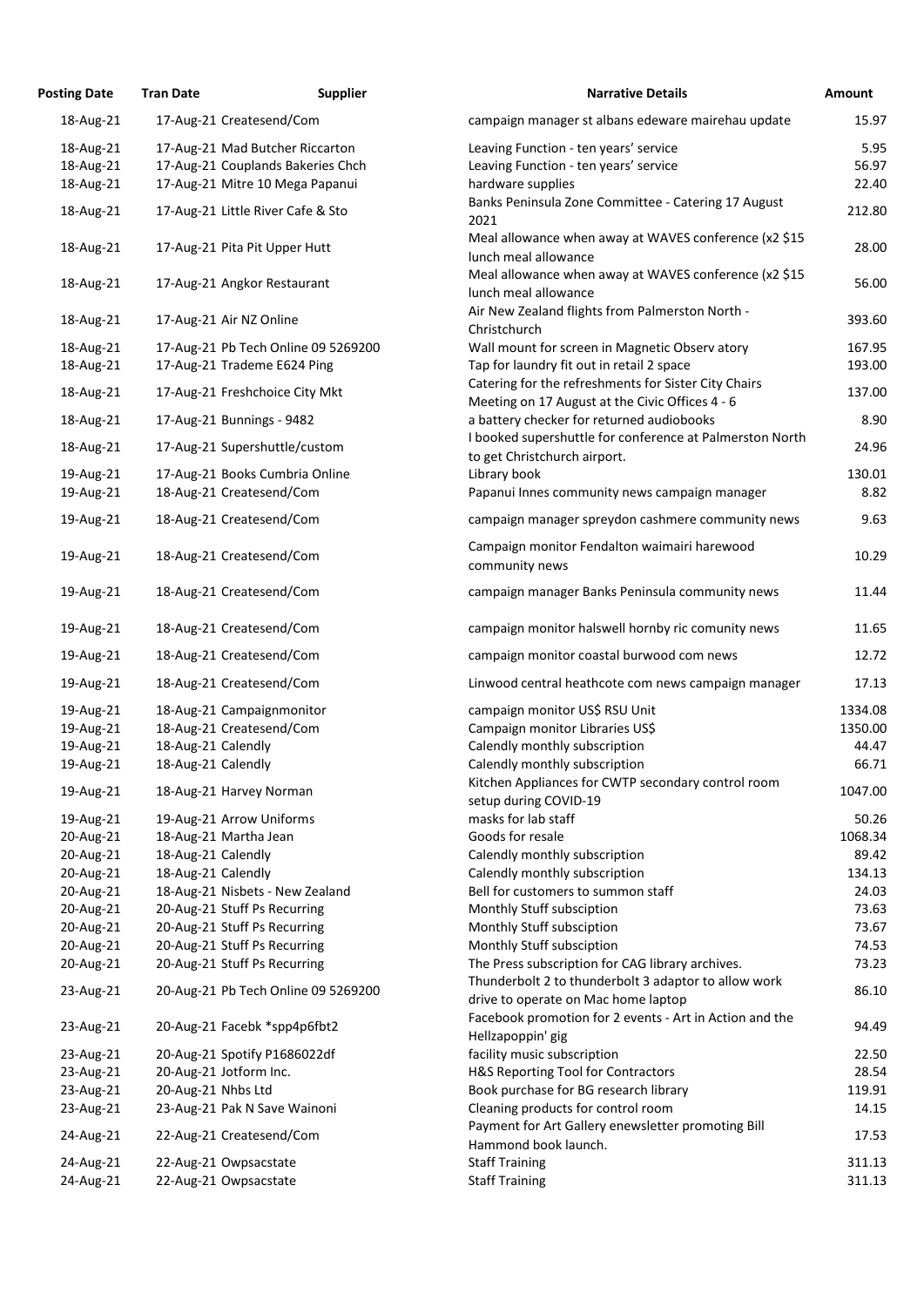| <b>Posting Date</b> | <b>Tran Date</b>                  | <b>Supplier</b>                     | <b>Narrative Details</b>                                                                              | Amount  |
|---------------------|-----------------------------------|-------------------------------------|-------------------------------------------------------------------------------------------------------|---------|
| 18-Aug-21           | 17-Aug-21 Createsend/Com          |                                     | campaign manager st albans edeware mairehau update                                                    | 15.97   |
| 18-Aug-21           | 17-Aug-21 Mad Butcher Riccarton   |                                     | Leaving Function - ten years' service                                                                 | 5.95    |
| 18-Aug-21           | 17-Aug-21 Couplands Bakeries Chch |                                     | Leaving Function - ten years' service                                                                 | 56.97   |
| 18-Aug-21           | 17-Aug-21 Mitre 10 Mega Papanui   |                                     | hardware supplies                                                                                     | 22.40   |
| 18-Aug-21           | 17-Aug-21 Little River Cafe & Sto |                                     | Banks Peninsula Zone Committee - Catering 17 August                                                   | 212.80  |
|                     |                                   |                                     | 2021<br>Meal allowance when away at WAVES conference (x2 \$15                                         |         |
| 18-Aug-21           | 17-Aug-21 Pita Pit Upper Hutt     |                                     | lunch meal allowance                                                                                  | 28.00   |
| 18-Aug-21           | 17-Aug-21 Angkor Restaurant       |                                     | Meal allowance when away at WAVES conference (x2 \$15<br>lunch meal allowance                         | 56.00   |
| 18-Aug-21           | 17-Aug-21 Air NZ Online           |                                     | Air New Zealand flights from Palmerston North -<br>Christchurch                                       | 393.60  |
| 18-Aug-21           |                                   | 17-Aug-21 Pb Tech Online 09 5269200 | Wall mount for screen in Magnetic Observ atory                                                        | 167.95  |
| 18-Aug-21           | 17-Aug-21 Trademe E624 Ping       |                                     | Tap for laundry fit out in retail 2 space                                                             | 193.00  |
| 18-Aug-21           | 17-Aug-21 Freshchoice City Mkt    |                                     | Catering for the refreshments for Sister City Chairs                                                  | 137.00  |
|                     |                                   |                                     | Meeting on 17 August at the Civic Offices 4 - 6                                                       |         |
| 18-Aug-21           | 17-Aug-21 Bunnings - 9482         |                                     | a battery checker for returned audiobooks<br>I booked supershuttle for conference at Palmerston North | 8.90    |
| 18-Aug-21           | 17-Aug-21 Supershuttle/custom     |                                     | to get Christchurch airport.                                                                          | 24.96   |
| 19-Aug-21           | 17-Aug-21 Books Cumbria Online    |                                     | Library book                                                                                          | 130.01  |
| 19-Aug-21           | 18-Aug-21 Createsend/Com          |                                     | Papanui Innes community news campaign manager                                                         | 8.82    |
| 19-Aug-21           | 18-Aug-21 Createsend/Com          |                                     | campaign manager spreydon cashmere community news                                                     | 9.63    |
| 19-Aug-21           | 18-Aug-21 Createsend/Com          |                                     | Campaign monitor Fendalton waimairi harewood<br>community news                                        | 10.29   |
| 19-Aug-21           | 18-Aug-21 Createsend/Com          |                                     | campaign manager Banks Peninsula community news                                                       | 11.44   |
| 19-Aug-21           | 18-Aug-21 Createsend/Com          |                                     | campaign monitor halswell hornby ric comunity news                                                    | 11.65   |
| 19-Aug-21           | 18-Aug-21 Createsend/Com          |                                     | campaign monitor coastal burwood com news                                                             | 12.72   |
| 19-Aug-21           | 18-Aug-21 Createsend/Com          |                                     | Linwood central heathcote com news campaign manager                                                   | 17.13   |
| 19-Aug-21           | 18-Aug-21 Campaignmonitor         |                                     | campaign monitor US\$ RSU Unit                                                                        | 1334.08 |
| 19-Aug-21           | 18-Aug-21 Createsend/Com          |                                     | Campaign monitor Libraries US\$                                                                       | 1350.00 |
| 19-Aug-21           | 18-Aug-21 Calendly                |                                     | Calendly monthly subscription                                                                         | 44.47   |
| 19-Aug-21           | 18-Aug-21 Calendly                |                                     | Calendly monthly subscription                                                                         | 66.71   |
| 19-Aug-21           | 18-Aug-21 Harvey Norman           |                                     | Kitchen Appliances for CWTP secondary control room                                                    | 1047.00 |
|                     |                                   |                                     | setup during COVID-19<br>masks for lab staff                                                          |         |
| 19-Aug-21           | 19-Aug-21 Arrow Uniforms          |                                     |                                                                                                       | 50.26   |
| 20-Aug-21           | 18-Aug-21 Martha Jean             |                                     | Goods for resale                                                                                      | 1068.34 |
| 20-Aug-21           | 18-Aug-21 Calendly                |                                     | Calendly monthly subscription                                                                         | 89.42   |
| 20-Aug-21           | 18-Aug-21 Calendly                |                                     | Calendly monthly subscription                                                                         | 134.13  |
| 20-Aug-21           | 18-Aug-21 Nisbets - New Zealand   |                                     | Bell for customers to summon staff                                                                    | 24.03   |
| 20-Aug-21           | 20-Aug-21 Stuff Ps Recurring      |                                     | Monthly Stuff subsciption                                                                             | 73.63   |
| 20-Aug-21           | 20-Aug-21 Stuff Ps Recurring      |                                     | Monthly Stuff subsciption                                                                             | 73.67   |
| 20-Aug-21           | 20-Aug-21 Stuff Ps Recurring      |                                     | Monthly Stuff subsciption                                                                             | 74.53   |
| 20-Aug-21           | 20-Aug-21 Stuff Ps Recurring      |                                     | The Press subscription for CAG library archives.                                                      | 73.23   |
| 23-Aug-21           |                                   | 20-Aug-21 Pb Tech Online 09 5269200 | Thunderbolt 2 to thunderbolt 3 adaptor to allow work<br>drive to operate on Mac home laptop           | 86.10   |
| 23-Aug-21           | 20-Aug-21 Facebk *spp4p6fbt2      |                                     | Facebook promotion for 2 events - Art in Action and the<br>Hellzapoppin' gig                          | 94.49   |
| 23-Aug-21           | 20-Aug-21 Spotify P1686022df      |                                     | facility music subscription                                                                           | 22.50   |
| 23-Aug-21           | 20-Aug-21 Jotform Inc.            |                                     | H&S Reporting Tool for Contractors                                                                    | 28.54   |
| 23-Aug-21           | 20-Aug-21 Nhbs Ltd                |                                     | Book purchase for BG research library                                                                 | 119.91  |
| 23-Aug-21           | 23-Aug-21 Pak N Save Wainoni      |                                     | Cleaning products for control room                                                                    | 14.15   |
| 24-Aug-21           | 22-Aug-21 Createsend/Com          |                                     | Payment for Art Gallery enewsletter promoting Bill                                                    | 17.53   |
|                     |                                   |                                     | Hammond book launch.                                                                                  |         |
| 24-Aug-21           | 22-Aug-21 Owpsacstate             |                                     | <b>Staff Training</b>                                                                                 | 311.13  |
| 24-Aug-21           | 22-Aug-21 Owpsacstate             |                                     | <b>Staff Training</b>                                                                                 | 311.13  |